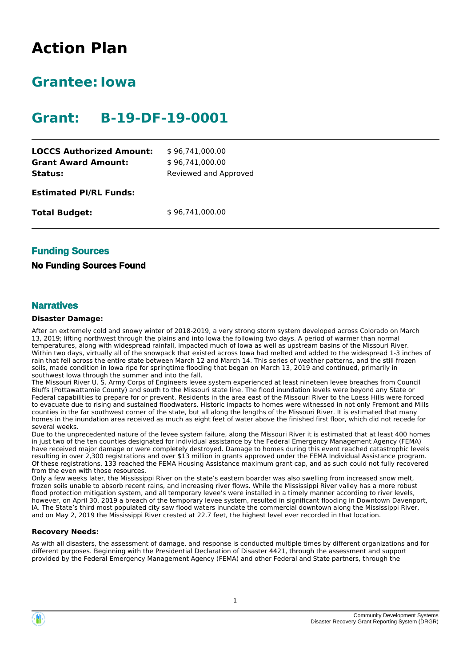# **Action Plan**

# **Grantee:Iowa**

# **Grant: B-19-DF-19-0001**

| <b>LOCCS Authorized Amount:</b> | \$96,741,000.00       |
|---------------------------------|-----------------------|
| <b>Grant Award Amount:</b>      | \$96,741,000.00       |
| Status:                         | Reviewed and Approved |
| <b>Estimated PI/RL Funds:</b>   |                       |
| <b>Total Budget:</b>            | \$96,741,000.00       |
|                                 |                       |

## **Funding Sources**

#### **No Funding Sources Found**

#### **Narratives**

#### **Disaster Damage:**

After an extremely cold and snowy winter of 2018-2019, a very strong storm system developed across Colorado on March 13, 2019; lifting northwest through the plains and into Iowa the following two days. A period of warmer than normal temperatures, along with widespread rainfall, impacted much of Iowa as well as upstream basins of the Missouri River. Within two days, virtually all of the snowpack that existed across Iowa had melted and added to the widespread 1-3 inches of rain that fell across the entire state between March 12 and March 14. This series of weather patterns, and the still frozen soils, made condition in Iowa ripe for springtime flooding that began on March 13, 2019 and continued, primarily in southwest Iowa through the summer and into the fall.

The Missouri River U. S. Army Corps of Engineers levee system experienced at least nineteen levee breaches from Council Bluffs (Pottawattamie County) and south to the Missouri state line. The flood inundation levels were beyond any State or Federal capabilities to prepare for or prevent. Residents in the area east of the Missouri River to the Loess Hills were forced to evacuate due to rising and sustained floodwaters. Historic impacts to homes were witnessed in not only Fremont and Mills counties in the far southwest corner of the state, but all along the lengths of the Missouri River. It is estimated that many homes in the inundation area received as much as eight feet of water above the finished first floor, which did not recede for several weeks.

Due to the unprecedented nature of the levee system failure, along the Missouri River it is estimated that at least 400 homes in just two of the ten counties designated for individual assistance by the Federal Emergency Management Agency (FEMA) have received major damage or were completely destroyed. Damage to homes during this event reached catastrophic levels resulting in over 2,300 registrations and over \$13 million in grants approved under the FEMA Individual Assistance program. Of these registrations, 133 reached the FEMA Housing Assistance maximum grant cap, and as such could not fully recovered from the even with those resources.

Only a few weeks later, the Mississippi River on the state's eastern boarder was also swelling from increased snow melt, frozen soils unable to absorb recent rains, and increasing river flows. While the Mississippi River valley has a more robust flood protection mitigation system, and all temporary levee's were installed in a timely manner according to river levels, however, on April 30, 2019 a breach of the temporary levee system, resulted in significant flooding in Downtown Davenport, IA. The State's third most populated city saw flood waters inundate the commercial downtown along the Mississippi River, and on May 2, 2019 the Mississippi River crested at 22.7 feet, the highest level ever recorded in that location.

#### **Recovery Needs:**

As with all disasters, the assessment of damage, and response is conducted multiple times by different organizations and for different purposes. Beginning with the Presidential Declaration of Disaster 4421, through the assessment and support provided by the Federal Emergency Management Agency (FEMA) and other Federal and State partners, through the

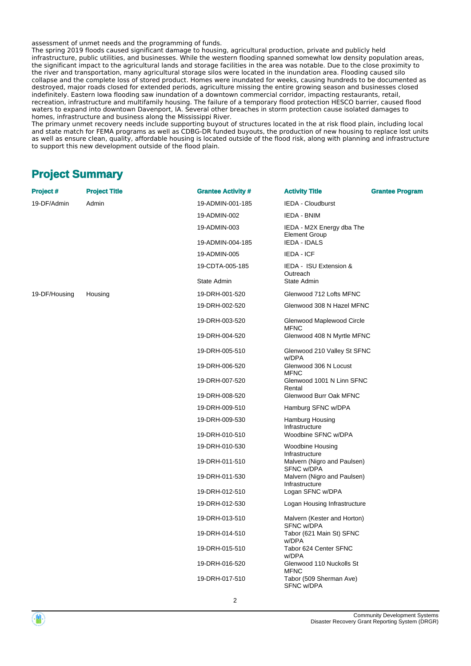assessment of unmet needs and the programming of funds.

The spring 2019 floods caused significant damage to housing, agricultural production, private and publicly held infrastructure, public utilities, and businesses. While the western flooding spanned somewhat low density population areas, the significant impact to the agricultural lands and storage facilities in the area was notable. Due to the close proximity to the river and transportation, many agricultural storage silos were located in the inundation area. Flooding caused silo collapse and the complete loss of stored product. Homes were inundated for weeks, causing hundreds to be documented as destroyed, major roads closed for extended periods, agriculture missing the entire growing season and businesses closed indefinitely. Eastern Iowa flooding saw inundation of a downtown commercial corridor, impacting restaurants, retail, recreation, infrastructure and multifamily housing. The failure of a temporary flood protection HESCO barrier, caused flood waters to expand into downtown Davenport, IA. Several other breaches in storm protection cause isolated damages to homes, infrastructure and business along the Mississippi River.

The primary unmet recovery needs include supporting buyout of structures located in the at risk flood plain, including local and state match for FEMA programs as well as CDBG-DR funded buyouts, the production of new housing to replace lost units as well as ensure clean, quality, affordable housing is located outside of the flood risk, along with planning and infrastructure to support this new development outside of the flood plain.

# **Project Summary**

| <b>Project #</b> | <b>Project Title</b> | <b>Grantee Activity #</b> | <b>Activity Title</b><br><b>Grantee Program</b>   |
|------------------|----------------------|---------------------------|---------------------------------------------------|
| 19-DF/Admin      | Admin                | 19-ADMIN-001-185          | <b>IEDA - Cloudburst</b>                          |
|                  |                      | 19-ADMIN-002              | IEDA - BNIM                                       |
|                  |                      | 19-ADMIN-003              | IEDA - M2X Energy dba The<br><b>Element Group</b> |
|                  |                      | 19-ADMIN-004-185          | IEDA - IDALS                                      |
|                  |                      | 19-ADMIN-005              | IEDA - ICF                                        |
|                  |                      | 19-CDTA-005-185           | IEDA - ISU Extension &<br>Outreach                |
|                  |                      | State Admin               | State Admin                                       |
| 19-DF/Housing    | Housing              | 19-DRH-001-520            | Glenwood 712 Lofts MFNC                           |
|                  |                      | 19-DRH-002-520            | Glenwood 308 N Hazel MFNC                         |
|                  |                      | 19-DRH-003-520            | Glenwood Maplewood Circle<br><b>MFNC</b>          |
|                  |                      | 19-DRH-004-520            | Glenwood 408 N Myrtle MFNC                        |
|                  |                      | 19-DRH-005-510            | Glenwood 210 Valley St SFNC<br>w/DPA              |
|                  |                      | 19-DRH-006-520            | Glenwood 306 N Locust<br><b>MFNC</b>              |
|                  |                      | 19-DRH-007-520            | Glenwood 1001 N Linn SFNC<br>Rental               |
|                  |                      | 19-DRH-008-520            | Glenwood Burr Oak MFNC                            |
|                  |                      | 19-DRH-009-510            | Hamburg SFNC w/DPA                                |
|                  |                      | 19-DRH-009-530            | Hamburg Housing<br>Infrastructure                 |
|                  |                      | 19-DRH-010-510            | Woodbine SFNC w/DPA                               |
|                  |                      | 19-DRH-010-530            | Woodbine Housing<br>Infrastructure                |
|                  |                      | 19-DRH-011-510            | Malvern (Nigro and Paulsen)<br>SFNC w/DPA         |
|                  |                      | 19-DRH-011-530            | Malvern (Nigro and Paulsen)<br>Infrastructure     |
|                  |                      | 19-DRH-012-510            | Logan SFNC w/DPA                                  |
|                  |                      | 19-DRH-012-530            | Logan Housing Infrastructure                      |
|                  |                      | 19-DRH-013-510            | Malvern (Kester and Horton)<br>SFNC w/DPA         |
|                  |                      | 19-DRH-014-510            | Tabor (621 Main St) SFNC<br>w/DPA                 |
|                  |                      | 19-DRH-015-510            | Tabor 624 Center SFNC<br>w/DPA                    |
|                  |                      | 19-DRH-016-520            | Glenwood 110 Nuckolls St<br><b>MFNC</b>           |
|                  |                      | 19-DRH-017-510            | Tabor (509 Sherman Ave)<br>SFNC w/DPA             |

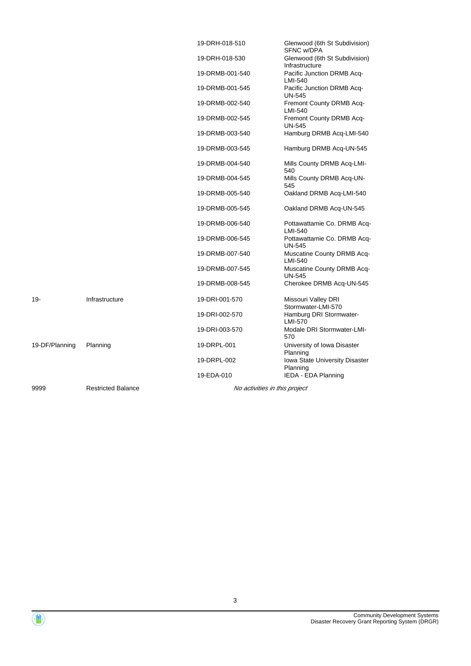|                |                           | 19-DRH-018-510  | Glenwood (6th St Subdivision)<br>SFNC w/DPA     |
|----------------|---------------------------|-----------------|-------------------------------------------------|
|                |                           | 19-DRH-018-530  | Glenwood (6th St Subdivision)<br>Infrastructure |
|                |                           | 19-DRMB-001-540 | Pacific Junction DRMB Acq-<br>LMI-540           |
|                |                           | 19-DRMB-001-545 | Pacific Junction DRMB Acq-<br><b>UN-545</b>     |
|                |                           | 19-DRMB-002-540 | Fremont County DRMB Acq-<br>LMI-540             |
|                |                           | 19-DRMB-002-545 | Fremont County DRMB Acq-<br><b>UN-545</b>       |
|                |                           | 19-DRMB-003-540 | Hamburg DRMB Acq-LMI-540                        |
|                |                           | 19-DRMB-003-545 | Hamburg DRMB Acq-UN-545                         |
|                |                           | 19-DRMB-004-540 | Mills County DRMB Acq-LMI-<br>540               |
|                |                           | 19-DRMB-004-545 | Mills County DRMB Acq-UN-<br>545                |
|                |                           | 19-DRMB-005-540 | Oakland DRMB Acq-LMI-540                        |
|                |                           | 19-DRMB-005-545 | Oakland DRMB Acq-UN-545                         |
|                |                           | 19-DRMB-006-540 | Pottawattamie Co. DRMB Acq-<br>LMI-540          |
|                |                           | 19-DRMB-006-545 | Pottawattamie Co. DRMB Acq-<br><b>UN-545</b>    |
|                |                           | 19-DRMB-007-540 | Muscatine County DRMB Acq-<br>LMI-540           |
|                |                           | 19-DRMB-007-545 | Muscatine County DRMB Acq-<br><b>UN-545</b>     |
|                |                           | 19-DRMB-008-545 | Cherokee DRMB Acq-UN-545                        |
| $19 -$         | Infrastructure            | 19-DRI-001-570  | Missouri Valley DRI<br>Stormwater-LMI-570       |
|                |                           | 19-DRI-002-570  | Hamburg DRI Stormwater-<br>LMI-570              |
|                |                           | 19-DRI-003-570  | Modale DRI Stormwater-LMI-<br>570               |
| 19-DF/Planning | Planning                  | 19-DRPL-001     | University of Iowa Disaster<br>Planning         |
|                |                           | 19-DRPL-002     | Iowa State University Disaster                  |
|                |                           | 19-EDA-010      | Planning<br>IEDA - EDA Planning                 |
| 9999           | <b>Restricted Balance</b> |                 | No activities in this project                   |

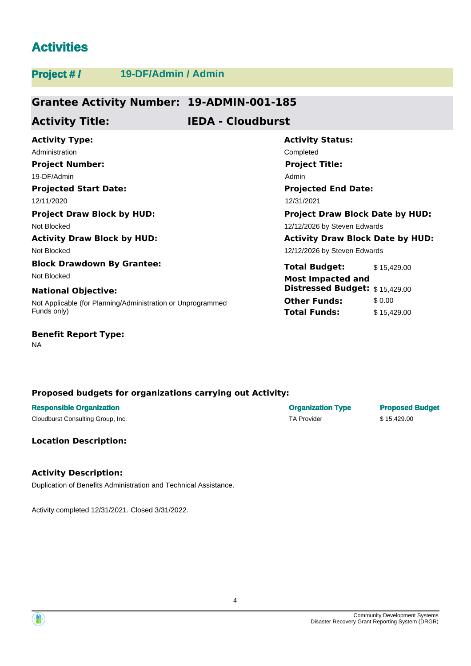# **Activities**

| <b>Project #/</b>                  | 19-DF/Admin / Admin                                         |                              |                                         |             |
|------------------------------------|-------------------------------------------------------------|------------------------------|-----------------------------------------|-------------|
|                                    |                                                             |                              |                                         |             |
|                                    | <b>Grantee Activity Number: 19-ADMIN-001-185</b>            |                              |                                         |             |
| <b>Activity Title:</b>             |                                                             | <b>IEDA - Cloudburst</b>     |                                         |             |
| <b>Activity Type:</b>              |                                                             |                              | <b>Activity Status:</b>                 |             |
| Administration                     |                                                             |                              | Completed                               |             |
| <b>Project Number:</b>             |                                                             |                              | <b>Project Title:</b>                   |             |
| 19-DF/Admin                        | Admin                                                       |                              |                                         |             |
|                                    | <b>Projected Start Date:</b><br><b>Projected End Date:</b>  |                              |                                         |             |
| 12/11/2020                         | 12/31/2021                                                  |                              |                                         |             |
| <b>Project Draw Block by HUD:</b>  |                                                             |                              | <b>Project Draw Block Date by HUD:</b>  |             |
| Not Blocked                        |                                                             | 12/12/2026 by Steven Edwards |                                         |             |
| <b>Activity Draw Block by HUD:</b> |                                                             |                              | <b>Activity Draw Block Date by HUD:</b> |             |
| Not Blocked                        |                                                             |                              | 12/12/2026 by Steven Edwards            |             |
| <b>Block Drawdown By Grantee:</b>  |                                                             |                              | <b>Total Budget:</b>                    | \$15,429.00 |
| Not Blocked                        |                                                             |                              | <b>Most Impacted and</b>                |             |
| <b>National Objective:</b>         |                                                             |                              | Distressed Budget: \$15,429.00          |             |
|                                    | Not Applicable (for Planning/Administration or Unprogrammed |                              | <b>Other Funds:</b>                     | \$ 0.00     |
| Funds only)                        |                                                             |                              | Total Funds:                            | \$15,429.00 |
| <b>Benefit Report Type:</b>        |                                                             |                              |                                         |             |

NA

### **Proposed budgets for organizations carrying out Activity:**

| <b>Responsible Organization</b>   | <b>Organization Type</b> | <b>Proposed Budget</b> |
|-----------------------------------|--------------------------|------------------------|
| Cloudburst Consulting Group, Inc. | TA Provider              | \$15,429.00            |

**Location Description:**

# **Activity Description:**

Duplication of Benefits Administration and Technical Assistance.

Activity completed 12/31/2021. Closed 3/31/2022.



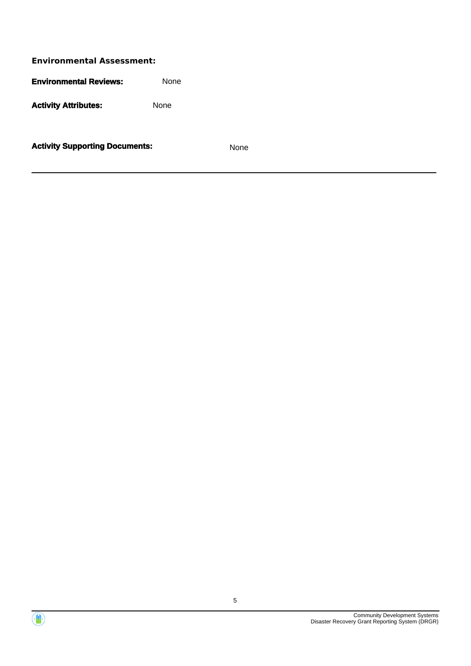**Environmental Assessment: Environmental Reviews:** None Activity **Attributes:** None

**Activity Supporting Documents:** None



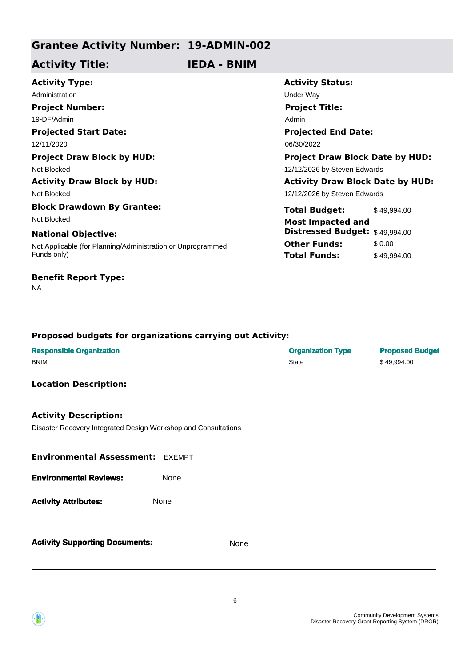# **Grantee Activity Number: 19-ADMIN-002**

**Activity Title: IEDA - BNIM**

| <b>Activity Type:</b>                                       | <b>Activity Status:</b>                 |             |  |
|-------------------------------------------------------------|-----------------------------------------|-------------|--|
| Administration                                              | Under Way                               |             |  |
| <b>Project Number:</b>                                      | <b>Project Title:</b>                   |             |  |
| 19-DF/Admin                                                 | Admin                                   |             |  |
| <b>Projected Start Date:</b>                                | <b>Projected End Date:</b>              |             |  |
| 12/11/2020                                                  | 06/30/2022                              |             |  |
| <b>Project Draw Block by HUD:</b>                           | <b>Project Draw Block Date by HUD:</b>  |             |  |
| Not Blocked                                                 | 12/12/2026 by Steven Edwards            |             |  |
| <b>Activity Draw Block by HUD:</b>                          | <b>Activity Draw Block Date by HUD:</b> |             |  |
| Not Blocked                                                 | 12/12/2026 by Steven Edwards            |             |  |
| <b>Block Drawdown By Grantee:</b>                           | <b>Total Budget:</b>                    | \$49,994.00 |  |
| Not Blocked                                                 | <b>Most Impacted and</b>                |             |  |
| <b>National Objective:</b>                                  | Distressed Budget: \$49,994.00          |             |  |
| Not Applicable (for Planning/Administration or Unprogrammed | <b>Other Funds:</b>                     | \$0.00      |  |
| Funds only)                                                 | <b>Total Funds:</b>                     | \$49,994.00 |  |
| <b>Benefit Report Type:</b>                                 |                                         |             |  |

#### **Proposed budgets for organizations carrying out Activity:**

| <b>Responsible Organization</b><br><b>BNIM</b>                                                 |      | <b>Organization Type</b><br>State | <b>Proposed Budget</b><br>\$49,994.00 |
|------------------------------------------------------------------------------------------------|------|-----------------------------------|---------------------------------------|
| <b>Location Description:</b>                                                                   |      |                                   |                                       |
| <b>Activity Description:</b><br>Disaster Recovery Integrated Design Workshop and Consultations |      |                                   |                                       |
| Environmental Assessment: EXEMPT                                                               |      |                                   |                                       |
| <b>Environmental Reviews:</b><br>None                                                          |      |                                   |                                       |
| None<br><b>Activity Attributes:</b>                                                            |      |                                   |                                       |
| <b>Activity Supporting Documents:</b>                                                          | None |                                   |                                       |



NA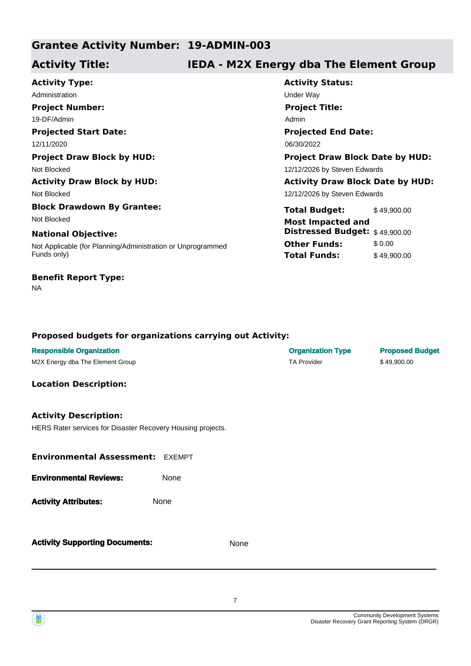# **Grantee Activity Number: 19-ADMIN-003**

# **Activity Title: IEDA - M2X Energy dba The Element Group**

**Projected Start Date:** Not Applicable (for Planning/Administration or Unprogrammed Funds only) **National Objective: Activity Type:** 12/11/2020 06/30/2022 Administration **Administration** Under Way **Project Number:** 19-DF/Admin NA **Benefit Report Type: Project Draw Block by HUD: Project Draw Block Date by HUD:** Not Blocked 12/12/2026 by Steven Edwards **Activity Draw Block by HUD: Activity Draw Block Date by HUD:** Not Blocked **Block Drawdown By Grantee:** Not Blocked **Most Impacted and** 

**Activity Status: Projected End Date: Project Title:** Admin

12/12/2026 by Steven Edwards

**Total Budget:** \$49,900.00 **Other Funds:** \$0.00 **Total Funds:** \$49,900.00 **Distressed Budget:** \$ 49,900.00

| <b>Responsible Organization</b><br>M2X Energy dba The Element Group                         |      | <b>Organization Type</b><br><b>TA Provider</b> | <b>Proposed Budget</b><br>\$49,900.00 |
|---------------------------------------------------------------------------------------------|------|------------------------------------------------|---------------------------------------|
| <b>Location Description:</b>                                                                |      |                                                |                                       |
| <b>Activity Description:</b><br>HERS Rater services for Disaster Recovery Housing projects. |      |                                                |                                       |
| <b>Environmental Assessment: EXEMPT</b>                                                     |      |                                                |                                       |
| <b>Environmental Reviews:</b>                                                               | None |                                                |                                       |
| <b>Activity Attributes:</b>                                                                 | None |                                                |                                       |
| <b>Activity Supporting Documents:</b>                                                       | None |                                                |                                       |

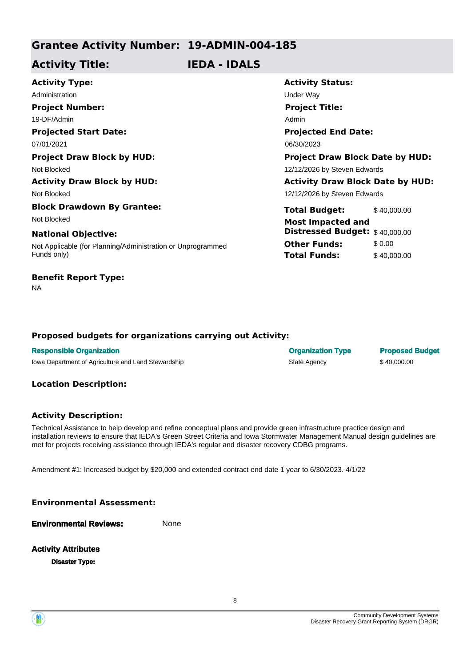# **Grantee Activity Number: 19-ADMIN-004-185**

# **Activity Title: IEDA - IDALS**

| <b>Activity Type:</b>                                       | <b>Activity</b>  |
|-------------------------------------------------------------|------------------|
| Administration                                              | <b>Under Way</b> |
| <b>Project Number:</b>                                      | <b>Project</b>   |
| 19-DF/Admin                                                 | Admin            |
| <b>Projected Start Date:</b>                                | <b>Projecte</b>  |
| 07/01/2021                                                  | 06/30/2023       |
| <b>Project Draw Block by HUD:</b>                           | Project I        |
| Not Blocked                                                 | 12/12/2026       |
| <b>Activity Draw Block by HUD:</b>                          | <b>Activity</b>  |
| Not Blocked                                                 | 12/12/2026       |
| <b>Block Drawdown By Grantee:</b>                           | <b>Total Bu</b>  |
| Not Blocked                                                 | Most Im          |
| <b>National Objective:</b>                                  | <b>Distress</b>  |
| Not Applicable (for Planning/Administration or Unprogrammed | <b>Other Fu</b>  |
| Funds only)                                                 | <b>Total Fu</b>  |
| <b>Benefit Report Type:</b>                                 |                  |

**Activity Status: Projected End Date: Project Title:**  $\sin$ **Project Draw Block Date by HUD:** 

2/2026 by Steven Edwards

2/2026 by Steven Edwards **Activity Draw Block Date by HUD:** 

**The Budget:** \$40,000.00 **Other Funds:** \$ 0.00 **Total Funds:** \$ 40,000.00 st Impacted and **Distressed Budget:** \$ 40,000.00

# **Proposed budgets for organizations carrying out Activity:**

| <b>Responsible Organization</b>                     | <b>Organization Type</b> | <b>Proposed Budget</b> |
|-----------------------------------------------------|--------------------------|------------------------|
| lowa Department of Agriculture and Land Stewardship | State Agency             | \$40,000.00            |

#### **Location Description:**

NA

#### **Activity Description:**

Technical Assistance to help develop and refine conceptual plans and provide green infrastructure practice design and installation reviews to ensure that IEDA's Green Street Criteria and Iowa Stormwater Management Manual design guidelines are met for projects receiving assistance through IEDA's regular and disaster recovery CDBG programs.

Amendment #1: Increased budget by \$20,000 and extended contract end date 1 year to 6/30/2023. 4/1/22

#### **Environmental Assessment:**

**Environmental Reviews:** None

# **Activity Attributes**

**Disaster Type:**

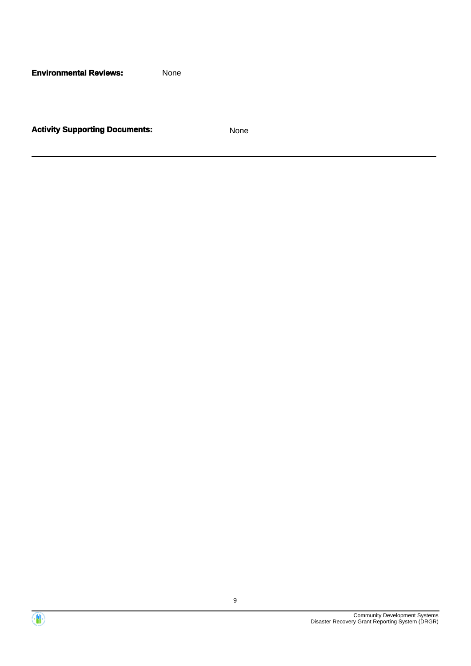**Environmental Reviews:** None

**Activity Supporting Documents:** None



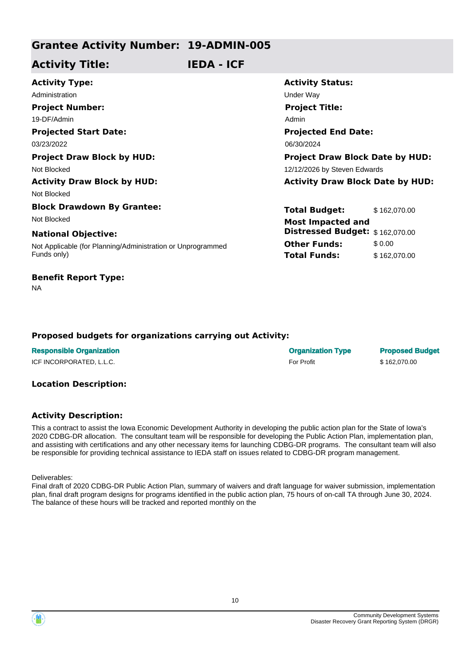# **Grantee Activity Number: 19-ADMIN-005**

# **Activity Title: IEDA - ICF**

| <b>Activity Type:</b>                                       | <b>Activity Status:</b>                 |  |
|-------------------------------------------------------------|-----------------------------------------|--|
| Administration                                              | Under Way                               |  |
| <b>Project Number:</b>                                      | <b>Project Title:</b>                   |  |
| 19-DF/Admin                                                 | Admin                                   |  |
| <b>Projected Start Date:</b>                                | <b>Projected End Date:</b>              |  |
| 03/23/2022                                                  | 06/30/2024                              |  |
| <b>Project Draw Block by HUD:</b>                           | <b>Project Draw Block Date by HUD:</b>  |  |
| Not Blocked                                                 | 12/12/2026 by Steven Edwards            |  |
| <b>Activity Draw Block by HUD:</b>                          | <b>Activity Draw Block Date by HUD:</b> |  |
| Not Blocked                                                 |                                         |  |
| <b>Block Drawdown By Grantee:</b>                           | <b>Total Budget:</b><br>\$162,070.00    |  |
| Not Blocked                                                 | <b>Most Impacted and</b>                |  |
| <b>National Objective:</b>                                  | Distressed Budget: \$162,070.00         |  |
| Not Applicable (for Planning/Administration or Unprogrammed | <b>Other Funds:</b><br>\$0.00           |  |
| Funds only)                                                 | <b>Total Funds:</b><br>\$162,070.00     |  |
|                                                             |                                         |  |

#### NA

**Benefit Report Type:**

#### **Proposed budgets for organizations carrying out Activity:**

| <b>Responsible Organization</b> | <b>Organization Type</b> | <b>Proposed Budget</b> |
|---------------------------------|--------------------------|------------------------|
| ICF INCORPORATED, L.L.C.        | For Profit               | \$162.070.00           |

#### **Location Description:**

#### **Activity Description:**

This a contract to assist the Iowa Economic Development Authority in developing the public action plan for the State of Iowa's 2020 CDBG-DR allocation. The consultant team will be responsible for developing the Public Action Plan, implementation plan, and assisting with certifications and any other necessary items for launching CDBG-DR programs. The consultant team will also be responsible for providing technical assistance to IEDA staff on issues related to CDBG-DR program management.

Deliverables:

Final draft of 2020 CDBG-DR Public Action Plan, summary of waivers and draft language for waiver submission, implementation plan, final draft program designs for programs identified in the public action plan, 75 hours of on-call TA through June 30, 2024. The balance of these hours will be tracked and reported monthly on the

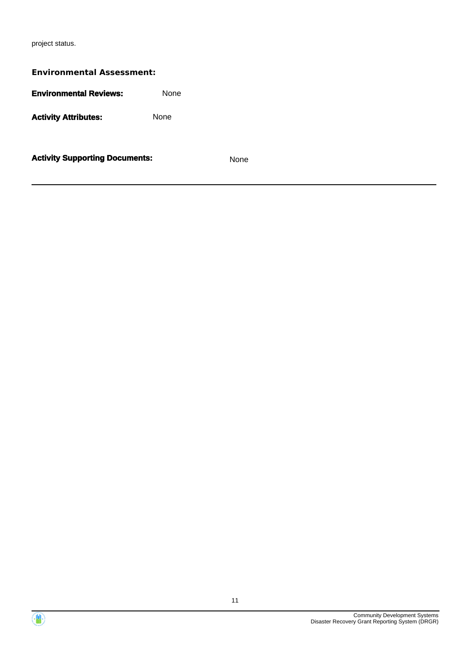project status.

| <b>Environmental Assessment:</b>      |             |             |  |
|---------------------------------------|-------------|-------------|--|
| <b>Environmental Reviews:</b>         | <b>None</b> |             |  |
| <b>Activity Attributes:</b>           | <b>None</b> |             |  |
| <b>Activity Supporting Documents:</b> |             | <b>None</b> |  |



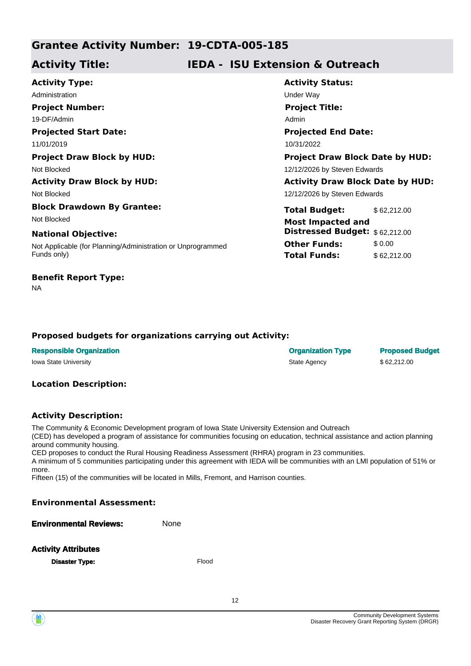# **Grantee Activity Number: 19-CDTA-005-185**

# **Activity Title: IEDA - ISU Extension & Outreach**

**Projected Start Date:** Not Applicable (for Planning/Administration or Unprogrammed Funds only) **National Objective: Activity Type:** 11/01/2019 10/31/2022 Administration **Administration** Under Way **Project Number:** 19-DF/Admin **Project Draw Block by HUD: Project Draw Block Date by HUD:** Not Blocked **12/12/2026** by Steven Edwards **Activity Draw Block by HUD: Activity Draw Block Date by HUD:** Not Blocked **Block Drawdown By Grantee:** Not Blocked **Most Impacted and** 

#### **Benefit Report Type:**

NA

# **Activity Status: Projected End Date: Project Title:** Admin

12/12/2026 by Steven Edwards

**Total Budget:** \$62,212.00 **Other Funds:** \$ 0.00 **Total Funds:** \$ 62,212.00 **Distressed Budget:** \$ 62,212.00

### **Proposed budgets for organizations carrying out Activity:**

| <b>Responsible Organization</b> | <b>Organization Type</b> | <b>Proposed Budget</b> |
|---------------------------------|--------------------------|------------------------|
| Iowa State University           | State Agency             | \$62,212,00            |

#### **Location Description:**

#### **Activity Description:**

The Community & Economic Development program of Iowa State University Extension and Outreach

(CED) has developed a program of assistance for communities focusing on education, technical assistance and action planning around community housing.

CED proposes to conduct the Rural Housing Readiness Assessment (RHRA) program in 23 communities.

A minimum of 5 communities participating under this agreement with IEDA will be communities with an LMI population of 51% or more.

12

Fifteen (15) of the communities will be located in Mills, Fremont, and Harrison counties.

#### **Environmental Assessment:**

**Environmental Reviews:** None

#### **Activity Attributes**

**Disaster Type:** The Communication of the Communication of the Communication of the Communication of the Communication of the Communication of the Communication of the Communication of the Communication of the Communicatio

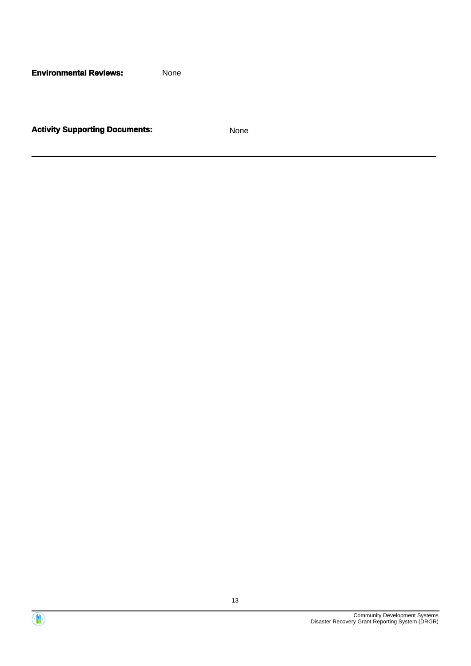**Environmental Reviews:** None

**Activity Supporting Documents:** None



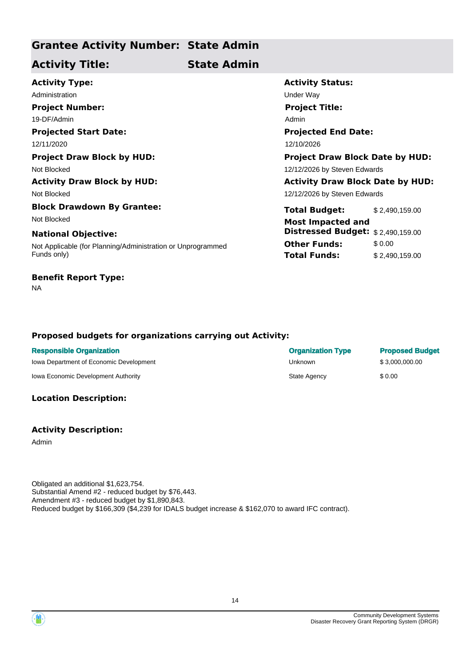# **Grantee Activity Number: State Admin**

# **Activity Title: State Admin**

**Projected Start Date:** Not Applicable (for Planning/Administration or Unprogrammed Funds only) **National Objective: Activity Type:** 12/11/2020 12/10/2026 Administration **Administration** Under Way **Project Number:** 19-DF/Admin **Project Draw Block by HUD: Project Draw Block Date by HUD:** Not Blocked **12/12/2026** by Steven Edwards **Activity Draw Block by HUD: Activity Draw Block Date by HUD:** Not Blocked **Block Drawdown By Grantee:** Not Blocked **Most Impacted and** 

# **Benefit Report Type:**

NA

# **Activity Status: Projected End Date: Project Title:** Admin 12/12/2026 by Steven Edwards

**Total Budget:** \$ 2,490,159.00 **Other Funds:** \$0.00 **Total Funds:** \$ 2,490,159.00 **Distressed Budget:** \$ 2,490,159.00

### **Proposed budgets for organizations carrying out Activity:**

| <b>Responsible Organization</b>         | <b>Organization Type</b> | <b>Proposed Budget</b> |
|-----------------------------------------|--------------------------|------------------------|
| lowa Department of Economic Development | Unknown                  | \$3.000.000.00         |
| Iowa Economic Development Authority     | State Agency             | \$ 0.00                |

### **Location Description:**

#### **Activity Description:**

Admin

Obligated an additional \$1,623,754. Substantial Amend #2 - reduced budget by \$76,443. Amendment #3 - reduced budget by \$1,890,843. Reduced budget by \$166,309 (\$4,239 for IDALS budget increase & \$162,070 to award IFC contract).



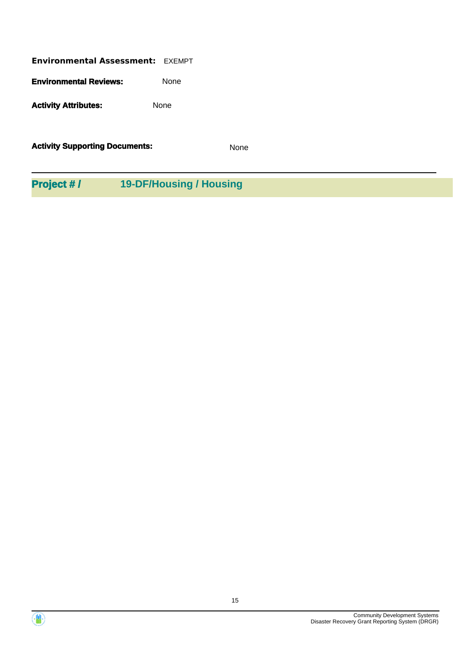| <b>Environmental Assessment: EXEMPT</b> |             |
|-----------------------------------------|-------------|
| <b>Environmental Reviews:</b>           | None        |
| <b>Activity Attributes:</b>             | <b>None</b> |

**Activity Supporting Documents:** None

**Project # / 19-DF/Housing / Housing**



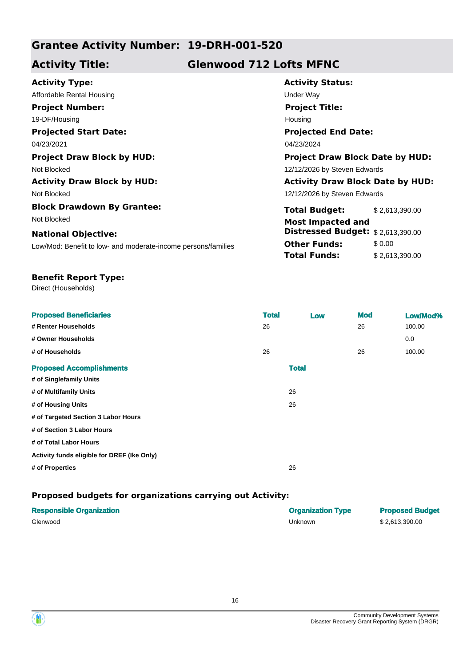# **Grantee Activity Number: 19-DRH-001-520**

# **Activity Title: Glenwood 712 Lofts MFNC**

| <b>Activity Type:</b>                                         | <b>Activity Status:</b>                 |                |  |
|---------------------------------------------------------------|-----------------------------------------|----------------|--|
| Affordable Rental Housing                                     | Under Way                               |                |  |
| <b>Project Number:</b>                                        | <b>Project Title:</b>                   |                |  |
| 19-DF/Housing                                                 | Housing                                 |                |  |
| <b>Projected Start Date:</b>                                  | <b>Projected End Date:</b>              |                |  |
| 04/23/2021                                                    | 04/23/2024                              |                |  |
| <b>Project Draw Block by HUD:</b>                             | <b>Project Draw Block Date by HUD:</b>  |                |  |
| Not Blocked                                                   | 12/12/2026 by Steven Edwards            |                |  |
| <b>Activity Draw Block by HUD:</b>                            | <b>Activity Draw Block Date by HUD:</b> |                |  |
| Not Blocked                                                   | 12/12/2026 by Steven Edwards            |                |  |
| <b>Block Drawdown By Grantee:</b>                             | <b>Total Budget:</b>                    | \$2,613,390.00 |  |
| Not Blocked                                                   | <b>Most Impacted and</b>                |                |  |
| <b>National Objective:</b>                                    | Distressed Budget: \$2,613,390.00       |                |  |
| Low/Mod: Benefit to low- and moderate-income persons/families | <b>Other Funds:</b>                     | \$0.00         |  |
|                                                               | <b>Total Funds:</b>                     | \$2,613,390.00 |  |

## **Benefit Report Type:**

Direct (Households)

| <b>Proposed Beneficiaries</b><br># Renter Households | <b>Total</b><br>26 |              | Low | <b>Mod</b><br>26 | Low/Mod%<br>100.00 |
|------------------------------------------------------|--------------------|--------------|-----|------------------|--------------------|
| # Owner Households                                   |                    |              |     |                  | 0.0                |
| # of Households                                      | 26                 |              |     | 26               | 100.00             |
| <b>Proposed Accomplishments</b>                      |                    | <b>Total</b> |     |                  |                    |
| # of Singlefamily Units                              |                    |              |     |                  |                    |
| # of Multifamily Units                               |                    | 26           |     |                  |                    |
| # of Housing Units                                   |                    | 26           |     |                  |                    |
| # of Targeted Section 3 Labor Hours                  |                    |              |     |                  |                    |
| # of Section 3 Labor Hours                           |                    |              |     |                  |                    |
| # of Total Labor Hours                               |                    |              |     |                  |                    |
| Activity funds eligible for DREF (Ike Only)          |                    |              |     |                  |                    |
| # of Properties                                      |                    | 26           |     |                  |                    |
|                                                      |                    |              |     |                  |                    |

| <b>Responsible Organization</b> | <b>Organization Type</b> | <b>Proposed Budget</b> |
|---------------------------------|--------------------------|------------------------|
| Glenwood                        | Unknown                  | \$2.613.390.00         |

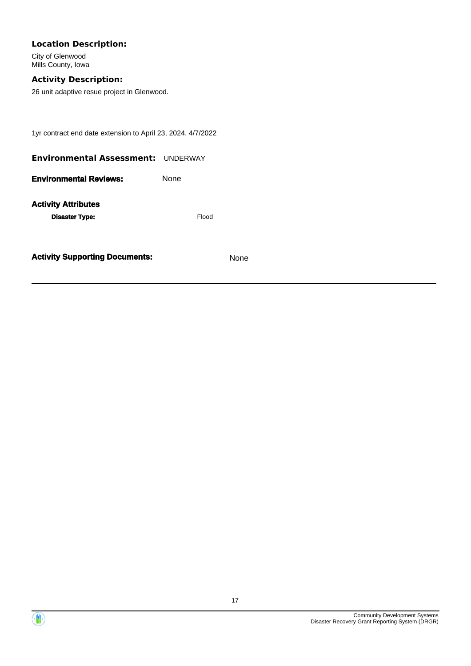### **Location Description:**

City of Glenwood Mills County, Iowa

# **Activity Description:**

26 unit adaptive resue project in Glenwood.

1yr contract end date extension to April 23, 2024. 4/7/2022

| <b>Environmental Assessment: UNDERWAY</b> |              |
|-------------------------------------------|--------------|
| <b>Environmental Reviews:</b>             | <b>None</b>  |
| <b>Activity Attributes</b>                |              |
| <b>Disaster Type:</b>                     | <b>Elood</b> |



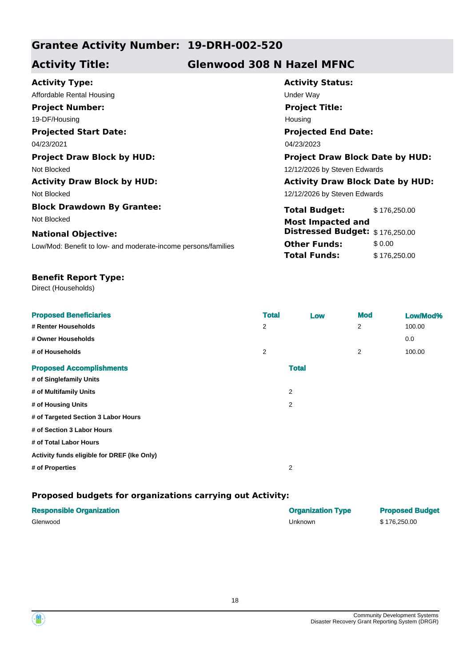# **Grantee Activity Number: 19-DRH-002-520**

# **Activity Title: Glenwood 308 N Hazel MFNC**

| <b>Activity Type:</b>                                         | <b>Activity Status:</b>                 |              |  |
|---------------------------------------------------------------|-----------------------------------------|--------------|--|
| Affordable Rental Housing                                     | Under Way                               |              |  |
| <b>Project Number:</b>                                        | <b>Project Title:</b>                   |              |  |
| 19-DF/Housing                                                 | Housing                                 |              |  |
| <b>Projected Start Date:</b>                                  | <b>Projected End Date:</b>              |              |  |
| 04/23/2021                                                    | 04/23/2023                              |              |  |
| <b>Project Draw Block by HUD:</b>                             | <b>Project Draw Block Date by HUD:</b>  |              |  |
| Not Blocked                                                   | 12/12/2026 by Steven Edwards            |              |  |
| <b>Activity Draw Block by HUD:</b>                            | <b>Activity Draw Block Date by HUD:</b> |              |  |
| Not Blocked                                                   | 12/12/2026 by Steven Edwards            |              |  |
| <b>Block Drawdown By Grantee:</b>                             | <b>Total Budget:</b>                    | \$176,250.00 |  |
| Not Blocked                                                   | <b>Most Impacted and</b>                |              |  |
| <b>National Objective:</b>                                    | Distressed Budget: \$176,250.00         |              |  |
| Low/Mod: Benefit to low- and moderate-income persons/families | <b>Other Funds:</b>                     | \$0.00       |  |
|                                                               | Total Funds:                            | \$176,250.00 |  |

#### **Benefit Report Type:**

Direct (Households)

| <b>Proposed Beneficiaries</b>               | <b>Total</b> | Low            | <b>Mod</b>     | Low/Mod% |
|---------------------------------------------|--------------|----------------|----------------|----------|
| # Renter Households                         | 2            |                | $\overline{2}$ | 100.00   |
| # Owner Households                          |              |                |                | 0.0      |
| # of Households                             | 2            |                | 2              | 100.00   |
| <b>Proposed Accomplishments</b>             |              | <b>Total</b>   |                |          |
| # of Singlefamily Units                     |              |                |                |          |
| # of Multifamily Units                      |              | $\overline{2}$ |                |          |
| # of Housing Units                          |              | 2              |                |          |
| # of Targeted Section 3 Labor Hours         |              |                |                |          |
| # of Section 3 Labor Hours                  |              |                |                |          |
| # of Total Labor Hours                      |              |                |                |          |
| Activity funds eligible for DREF (Ike Only) |              |                |                |          |
| # of Properties                             |              | 2              |                |          |

| <b>Responsible Organization</b> | <b>Organization Type</b> | <b>Proposed Budget</b> |
|---------------------------------|--------------------------|------------------------|
| Glenwood                        | Unknown                  | \$176.250.00           |



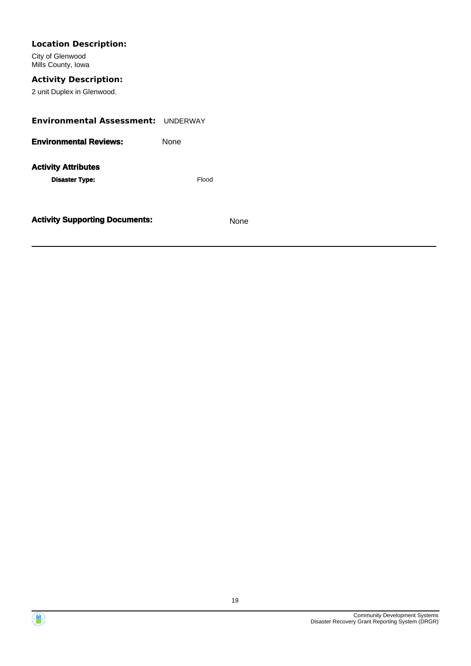| <b>Location Description:</b>              |       |      |  |
|-------------------------------------------|-------|------|--|
| City of Glenwood<br>Mills County, Iowa    |       |      |  |
| <b>Activity Description:</b>              |       |      |  |
| 2 unit Duplex in Glenwood.                |       |      |  |
| <b>Environmental Assessment: UNDERWAY</b> |       |      |  |
| <b>Environmental Reviews:</b>             | None  |      |  |
| <b>Activity Attributes</b>                |       |      |  |
| <b>Disaster Type:</b>                     | Flood |      |  |
|                                           |       |      |  |
| <b>Activity Supporting Documents:</b>     |       | None |  |

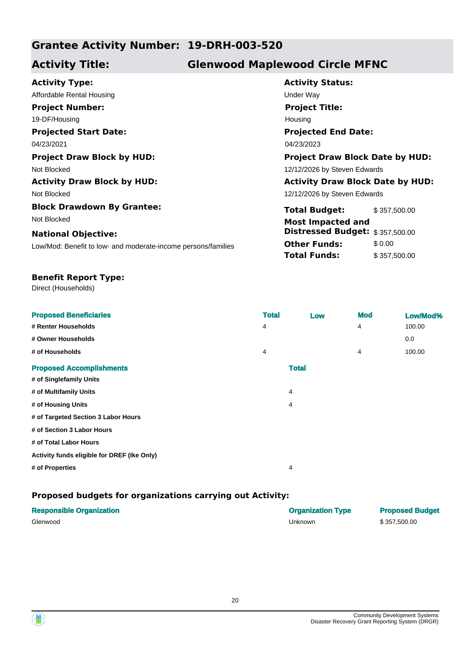# **Grantee Activity Number: 19-DRH-003-520**

# **Activity Title: Glenwood Maplewood Circle MFNC**

| <b>Activity Status:</b>    |
|----------------------------|
| Under Way                  |
| <b>Project Title:</b>      |
| Housing                    |
| <b>Projected End Date</b>  |
| 04/23/2023                 |
| <b>Project Draw Block</b>  |
| 12/12/2026 by Steven Edw   |
| <b>Activity Draw Block</b> |
| 12/12/2026 by Steven Edw   |
| <b>Total Budget:</b>       |
| <b>Most Impacted and</b>   |
| <b>Distressed Budget:</b>  |
| <b>Other Funds:</b>        |
| <b>Total Funds:</b>        |
|                            |
|                            |

| <b>Activity Status:</b>                |
|----------------------------------------|
| Under Wav                              |
| <b>Project Title:</b>                  |
| Housing                                |
| <b>Projected End Date:</b>             |
| 04/23/2023                             |
| <b>Project Draw Block Date by HUD:</b> |

2026 by Steven Edwards

### **Activity Draw Block by HUD: Activity Draw Block Date by HUD:**

2026 by Steven Edwards

| <b>Total Budget:</b>            | \$357,500.00 |
|---------------------------------|--------------|
| <b>Most Impacted and</b>        |              |
| Distressed Budget: \$357,500.00 |              |
| <b>Other Funds:</b>             | \$0.00       |
| <b>Total Funds:</b>             | \$357,500.00 |

#### **Benefit Report Type:**

Direct (Households)

| <b>Proposed Beneficiaries</b>               | <b>Total</b> | Low          | <b>Mod</b> | Low/Mod% |
|---------------------------------------------|--------------|--------------|------------|----------|
| # Renter Households                         | 4            |              | 4          | 100.00   |
| # Owner Households                          |              |              |            | 0.0      |
| # of Households                             | 4            |              | 4          | 100.00   |
| <b>Proposed Accomplishments</b>             |              | <b>Total</b> |            |          |
| # of Singlefamily Units                     |              |              |            |          |
| # of Multifamily Units                      | 4            |              |            |          |
| # of Housing Units                          | 4            |              |            |          |
| # of Targeted Section 3 Labor Hours         |              |              |            |          |
| # of Section 3 Labor Hours                  |              |              |            |          |
| # of Total Labor Hours                      |              |              |            |          |
| Activity funds eligible for DREF (Ike Only) |              |              |            |          |
| # of Properties                             | 4            |              |            |          |
|                                             |              |              |            |          |

| <b>Responsible Organization</b> | <b>Organization Type</b> | <b>Proposed Budget</b> |
|---------------------------------|--------------------------|------------------------|
| Glenwood                        | Unknown                  | \$357,500.00           |



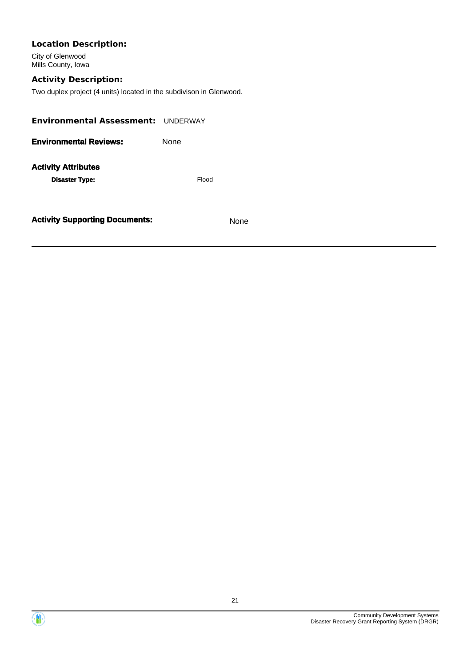# **Location Description:**

City of Glenwood Mills County, Iowa

# **Activity Description:**

Two duplex project (4 units) located in the subdivison in Glenwood.

| Environmental Assessment: UNDERWAY                  |       |      |  |  |
|-----------------------------------------------------|-------|------|--|--|
| <b>Environmental Reviews:</b>                       | None  |      |  |  |
| <b>Activity Attributes</b><br><b>Disaster Type:</b> | Flood |      |  |  |
| <b>Activity Supporting Documents:</b>               |       | None |  |  |



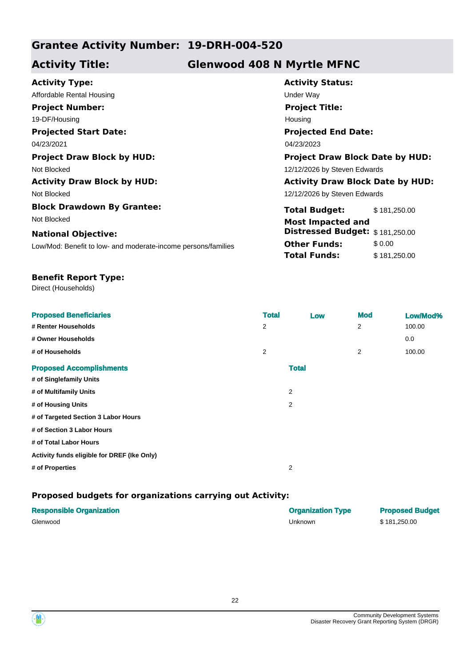# **Grantee Activity Number: 19-DRH-004-520**

# **Activity Title: Glenwood 408 N Myrtle MFNC**

| <b>Activity Type:</b>                                         | <b>Activity Status:</b>                 |              |
|---------------------------------------------------------------|-----------------------------------------|--------------|
| Affordable Rental Housing                                     | Under Way                               |              |
| <b>Project Number:</b>                                        | <b>Project Title:</b>                   |              |
| 19-DF/Housing                                                 | Housing                                 |              |
| <b>Projected Start Date:</b>                                  | <b>Projected End Date:</b>              |              |
| 04/23/2021                                                    | 04/23/2023                              |              |
| <b>Project Draw Block by HUD:</b>                             | <b>Project Draw Block Date by HUD:</b>  |              |
| Not Blocked                                                   | 12/12/2026 by Steven Edwards            |              |
| <b>Activity Draw Block by HUD:</b>                            | <b>Activity Draw Block Date by HUD:</b> |              |
| Not Blocked                                                   | 12/12/2026 by Steven Edwards            |              |
| <b>Block Drawdown By Grantee:</b>                             | <b>Total Budget:</b>                    | \$181,250.00 |
| Not Blocked                                                   | <b>Most Impacted and</b>                |              |
| <b>National Objective:</b>                                    | Distressed Budget: \$181,250.00         |              |
| Low/Mod: Benefit to low- and moderate-income persons/families | <b>Other Funds:</b>                     | \$0.00       |
|                                                               | <b>Total Funds:</b>                     | \$181,250.00 |
|                                                               |                                         |              |

#### **Benefit Report Type:**

Direct (Households)

| <b>Proposed Beneficiaries</b>               | <b>Total</b> | Low            | <b>Mod</b>     | Low/Mod% |
|---------------------------------------------|--------------|----------------|----------------|----------|
| # Renter Households                         | 2            |                | $\overline{2}$ | 100.00   |
| # Owner Households                          |              |                |                | 0.0      |
| # of Households                             | 2            |                | 2              | 100.00   |
| <b>Proposed Accomplishments</b>             |              | <b>Total</b>   |                |          |
| # of Singlefamily Units                     |              |                |                |          |
| # of Multifamily Units                      |              | 2              |                |          |
| # of Housing Units                          |              | $\overline{2}$ |                |          |
| # of Targeted Section 3 Labor Hours         |              |                |                |          |
| # of Section 3 Labor Hours                  |              |                |                |          |
| # of Total Labor Hours                      |              |                |                |          |
| Activity funds eligible for DREF (Ike Only) |              |                |                |          |
| # of Properties                             |              | 2              |                |          |

| <b>Responsible Organization</b> | <b>Organization Type</b> | <b>Proposed Budget</b> |
|---------------------------------|--------------------------|------------------------|
| Glenwood                        | Unknown                  | \$181.250.00           |



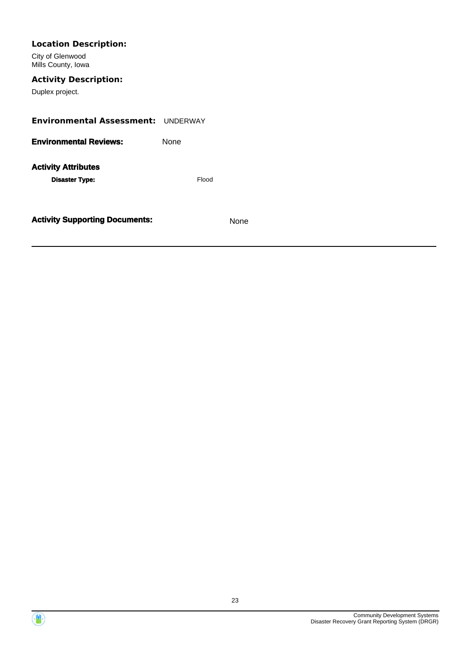| <b>Location Description:</b><br>City of Glenwood<br>Mills County, Iowa |       |      |  |  |
|------------------------------------------------------------------------|-------|------|--|--|
| <b>Activity Description:</b><br>Duplex project.                        |       |      |  |  |
| <b>Environmental Assessment: UNDERWAY</b>                              |       |      |  |  |
| <b>Environmental Reviews:</b>                                          | None  |      |  |  |
| <b>Activity Attributes</b><br><b>Disaster Type:</b>                    | Flood |      |  |  |
| <b>Activity Supporting Documents:</b>                                  |       | None |  |  |

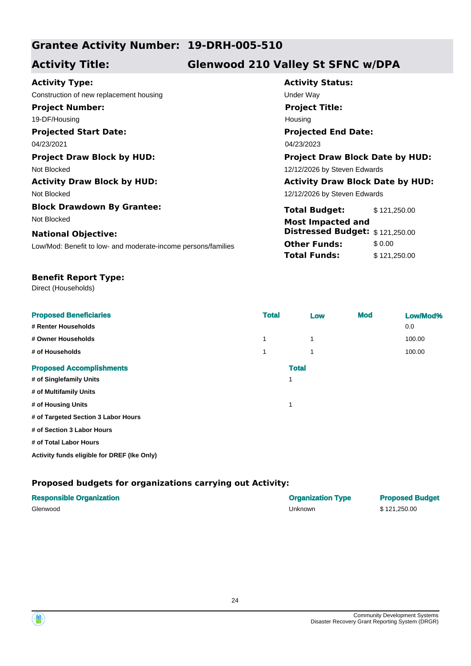# **Grantee Activity Number: 19-DRH-005-510**

# **Activity Title: Glenwood 210 Valley St SFNC w/DPA**

| <b>Activity Type:</b>                                         | <b>Activity Status:</b>        |      |  |
|---------------------------------------------------------------|--------------------------------|------|--|
| Construction of new replacement housing                       | <b>Under Way</b>               |      |  |
| <b>Project Number:</b>                                        | <b>Project Title:</b>          |      |  |
| 19-DF/Housing                                                 | Housing                        |      |  |
| <b>Projected Start Date:</b>                                  | <b>Projected End Date:</b>     |      |  |
| 04/23/2021                                                    | 04/23/2023                     |      |  |
| <b>Project Draw Block by HUD:</b>                             | <b>Project Draw Block Dat</b>  |      |  |
| Not Blocked                                                   | 12/12/2026 by Steven Edwards   |      |  |
| <b>Activity Draw Block by HUD:</b>                            | <b>Activity Draw Block Da</b>  |      |  |
| Not Blocked                                                   | 12/12/2026 by Steven Edwards   |      |  |
| <b>Block Drawdown By Grantee:</b>                             | <b>Total Budget:</b>           | \$12 |  |
| Not Blocked                                                   | <b>Most Impacted and</b>       |      |  |
| <b>National Objective:</b>                                    | <b>Distressed Budget: \$12</b> |      |  |
| Low/Mod: Benefit to low- and moderate-income persons/families | <b>Other Funds:</b>            | \$0. |  |
|                                                               | <b>Total Funds:</b>            | \$12 |  |

**Activity Status: Projected End Date:** 04/23/2021 04/23/2023 **Project Title:** Housing **Project Draw Block by HUD: Project Draw Block Date by HUD:**

**Activity Draw Block by HUD: Activity Draw Block Date by HUD:**

**Total Budget:** \$ 121,250.00 **Other Funds:** \$0.00 **Total Funds:** \$121,250.00 **Distressed Budget:** \$ 121,250.00

|  | <b>Benefit Report Type:</b> |  |
|--|-----------------------------|--|
|--|-----------------------------|--|

Direct (Households)

| <b>Proposed Beneficiaries</b>       | <b>Total</b> | Low | <b>Mod</b> | Low/Mod% |
|-------------------------------------|--------------|-----|------------|----------|
| # Renter Households                 |              |     |            | 0.0      |
| # Owner Households                  | 1            | 1   |            | 100.00   |
| # of Households                     | 1            | 1   |            | 100.00   |
| <b>Proposed Accomplishments</b>     | <b>Total</b> |     |            |          |
| # of Singlefamily Units             |              |     |            |          |
| # of Multifamily Units              |              |     |            |          |
| # of Housing Units                  |              |     |            |          |
| # of Targeted Section 3 Labor Hours |              |     |            |          |
| # of Section 3 Labor Hours          |              |     |            |          |
| # of Total Labor Hours              |              |     |            |          |

**Activity funds eligible for DREF (Ike Only)**

| <b>Responsible Organization</b> | <b>Organization Type</b> | <b>Proposed Budget</b> |
|---------------------------------|--------------------------|------------------------|
| Glenwood                        | Unknown                  | \$121.250.00           |



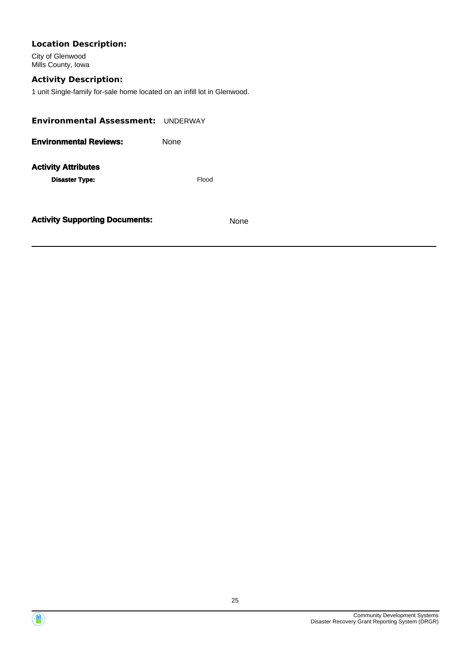# **Location Description:**

City of Glenwood Mills County, Iowa

# **Activity Description:**

1 unit Single-family for-sale home located on an infill lot in Glenwood.

| <b>Activity Supporting Documents:</b>               |       | None |  |  |
|-----------------------------------------------------|-------|------|--|--|
| <b>Activity Attributes</b><br><b>Disaster Type:</b> | Flood |      |  |  |
| <b>Environmental Reviews:</b>                       | None  |      |  |  |
| Environmental Assessment: UNDERWAY                  |       |      |  |  |



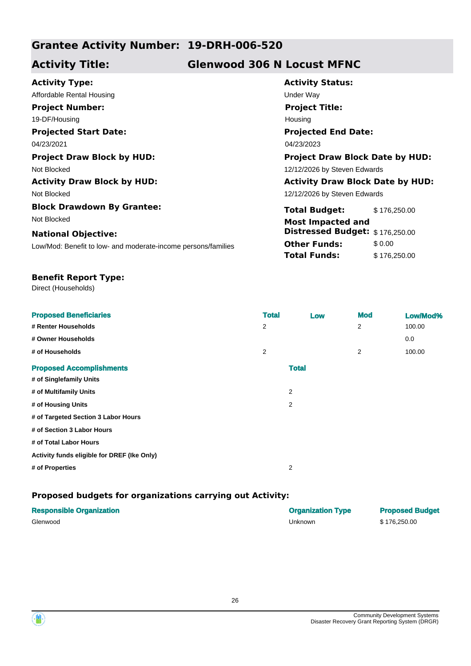# **Grantee Activity Number: 19-DRH-006-520**

# **Activity Title: Glenwood 306 N Locust MFNC**

| <b>Activity Type:</b>                                         | <b>Activity Status:</b>                 |              |  |
|---------------------------------------------------------------|-----------------------------------------|--------------|--|
| Affordable Rental Housing                                     | Under Way                               |              |  |
| <b>Project Number:</b>                                        | <b>Project Title:</b>                   |              |  |
| 19-DF/Housing                                                 | Housing                                 |              |  |
| <b>Projected Start Date:</b>                                  | <b>Projected End Date:</b>              |              |  |
| 04/23/2021                                                    | 04/23/2023                              |              |  |
| <b>Project Draw Block by HUD:</b>                             | <b>Project Draw Block Date by HUD:</b>  |              |  |
| Not Blocked                                                   | 12/12/2026 by Steven Edwards            |              |  |
| <b>Activity Draw Block by HUD:</b>                            | <b>Activity Draw Block Date by HUD:</b> |              |  |
| Not Blocked                                                   | 12/12/2026 by Steven Edwards            |              |  |
| <b>Block Drawdown By Grantee:</b>                             | <b>Total Budget:</b>                    | \$176,250.00 |  |
| Not Blocked                                                   | <b>Most Impacted and</b>                |              |  |
| <b>National Objective:</b>                                    | Distressed Budget: \$176,250.00         |              |  |
| Low/Mod: Benefit to low- and moderate-income persons/families | <b>Other Funds:</b>                     | \$0.00       |  |
|                                                               | Total Funds:                            | \$176,250.00 |  |
|                                                               |                                         |              |  |

#### **Benefit Report Type:**

Direct (Households)

| <b>Proposed Beneficiaries</b>               | <b>Total</b> | Low            | <b>Mod</b> | Low/Mod% |
|---------------------------------------------|--------------|----------------|------------|----------|
| # Renter Households                         | 2            |                | 2          | 100.00   |
| # Owner Households                          |              |                |            | 0.0      |
| # of Households                             | 2            |                | 2          | 100.00   |
| <b>Proposed Accomplishments</b>             |              | <b>Total</b>   |            |          |
| # of Singlefamily Units                     |              |                |            |          |
| # of Multifamily Units                      |              | $\overline{2}$ |            |          |
| # of Housing Units                          |              | 2              |            |          |
| # of Targeted Section 3 Labor Hours         |              |                |            |          |
| # of Section 3 Labor Hours                  |              |                |            |          |
| # of Total Labor Hours                      |              |                |            |          |
| Activity funds eligible for DREF (Ike Only) |              |                |            |          |
| # of Properties                             |              | $\overline{2}$ |            |          |

### **Proposed budgets for organizations carrying out Activity:**

| <b>Responsible Organization</b> | <b>Organization Type</b> | <b>Proposed Budget</b> |
|---------------------------------|--------------------------|------------------------|
| Glenwood                        | Unknown                  | \$176.250.00           |

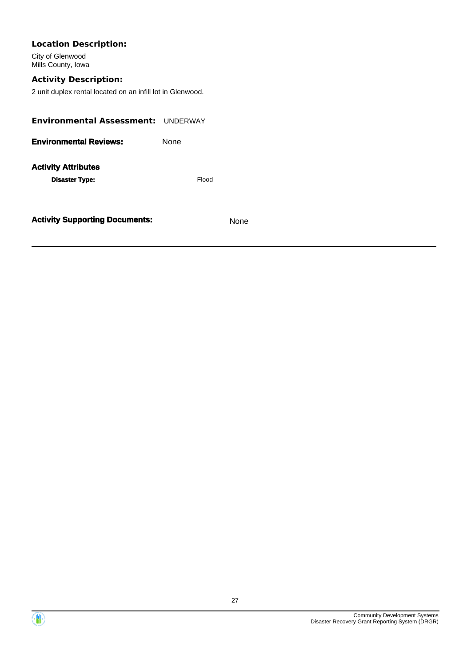| <b>Location Description:</b><br>City of Glenwood<br>Mills County, Iowa                     |       |      |  |
|--------------------------------------------------------------------------------------------|-------|------|--|
| <b>Activity Description:</b><br>2 unit duplex rental located on an infill lot in Glenwood. |       |      |  |
| Environmental Assessment: UNDERWAY                                                         |       |      |  |
| <b>Environmental Reviews:</b>                                                              | None  |      |  |
| <b>Activity Attributes</b><br><b>Disaster Type:</b>                                        | Flood |      |  |
| <b>Activity Supporting Documents:</b>                                                      |       | None |  |

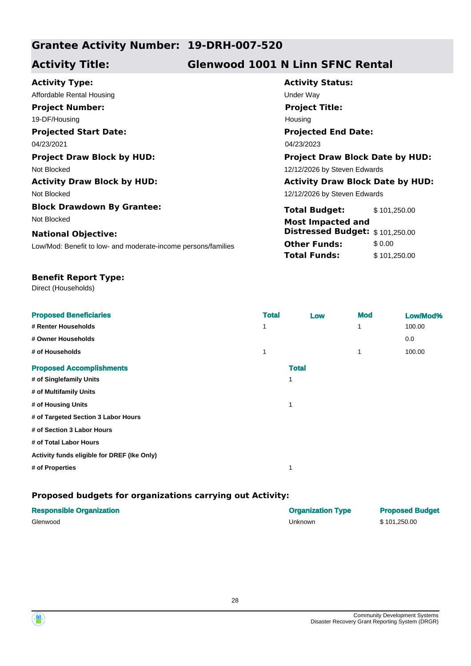# **Grantee Activity Number: 19-DRH-007-520**

# **Activity Title: Glenwood 1001 N Linn SFNC Rental**

| <b>Activity Type:</b>                                         |
|---------------------------------------------------------------|
| Affordable Rental Housing                                     |
| <b>Project Number:</b>                                        |
| 19-DF/Housing                                                 |
| <b>Projected Start Date:</b>                                  |
| 04/23/2021                                                    |
| <b>Project Draw Block by HUD:</b>                             |
| Not Blocked                                                   |
| <b>Activity Draw Block by HUD:</b>                            |
| Not Blocked                                                   |
| <b>Block Drawdown By Grantee:</b>                             |
| Not Blocked                                                   |
| <b>National Objective:</b>                                    |
| Low/Mod: Benefit to low- and moderate-income persons/families |
|                                                               |

**Activity Status: Projected End Date:** 04/23/2021 04/23/2023 **Under Way Project Title:** Housing

**Project Draw Block by HUD: Project Draw Block Date by HUD:** 12/12/2026 by Steven Edwards **Activity Draw Block by HUD: Activity Draw Block Date by HUD:**

12/12/2026 by Steven Edwards

**Total Budget:** \$ 101,250.00 **Other Funds:** \$0.00 **Total Funds:** \$101,250.00 **Most Impacted and Distressed Budget:** \$ 101,250.00

### **Benefit Report Type:**

Direct (Households)

| <b>Proposed Beneficiaries</b>               | <b>Total</b> | Low          | <b>Mod</b> | Low/Mod% |
|---------------------------------------------|--------------|--------------|------------|----------|
| # Renter Households                         | 1            |              | 1          | 100.00   |
| # Owner Households                          |              |              |            | 0.0      |
| # of Households                             | 1            |              | 1          | 100.00   |
| <b>Proposed Accomplishments</b>             |              | <b>Total</b> |            |          |
| # of Singlefamily Units                     |              | 1            |            |          |
| # of Multifamily Units                      |              |              |            |          |
| # of Housing Units                          |              | 1            |            |          |
| # of Targeted Section 3 Labor Hours         |              |              |            |          |
| # of Section 3 Labor Hours                  |              |              |            |          |
| # of Total Labor Hours                      |              |              |            |          |
| Activity funds eligible for DREF (Ike Only) |              |              |            |          |
| # of Properties                             |              | 1            |            |          |
|                                             |              |              |            |          |

| <b>Responsible Organization</b> | <b>Organization Type</b> | <b>Proposed Budget</b> |
|---------------------------------|--------------------------|------------------------|
| Glenwood                        | Unknown                  | \$101.250.00           |

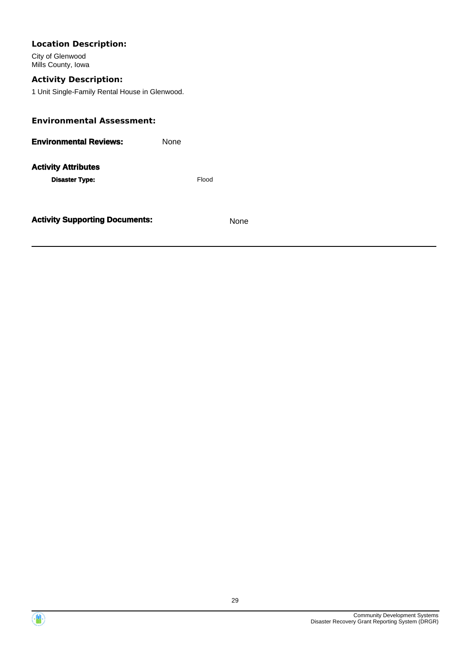| <b>Location Description:</b><br>City of Glenwood<br>Mills County, Iowa |       |      |  |
|------------------------------------------------------------------------|-------|------|--|
| <b>Activity Description:</b>                                           |       |      |  |
| 1 Unit Single-Family Rental House in Glenwood.                         |       |      |  |
| <b>Environmental Assessment:</b>                                       |       |      |  |
| <b>Environmental Reviews:</b>                                          | None  |      |  |
| <b>Activity Attributes</b>                                             |       |      |  |
| <b>Disaster Type:</b>                                                  | Flood |      |  |
| <b>Activity Supporting Documents:</b>                                  |       | None |  |

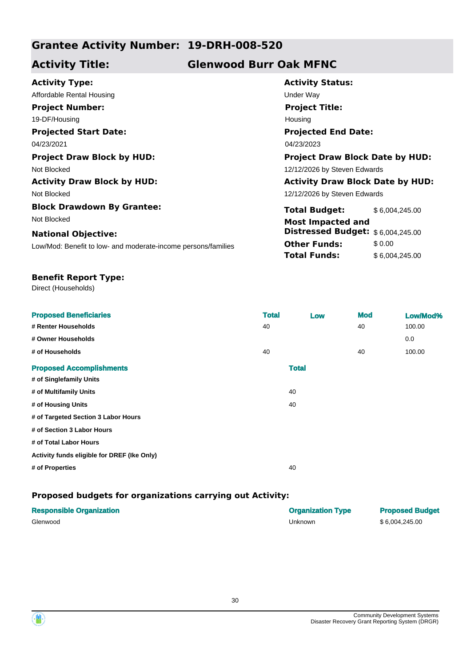# **Grantee Activity Number: 19-DRH-008-520**

# **Activity Title: Glenwood Burr Oak MFNC**

| <b>Activity Type:</b>                                         | <b>Activity Status:</b>                 |                |  |
|---------------------------------------------------------------|-----------------------------------------|----------------|--|
| Affordable Rental Housing                                     | Under Way                               |                |  |
| <b>Project Number:</b>                                        | <b>Project Title:</b>                   |                |  |
| 19-DF/Housing                                                 | Housing                                 |                |  |
| <b>Projected Start Date:</b>                                  | <b>Projected End Date:</b>              |                |  |
| 04/23/2021                                                    | 04/23/2023                              |                |  |
| <b>Project Draw Block by HUD:</b>                             | <b>Project Draw Block Date by HUD:</b>  |                |  |
| Not Blocked                                                   | 12/12/2026 by Steven Edwards            |                |  |
| <b>Activity Draw Block by HUD:</b>                            | <b>Activity Draw Block Date by HUD:</b> |                |  |
| Not Blocked                                                   | 12/12/2026 by Steven Edwards            |                |  |
| <b>Block Drawdown By Grantee:</b>                             | <b>Total Budget:</b>                    | \$6,004,245.00 |  |
| Not Blocked                                                   | <b>Most Impacted and</b>                |                |  |
| <b>National Objective:</b>                                    | Distressed Budget: \$6,004,245.00       |                |  |
| Low/Mod: Benefit to low- and moderate-income persons/families | <b>Other Funds:</b>                     | \$0.00         |  |
|                                                               | Total Funds:                            | \$6,004,245.00 |  |

### **Benefit Report Type:**

Direct (Households)

| <b>Proposed Beneficiaries</b>               | <b>Total</b> |              | Low | <b>Mod</b> | Low/Mod% |
|---------------------------------------------|--------------|--------------|-----|------------|----------|
| # Renter Households                         | 40           |              |     | 40         | 100.00   |
| # Owner Households                          |              |              |     |            | 0.0      |
| # of Households                             | 40           |              |     | 40         | 100.00   |
| <b>Proposed Accomplishments</b>             |              | <b>Total</b> |     |            |          |
| # of Singlefamily Units                     |              |              |     |            |          |
| # of Multifamily Units                      |              | 40           |     |            |          |
| # of Housing Units                          |              | 40           |     |            |          |
| # of Targeted Section 3 Labor Hours         |              |              |     |            |          |
| # of Section 3 Labor Hours                  |              |              |     |            |          |
| # of Total Labor Hours                      |              |              |     |            |          |
| Activity funds eligible for DREF (Ike Only) |              |              |     |            |          |
| # of Properties                             |              | 40           |     |            |          |
|                                             |              |              |     |            |          |

| <b>Responsible Organization</b> | <b>Organization Type</b> | <b>Proposed Budget</b> |
|---------------------------------|--------------------------|------------------------|
| Glenwood                        | Unknown                  | \$6.004.245.00         |

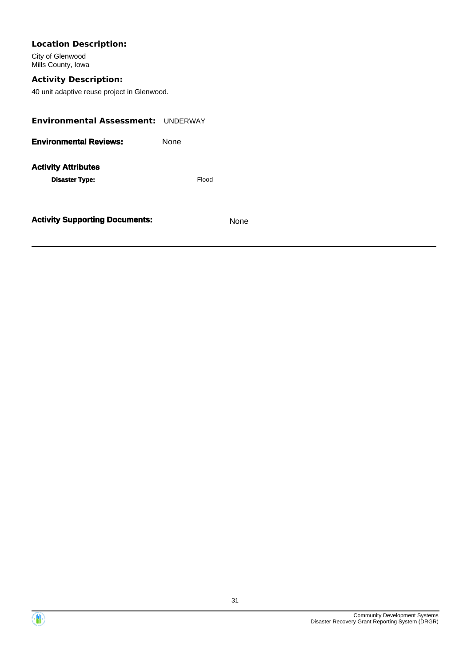# **Location Description:**

City of Glenwood Mills County, Iowa

# **Activity Description:**

40 unit adaptive reuse project in Glenwood.

| <b>Environmental Assessment: UNDERWAY</b>           |             |
|-----------------------------------------------------|-------------|
| <b>Environmental Reviews:</b>                       | <b>None</b> |
| <b>Activity Attributes</b><br><b>Disaster Type:</b> | Flood       |
| <b>Activity Supporting Documents:</b>               | None        |



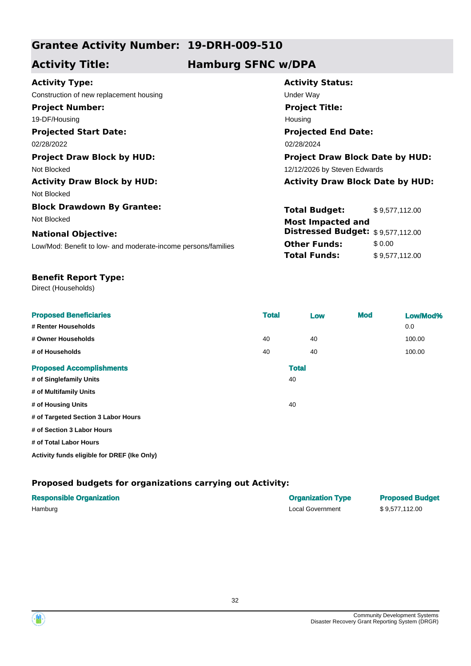# **Grantee Activity Number: 19-DRH-009-510**

# **Activity Title: Hamburg SFNC w/DPA**

| <b>Activity Type:</b>                                         | <b>Activity Status:</b>                 |                |
|---------------------------------------------------------------|-----------------------------------------|----------------|
| Construction of new replacement housing                       | Under Way                               |                |
| <b>Project Number:</b>                                        | <b>Project Title:</b>                   |                |
| 19-DF/Housing                                                 | Housing                                 |                |
| <b>Projected Start Date:</b>                                  | <b>Projected End Date:</b>              |                |
| 02/28/2022                                                    | 02/28/2024                              |                |
| <b>Project Draw Block by HUD:</b>                             | <b>Project Draw Block Date by HUD:</b>  |                |
| Not Blocked                                                   | 12/12/2026 by Steven Edwards            |                |
| <b>Activity Draw Block by HUD:</b>                            | <b>Activity Draw Block Date by HUD:</b> |                |
| Not Blocked                                                   |                                         |                |
| <b>Block Drawdown By Grantee:</b>                             | <b>Total Budget:</b>                    | \$9,577,112.00 |
| Not Blocked                                                   | <b>Most Impacted and</b>                |                |
| <b>National Objective:</b>                                    | Distressed Budget: \$9,577,112.00       |                |
| Low/Mod: Benefit to low- and moderate-income persons/families | <b>Other Funds:</b>                     | \$0.00         |
|                                                               | <b>Total Funds:</b>                     | \$9,577,112.00 |

#### **Benefit Report Type:**

Direct (Households)

| <b>Proposed Beneficiaries</b><br># Renter Households | <b>Total</b> |              | Low | <b>Mod</b> | Low/Mod%<br>0.0 |
|------------------------------------------------------|--------------|--------------|-----|------------|-----------------|
| # Owner Households                                   | 40           |              | 40  |            | 100.00          |
| # of Households                                      | 40           |              | 40  |            | 100.00          |
| <b>Proposed Accomplishments</b>                      |              | <b>Total</b> |     |            |                 |
| # of Singlefamily Units                              |              | 40           |     |            |                 |
| # of Multifamily Units                               |              |              |     |            |                 |
| # of Housing Units                                   |              | 40           |     |            |                 |
| # of Targeted Section 3 Labor Hours                  |              |              |     |            |                 |
| # of Section 3 Labor Hours                           |              |              |     |            |                 |
| # of Total Labor Hours                               |              |              |     |            |                 |
| Activity funds eligible for DREF (Ike Only)          |              |              |     |            |                 |

| <b>Responsible Organization</b> | <b>Organization Type</b> | <b>Proposed Budget</b> |
|---------------------------------|--------------------------|------------------------|
| Hamburg                         | Local Government         | \$9.577.112.00         |



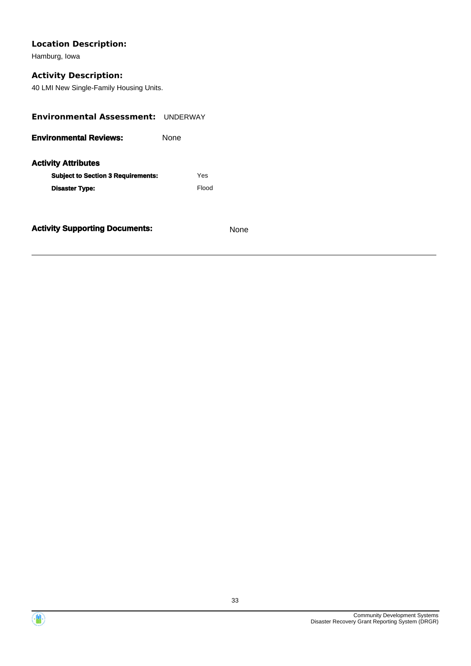# **Location Description:**

Hamburg, Iowa

# **Activity Description:**

40 LMI New Single-Family Housing Units.

| <b>Environmental Assessment: UNDERWAY</b> |             |       |
|-------------------------------------------|-------------|-------|
| <b>Environmental Reviews:</b>             | <b>None</b> |       |
| <b>Activity Attributes</b>                |             |       |
| <b>Subject to Section 3 Requirements:</b> |             | Yes   |
| <b>Disaster Type:</b>                     |             | Flood |
|                                           |             |       |
|                                           |             |       |

**Activity Supporting Documents:** None



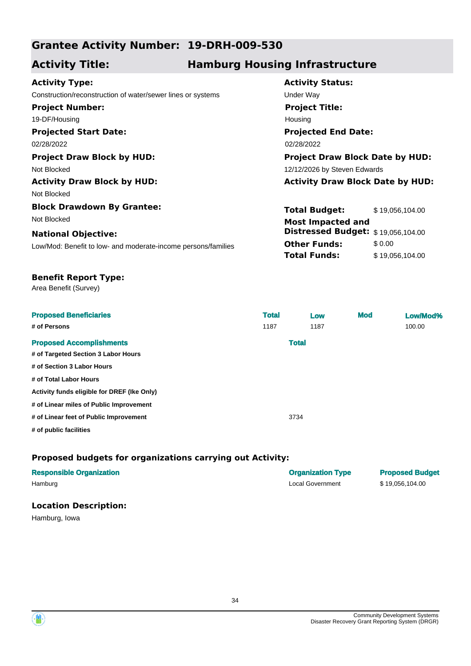# **Grantee Activity Number: 19-DRH-009-530**

# **Activity Title: Hamburg Housing Infrastructure**

### **Activity Type:**

**Projected Start Date:** Construction/reconstruction of water/sewer lines or systems Under Way **Project Number:** 19-DF/Housing

02/28/2022 02/28/2022

Not Blocked 12/12/2026 by Steven Edwards

Not Blocked

**Block Drawdown By Grantee:** Not Blocked **Most Impacted and** 

#### **National Objective:**

Low/Mod: Benefit to low- and moderate-income persons/families

# **Activity Status: Projected End Date: Project Title:** Housing

**Project Draw Block by HUD: Project Draw Block Date by HUD:**

### **Activity Draw Block by HUD: Activity Draw Block Date by HUD:**

| <b>Total Budget:</b>                                                  | \$19,056,104.00 |
|-----------------------------------------------------------------------|-----------------|
| <b>Most Impacted and</b><br><b>Distressed Budget:</b> \$19,056,104.00 |                 |
| <b>Other Funds:</b>                                                   | \$0.00          |
| <b>Total Funds:</b>                                                   | \$19,056,104.00 |

#### **Benefit Report Type:**

Area Benefit (Survey)

| <b>Proposed Beneficiaries</b>               | <b>Total</b> | Low          | <b>Mod</b> | Low/Mod% |
|---------------------------------------------|--------------|--------------|------------|----------|
| # of Persons                                | 1187         | 1187         |            | 100.00   |
| <b>Proposed Accomplishments</b>             |              | <b>Total</b> |            |          |
| # of Targeted Section 3 Labor Hours         |              |              |            |          |
| # of Section 3 Labor Hours                  |              |              |            |          |
| # of Total Labor Hours                      |              |              |            |          |
| Activity funds eligible for DREF (Ike Only) |              |              |            |          |
| # of Linear miles of Public Improvement     |              |              |            |          |
| # of Linear feet of Public Improvement      |              | 3734         |            |          |
| # of public facilities                      |              |              |            |          |

#### **Proposed budgets for organizations carrying out Activity:**

| <b>Responsible Organization</b> | <b>Organization Type</b> | <b>Proposed Budget</b> |
|---------------------------------|--------------------------|------------------------|
| Hamburg                         | <b>Local Government</b>  | \$19.056.104.00        |
| <b>Location Description:</b>    |                          |                        |

Hamburg, Iowa



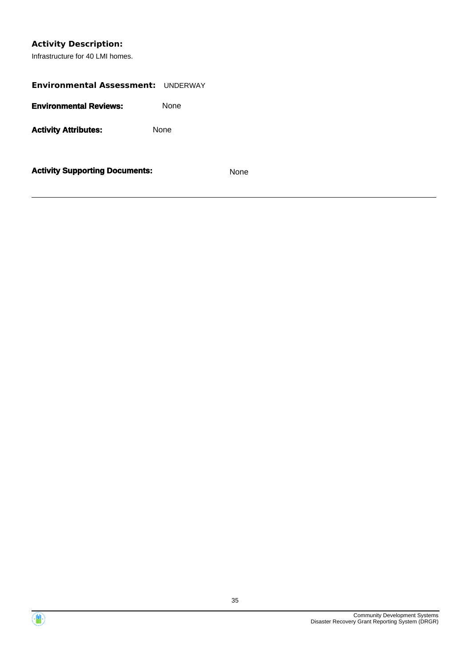# **Activity Description:**

Infrastructure for 40 LMI homes.

| <b>Environmental Assessment: UNDERWAY</b> |      |      |
|-------------------------------------------|------|------|
| <b>Environmental Reviews:</b>             | None |      |
| <b>Activity Attributes:</b>               | None |      |
| <b>Activity Supporting Documents:</b>     |      | None |



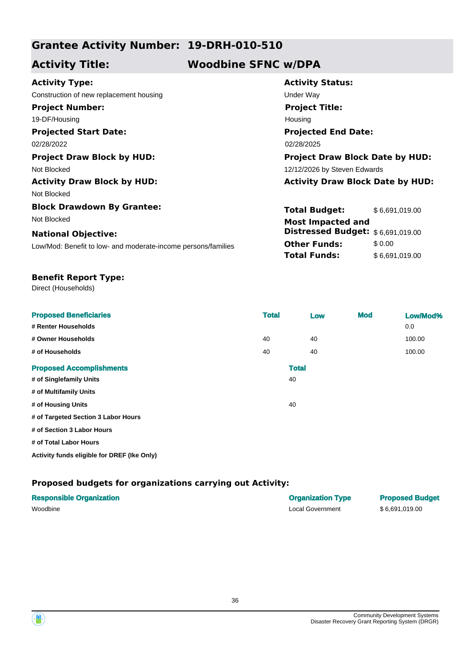# **Grantee Activity Number: 19-DRH-010-510**

# **Activity Title: Woodbine SFNC w/DPA**

| <b>Activity Type:</b>                                         | <b>Activity Status:</b>                 |                |  |  |
|---------------------------------------------------------------|-----------------------------------------|----------------|--|--|
| Construction of new replacement housing                       | Under Way                               |                |  |  |
| <b>Project Number:</b>                                        | <b>Project Title:</b>                   |                |  |  |
| 19-DF/Housing                                                 | Housing                                 |                |  |  |
| <b>Projected Start Date:</b>                                  | <b>Projected End Date:</b>              |                |  |  |
| 02/28/2022                                                    | 02/28/2025                              |                |  |  |
| <b>Project Draw Block by HUD:</b>                             | <b>Project Draw Block Date by HUD:</b>  |                |  |  |
| Not Blocked                                                   | 12/12/2026 by Steven Edwards            |                |  |  |
| <b>Activity Draw Block by HUD:</b>                            | <b>Activity Draw Block Date by HUD:</b> |                |  |  |
| Not Blocked                                                   |                                         |                |  |  |
| <b>Block Drawdown By Grantee:</b>                             | <b>Total Budget:</b>                    | \$6,691,019.00 |  |  |
| Not Blocked                                                   | <b>Most Impacted and</b>                |                |  |  |
| <b>National Objective:</b>                                    | <b>Distressed Budget:</b>               | \$6.691.019.00 |  |  |
| Low/Mod: Benefit to low- and moderate-income persons/families | <b>Other Funds:</b>                     | \$0.00         |  |  |
|                                                               | <b>Total Funds:</b>                     | \$6,691,019.00 |  |  |
|                                                               |                                         |                |  |  |

#### **Benefit Report Type:**

Direct (Households)

| <b>Proposed Beneficiaries</b><br># Renter Households | <b>Total</b> |              | Low | <b>Mod</b> | Low/Mod%<br>0.0 |
|------------------------------------------------------|--------------|--------------|-----|------------|-----------------|
| # Owner Households                                   | 40           |              | 40  |            | 100.00          |
| # of Households                                      | 40           |              | 40  |            | 100.00          |
| <b>Proposed Accomplishments</b>                      |              | <b>Total</b> |     |            |                 |
| # of Singlefamily Units                              |              | 40           |     |            |                 |
| # of Multifamily Units                               |              |              |     |            |                 |
| # of Housing Units                                   |              | 40           |     |            |                 |
| # of Targeted Section 3 Labor Hours                  |              |              |     |            |                 |
| # of Section 3 Labor Hours                           |              |              |     |            |                 |
| # of Total Labor Hours                               |              |              |     |            |                 |
| Activity funds eligible for DREF (Ike Only)          |              |              |     |            |                 |

| <b>Responsible Organization</b> | <b>Organization Type</b> | <b>Proposed Budget</b> |
|---------------------------------|--------------------------|------------------------|
| Woodbine                        | Local Government         | \$6.691.019.00         |

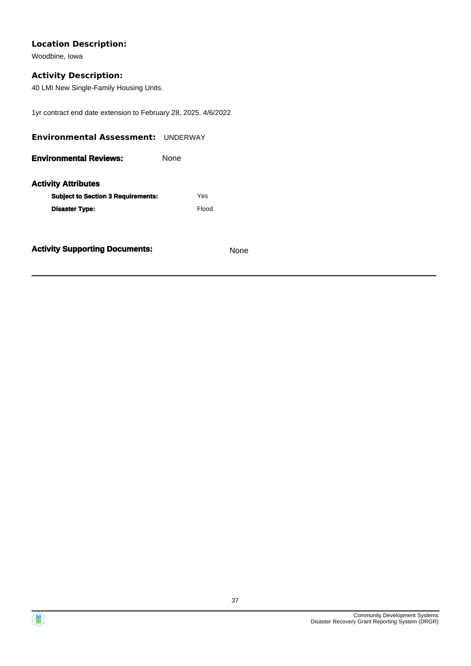Woodbine, Iowa

## **Activity Description:**

40 LMI New Single-Family Housing Units.

1yr contract end date extension to February 28, 2025. 4/6/2022

| <b>Environmental Assessment: UNDERWAY</b> |             |       |
|-------------------------------------------|-------------|-------|
| <b>Environmental Reviews:</b>             | <b>None</b> |       |
| <b>Activity Attributes</b>                |             |       |
| <b>Subject to Section 3 Requirements:</b> |             | Yes   |
| <b>Disaster Type:</b>                     |             | Flood |
|                                           |             |       |
|                                           |             |       |



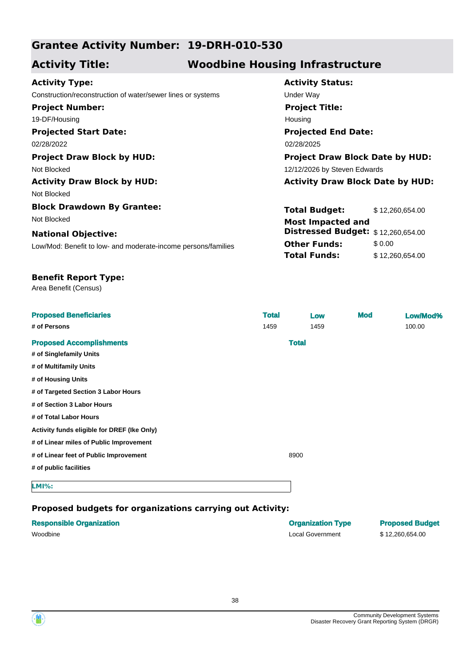# **Grantee Activity Number: 19-DRH-010-530**

# **Activity Title: Woodbine Housing Infrastructure**

#### **Activity Type:**

**Projected Start Date:** Construction/reconstruction of water/sewer lines or systems Under Way **Project Number:** 19-DF/Housing

02/28/2022 02/28/2025 02/28/2025

Not Blocked 12/12/2026 by Steven Edwards

Not Blocked

**Block Drawdown By Grantee:** Not Blocked

#### **National Objective:**

Low/Mod: Benefit to low- and moderate-income persons/families

# **Projected End Date: Project Title:** Housing

**Activity Status:**

**Project Draw Block by HUD: Project Draw Block Date by HUD:**

### **Activity Draw Block by HUD: Activity Draw Block Date by HUD:**

| <b>Total Budget:</b>                                                  | \$12,260,654.00 |
|-----------------------------------------------------------------------|-----------------|
| <b>Most Impacted and</b><br><b>Distressed Budget:</b> \$12,260,654.00 |                 |
| <b>Other Funds:</b>                                                   | \$0.00          |
| <b>Total Funds:</b>                                                   | \$12,260,654.00 |

### **Benefit Report Type:**

Area Benefit (Census)

| <b>Proposed Beneficiaries</b>               | <b>Total</b> |              | Low  | <b>Mod</b> | Low/Mod% |
|---------------------------------------------|--------------|--------------|------|------------|----------|
| # of Persons                                | 1459         |              | 1459 |            | 100.00   |
| <b>Proposed Accomplishments</b>             |              | <b>Total</b> |      |            |          |
| # of Singlefamily Units                     |              |              |      |            |          |
| # of Multifamily Units                      |              |              |      |            |          |
| # of Housing Units                          |              |              |      |            |          |
| # of Targeted Section 3 Labor Hours         |              |              |      |            |          |
| # of Section 3 Labor Hours                  |              |              |      |            |          |
| # of Total Labor Hours                      |              |              |      |            |          |
| Activity funds eligible for DREF (Ike Only) |              |              |      |            |          |
| # of Linear miles of Public Improvement     |              |              |      |            |          |
| # of Linear feet of Public Improvement      |              | 8900         |      |            |          |
| # of public facilities                      |              |              |      |            |          |
| <b>LMI%:</b>                                |              |              |      |            |          |

| <b>Responsible Organization</b> | <b>Organization Type</b> | <b>Proposed Budget</b> |
|---------------------------------|--------------------------|------------------------|
| Woodbine                        | Local Government         | \$12,260,654,00        |

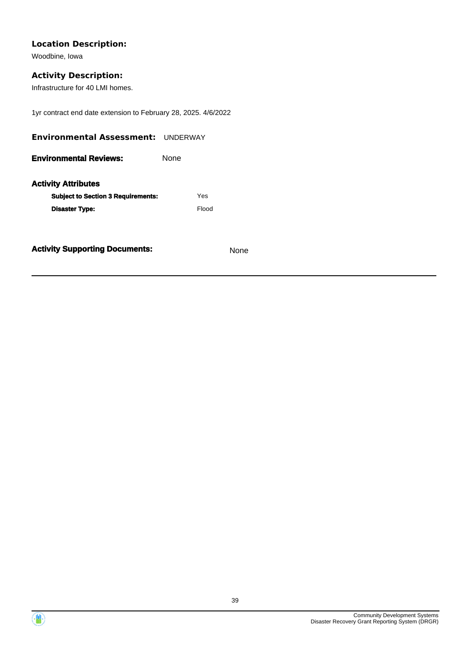Woodbine, Iowa

## **Activity Description:**

Infrastructure for 40 LMI homes.

1yr contract end date extension to February 28, 2025. 4/6/2022

| <b>Environmental Assessment: UNDERWAY</b> |             |       |
|-------------------------------------------|-------------|-------|
| <b>Environmental Reviews:</b>             | <b>None</b> |       |
| <b>Activity Attributes</b>                |             |       |
| <b>Subject to Section 3 Requirements:</b> |             | Yes   |
| <b>Disaster Type:</b>                     |             | Flood |
|                                           |             |       |
|                                           |             |       |



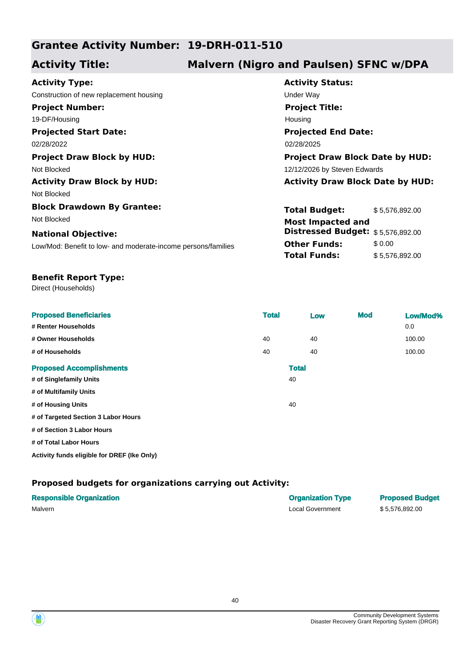# **Grantee Activity Number: 19-DRH-011-510**

# **Activity Title: Malvern (Nigro and Paulsen) SFNC w/DPA**

| <b>Activity Type:</b>                                         | <b>Activity Status:</b>                 |                |  |
|---------------------------------------------------------------|-----------------------------------------|----------------|--|
| Construction of new replacement housing                       | Under Way                               |                |  |
| <b>Project Number:</b>                                        | <b>Project Title:</b>                   |                |  |
| 19-DF/Housing                                                 | Housing                                 |                |  |
| <b>Projected Start Date:</b>                                  | <b>Projected End Date:</b>              |                |  |
| 02/28/2022                                                    | 02/28/2025                              |                |  |
| <b>Project Draw Block by HUD:</b>                             | <b>Project Draw Block Date by HUD:</b>  |                |  |
| Not Blocked                                                   | 12/12/2026 by Steven Edwards            |                |  |
| <b>Activity Draw Block by HUD:</b>                            | <b>Activity Draw Block Date by HUD:</b> |                |  |
| Not Blocked                                                   |                                         |                |  |
| <b>Block Drawdown By Grantee:</b>                             | <b>Total Budget:</b>                    | \$5,576,892.00 |  |
| Not Blocked                                                   | <b>Most Impacted and</b>                |                |  |
| <b>National Objective:</b>                                    | Distressed Budget: \$5,576,892.00       |                |  |
| Low/Mod: Benefit to low- and moderate-income persons/families | <b>Other Funds:</b>                     | \$0.00         |  |
|                                                               | <b>Total Funds:</b>                     | \$5,576,892.00 |  |

#### **Benefit Report Type:**

Direct (Households)

| <b>Proposed Beneficiaries</b><br># Renter Households | <b>Total</b> |              | Low | <b>Mod</b> | Low/Mod%<br>0.0 |
|------------------------------------------------------|--------------|--------------|-----|------------|-----------------|
| # Owner Households                                   | 40           |              | 40  |            | 100.00          |
| # of Households                                      | 40           |              | 40  |            | 100.00          |
| <b>Proposed Accomplishments</b>                      |              | <b>Total</b> |     |            |                 |
| # of Singlefamily Units                              |              | 40           |     |            |                 |
| # of Multifamily Units                               |              |              |     |            |                 |
| # of Housing Units                                   |              | 40           |     |            |                 |
| # of Targeted Section 3 Labor Hours                  |              |              |     |            |                 |
| # of Section 3 Labor Hours                           |              |              |     |            |                 |
| # of Total Labor Hours                               |              |              |     |            |                 |
| Activity funds eligible for DREF (Ike Only)          |              |              |     |            |                 |

| <b>Responsible Organization</b> | <b>Organization Type</b> | <b>Proposed Budget</b> |
|---------------------------------|--------------------------|------------------------|
| Malvern                         | Local Government         | \$5.576.892.00         |



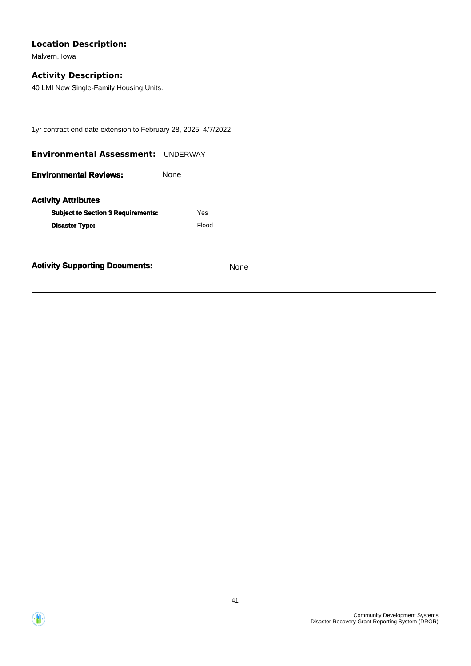Malvern, Iowa

### **Activity Description:**

40 LMI New Single-Family Housing Units.

1yr contract end date extension to February 28, 2025. 4/7/2022

| <b>Environmental Assessment: UNDERWAY</b> |      |       |
|-------------------------------------------|------|-------|
| <b>Environmental Reviews:</b>             | None |       |
| <b>Activity Attributes</b>                |      |       |
| <b>Subject to Section 3 Requirements:</b> |      | Yes   |
| <b>Disaster Type:</b>                     |      | Flood |
|                                           |      |       |



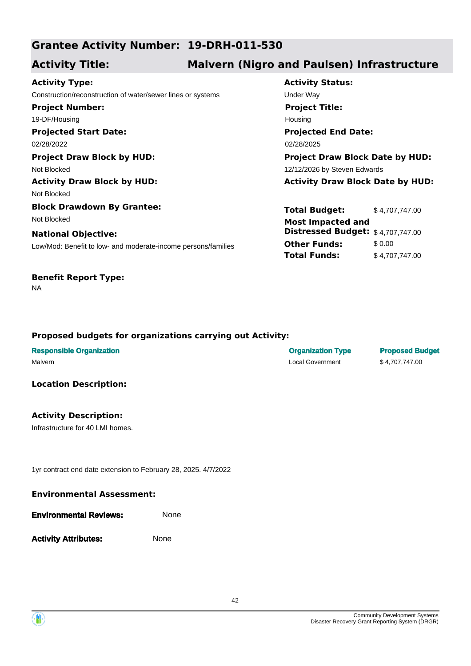# **Grantee Activity Number: 19-DRH-011-530**

# **Activity Title: Malvern (Nigro and Paulsen) Infrastructure**

**Projected Start Date:** Low/Mod: Benefit to low- and moderate-income persons/families **National Objective: Activity Type:** 02/28/2022 02/28/2025 Construction/reconstruction of water/sewer lines or systems Under Way **Project Number:** 19-DF/Housing **Project Draw Block by HUD: Project Draw Block Date by HUD:** Not Blocked **12/12/2026** by Steven Edwards **Activity Draw Block by HUD: Activity Draw Block Date by HUD:** Not Blocked **Block Drawdown By Grantee:** Not Blocked **Most Impacted and** 

# **Benefit Report Type:**

NA

**Activity Status: Projected End Date: Project Title: Housing** 

**Total Budget:** \$ 4,707,747.00 **Other Funds:** \$0.00 **Total Funds:** \$ 4,707,747.00 **Distressed Budget:** \$ 4,707,747.00

## **Proposed budgets for organizations carrying out Activity:**

| <b>Responsible Organization</b> | <b>Organization Type</b> | <b>Proposed Budget</b> |
|---------------------------------|--------------------------|------------------------|
| Malvern                         | Local Government         | \$4.707.747.00         |
|                                 |                          |                        |

### **Location Description:**

## **Activity Description:**

Infrastructure for 40 LMI homes.

1yr contract end date extension to February 28, 2025. 4/7/2022

#### **Environmental Assessment:**

| <b>Environmental Reviews:</b> | <b>None</b> |
|-------------------------------|-------------|
|                               |             |

**Activity Attributes:** None

42

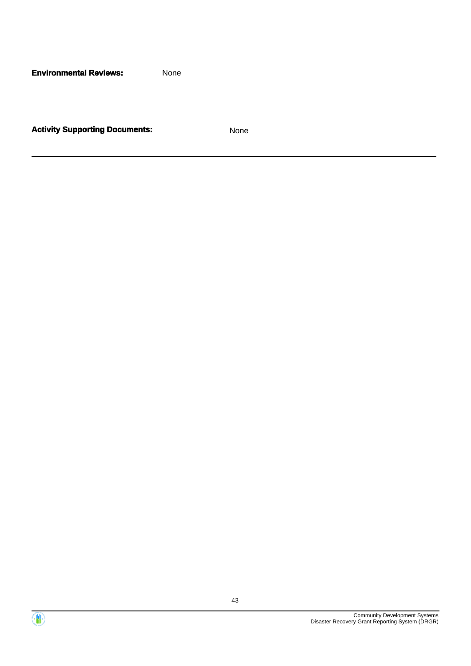**Environmental Reviews:** None



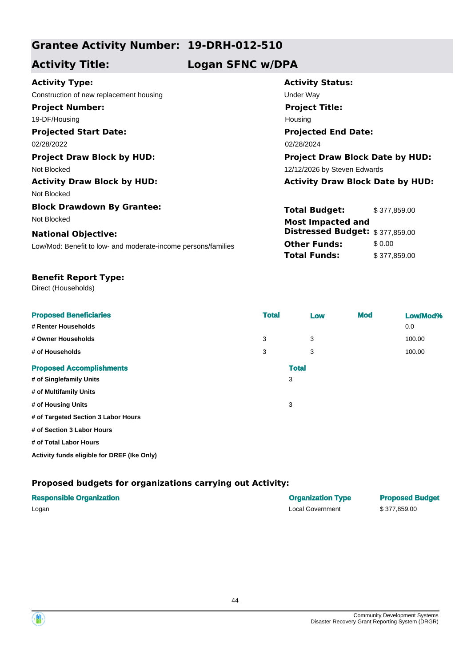# **Grantee Activity Number: 19-DRH-012-510**

**Activity Title: Logan SFNC w/DPA**

Construction of new replacement housing example of the Under Way **Project Number:** 19-DF/Housing

**Projected Start Date:**

Not Blocked 12/12/2026 by Steven Edwards

Not Blocked

**Block Drawdown By Grantee:** Not Blocked **Most Impacted and** 

### **National Objective:**

Low/Mod: Benefit to low- and moderate-income persons/families

**Activity Status: Projected End Date:** 02/28/2022 02/28/2022 02/28/2024 **Project Title:** Housing **Project Draw Block by HUD: Project Draw Block Date by HUD:**

**Activity Draw Block by HUD: Activity Draw Block Date by HUD:**

**Total Budget:** \$ 377,859.00 **Other Funds:** \$0.00 **Total Funds:** \$377,859.00 **Distressed Budget:** \$ 377,859.00

#### **Benefit Report Type:**

Direct (Households)

| <b>Proposed Beneficiaries</b><br># Renter Households | <b>Total</b> |              | Low | <b>Mod</b> | Low/Mod%<br>0.0 |
|------------------------------------------------------|--------------|--------------|-----|------------|-----------------|
| # Owner Households                                   | 3            |              | 3   |            | 100.00          |
| # of Households                                      | 3            |              | 3   |            | 100.00          |
| <b>Proposed Accomplishments</b>                      |              | <b>Total</b> |     |            |                 |
| # of Singlefamily Units                              |              | 3            |     |            |                 |
| # of Multifamily Units                               |              |              |     |            |                 |
| # of Housing Units                                   |              | 3            |     |            |                 |
| # of Targeted Section 3 Labor Hours                  |              |              |     |            |                 |
| # of Section 3 Labor Hours                           |              |              |     |            |                 |
| # of Total Labor Hours                               |              |              |     |            |                 |
|                                                      |              |              |     |            |                 |

**Activity funds eligible for DREF (Ike Only)**

| <b>Responsible Organization</b> | <b>Organization Type</b> | <b>Proposed Budget</b> |
|---------------------------------|--------------------------|------------------------|
| Logan                           | Local Government         | \$377.859.00           |

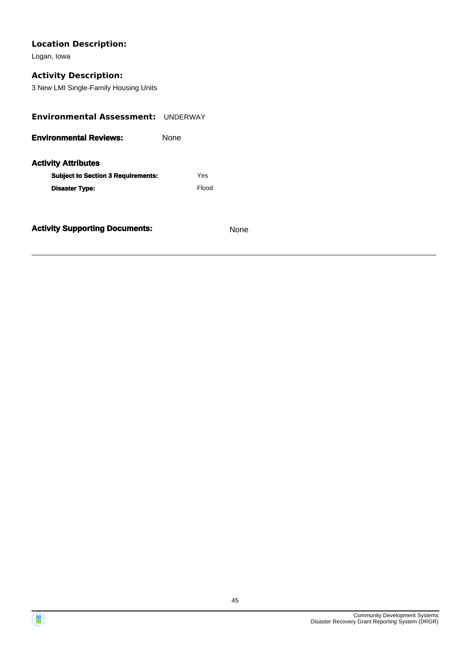Logan, Iowa

## **Activity Description:**

3 New LMI Single-Family Housing Units

| <b>Environmental Assessment: UNDERWAY</b> |             |       |  |
|-------------------------------------------|-------------|-------|--|
| <b>Environmental Reviews:</b>             | <b>None</b> |       |  |
| <b>Activity Attributes</b>                |             |       |  |
| <b>Subject to Section 3 Requirements:</b> |             | Yes   |  |
| <b>Disaster Type:</b>                     |             | Flood |  |
|                                           |             |       |  |
|                                           |             |       |  |



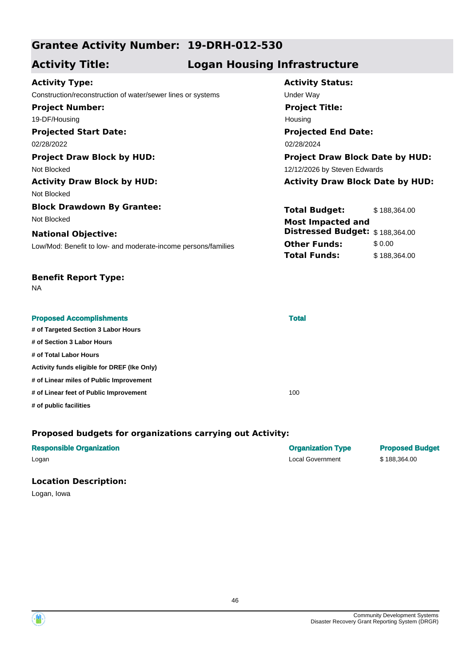# **Grantee Activity Number: 19-DRH-012-530**

# **Activity Title: Logan Housing Infrastructure**

**Activity Status:**

**Project Title:**

Housing

**Projected End Date:**

**Total Budget:** \$ 188,364.00

**Distressed Budget:** \$ 188,364.00

**Other Funds:** \$0.00 **Total Funds:** \$188,364.00

# **Activity Type:**

**Projected Start Date:** 02/28/2022 02/28/2024 Construction/reconstruction of water/sewer lines or systems Under Way **Project Number:** 19-DF/Housing

**Project Draw Block by HUD: Project Draw Block Date by HUD:** Not Blocked 12/12/2026 by Steven Edwards **Activity Draw Block by HUD: Activity Draw Block Date by HUD:**

Not Blocked

**Block Drawdown By Grantee:** Not Blocked **Most Impacted and** 

### **National Objective:**

Low/Mod: Benefit to low- and moderate-income persons/families

### **Benefit Report Type:**

NA

| <b>Proposed Accomplishments</b>             | <b>Total</b> |  |
|---------------------------------------------|--------------|--|
| # of Targeted Section 3 Labor Hours         |              |  |
| # of Section 3 Labor Hours                  |              |  |
| # of Total Labor Hours                      |              |  |
| Activity funds eligible for DREF (Ike Only) |              |  |
| # of Linear miles of Public Improvement     |              |  |
| # of Linear feet of Public Improvement      | 100          |  |
| # of public facilities                      |              |  |

## **Proposed budgets for organizations carrying out Activity:**

| <b>Responsible Organization</b> | <b>Organization Type</b> | <b>Proposed Budget</b> |
|---------------------------------|--------------------------|------------------------|
| Logan                           | Local Government         | \$188.364.00           |
|                                 |                          |                        |

### **Location Description:**

Logan, Iowa

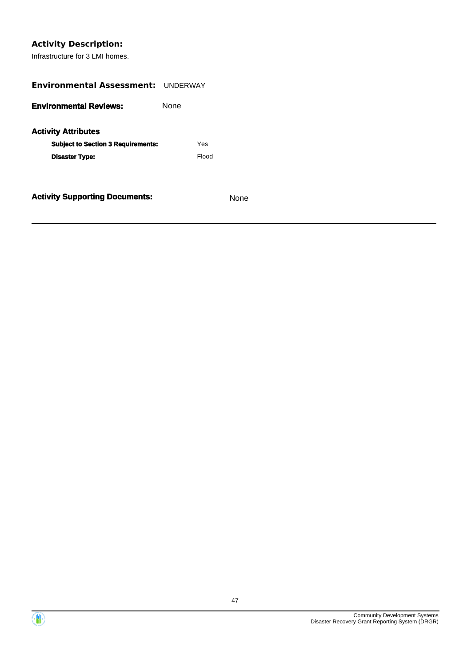# **Activity Description:**

Infrastructure for 3 LMI homes.

| <b>Environmental Assessment: UNDERWAY</b> |       |  |  |  |  |
|-------------------------------------------|-------|--|--|--|--|
| <b>Environmental Reviews:</b>             | None  |  |  |  |  |
| <b>Activity Attributes</b>                |       |  |  |  |  |
| <b>Subject to Section 3 Requirements:</b> | Yes   |  |  |  |  |
| <b>Disaster Type:</b>                     | Flood |  |  |  |  |
|                                           |       |  |  |  |  |
| <b>Activity Supporting Documents:</b>     | None  |  |  |  |  |



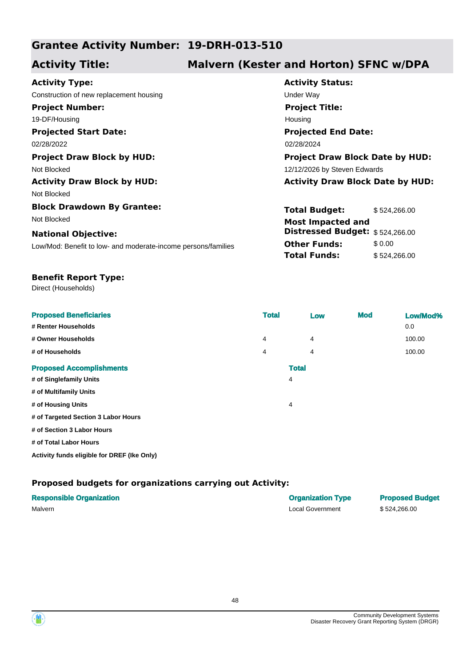# **Grantee Activity Number: 19-DRH-013-510**

# **Activity Title: Malvern (Kester and Horton) SFNC w/DPA**

| <b>Activity Type:</b>                                         | <b>Activity Status:</b>           |  |  |
|---------------------------------------------------------------|-----------------------------------|--|--|
| Construction of new replacement housing                       | Under Way                         |  |  |
| <b>Project Number:</b>                                        | <b>Project Title:</b>             |  |  |
| 19-DF/Housing                                                 | Housing                           |  |  |
| <b>Projected Start Date:</b>                                  | <b>Projected End Date:</b>        |  |  |
| 02/28/2022                                                    | 02/28/2024                        |  |  |
| <b>Project Draw Block by HUD:</b>                             | <b>Project Draw Block Dat</b>     |  |  |
| Not Blocked                                                   | 12/12/2026 by Steven Edwards      |  |  |
| <b>Activity Draw Block by HUD:</b>                            | <b>Activity Draw Block Da</b>     |  |  |
| Not Blocked                                                   |                                   |  |  |
| <b>Block Drawdown By Grantee:</b>                             | <b>Total Budget:</b><br>\$52      |  |  |
| Not Blocked                                                   | <b>Most Impacted and</b>          |  |  |
| <b>National Objective:</b>                                    | <b>Distressed Budget:</b><br>\$52 |  |  |
| Low/Mod: Benefit to low- and moderate-income persons/families | <b>Other Funds:</b><br>\$0.       |  |  |
|                                                               | <b>Total Funds:</b><br>\$52       |  |  |
|                                                               |                                   |  |  |

**Status: Projected End Date: Project Title: Praw Block Date by HUD:** 

**Activity Draw Block Date by HUD:** 

**dget:** \$ 524,266.00 **unds:** \$ 0.00 **nds:** \$ 524,266.00 **Distressed Budget:** \$ 524,266.00

#### **Benefit Report Type:**

Direct (Households)

| <b>Proposed Beneficiaries</b>       | <b>Total</b> |              | Low | <b>Mod</b> | Low/Mod% |
|-------------------------------------|--------------|--------------|-----|------------|----------|
| # Renter Households                 |              |              |     |            | 0.0      |
| # Owner Households                  | 4            |              | 4   |            | 100.00   |
| # of Households                     | 4            |              | 4   |            | 100.00   |
| <b>Proposed Accomplishments</b>     |              | <b>Total</b> |     |            |          |
| # of Singlefamily Units             |              | 4            |     |            |          |
| # of Multifamily Units              |              |              |     |            |          |
| # of Housing Units                  |              | 4            |     |            |          |
| # of Targeted Section 3 Labor Hours |              |              |     |            |          |
| # of Section 3 Labor Hours          |              |              |     |            |          |
| # of Total Labor Hours              |              |              |     |            |          |

**Activity funds eligible for DREF (Ike Only)**

| <b>Responsible Organization</b> | <b>Organization Type</b> | <b>Proposed Budget</b> |
|---------------------------------|--------------------------|------------------------|
| Malvern                         | Local Government         | \$524.266.00           |



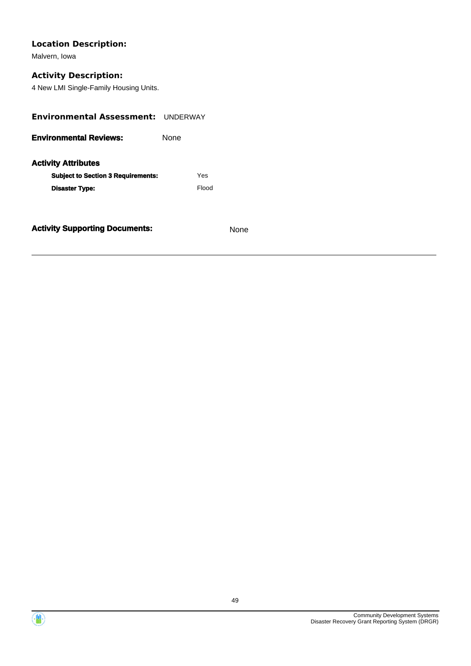Malvern, Iowa

## **Activity Description:**

4 New LMI Single-Family Housing Units.

| <b>Environmental Assessment: UNDERWAY</b> |      |       |  |
|-------------------------------------------|------|-------|--|
| <b>Environmental Reviews:</b>             | None |       |  |
| <b>Activity Attributes</b>                |      |       |  |
| <b>Subject to Section 3 Requirements:</b> |      | Yes   |  |
| <b>Disaster Type:</b>                     |      | Flood |  |
|                                           |      |       |  |
|                                           |      |       |  |



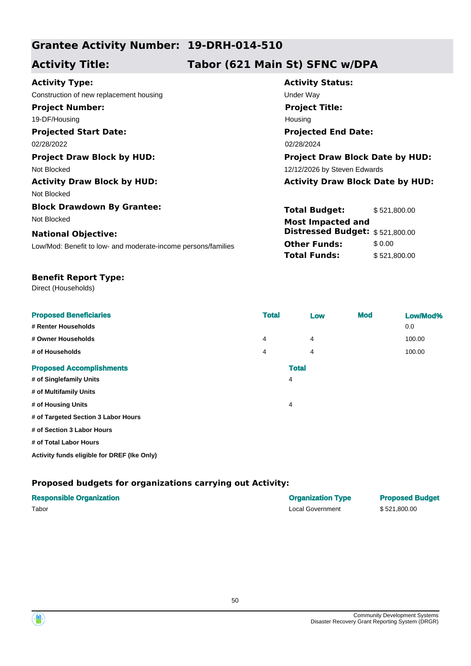# **Grantee Activity Number: 19-DRH-014-510**

# **Activity Title: Tabor (621 Main St) SFNC w/DPA**

| <b>Activity Type:</b>                                         | <b>Activity</b>             |
|---------------------------------------------------------------|-----------------------------|
| Construction of new replacement housing                       | <b>Under Way</b>            |
| <b>Project Number:</b>                                        | <b>Project</b>              |
| 19-DF/Housing                                                 | Housing                     |
| <b>Projected Start Date:</b>                                  | <b>Projecte</b>             |
| 02/28/2022                                                    | 02/28/2024                  |
| <b>Project Draw Block by HUD:</b>                             | Project I                   |
| Not Blocked                                                   | 12/12/2026                  |
| <b>Activity Draw Block by HUD:</b>                            | <b>Activity</b>             |
| Not Blocked                                                   |                             |
| <b>Block Drawdown By Grantee:</b>                             | <b>Total Bu</b>             |
| Not Blocked                                                   | Most Im                     |
| <b>National Objective:</b>                                    | <b>Distress</b>             |
| Low/Mod: Benefit to low- and moderate-income persons/families | <b>Other Fu</b><br>Total Fu |
|                                                               |                             |

**Activity Status: Projected End Date: Project Title:** sing **Propiect Draw Block Date by HUD:** 

2/2026 by Steven Edwards

**Activity Draw Block Date by HUD:** 

**al Budget:** \$521,800.00 **Other Funds:** \$ 0.00 **al Funds:** \$521,800.00 st Impacted and **Distressed Budget:** \$ 521,800.00

#### **Benefit Report Type:**

Direct (Households)

| <b>Proposed Beneficiaries</b>       | <b>Total</b> |              | Low | <b>Mod</b> | Low/Mod% |
|-------------------------------------|--------------|--------------|-----|------------|----------|
| # Renter Households                 |              |              |     |            | 0.0      |
| # Owner Households                  | 4            |              | 4   |            | 100.00   |
| # of Households                     | 4            |              | 4   |            | 100.00   |
| <b>Proposed Accomplishments</b>     |              | <b>Total</b> |     |            |          |
| # of Singlefamily Units             |              | 4            |     |            |          |
| # of Multifamily Units              |              |              |     |            |          |
| # of Housing Units                  |              | 4            |     |            |          |
| # of Targeted Section 3 Labor Hours |              |              |     |            |          |
| # of Section 3 Labor Hours          |              |              |     |            |          |
| # of Total Labor Hours              |              |              |     |            |          |

**Activity funds eligible for DREF (Ike Only)**

| <b>Responsible Organization</b> | <b>Organization Type</b> | <b>Proposed Budget</b> |
|---------------------------------|--------------------------|------------------------|
| Tabor                           | Local Government         | \$521.800.00           |



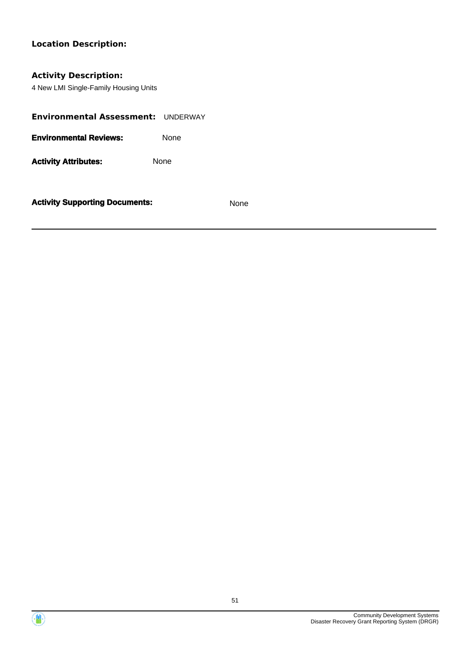## **Activity Description:**

4 New LMI Single-Family Housing Units

| Environmental Assessment: UNDERWAY |      |
|------------------------------------|------|
| <b>Environmental Reviews:</b>      | None |
| <b>Activity Attributes:</b>        | None |
|                                    |      |



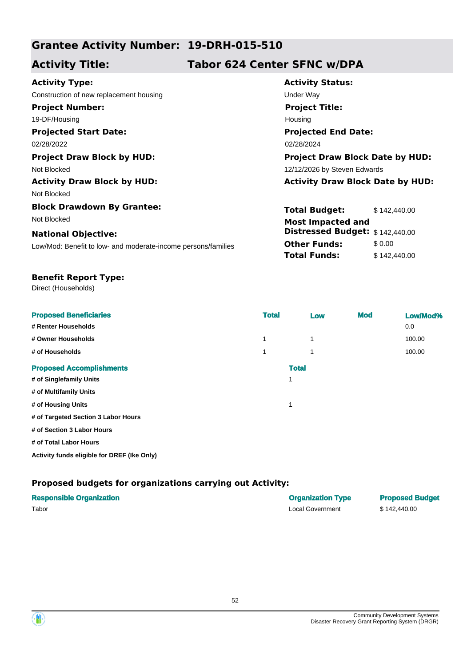# **Grantee Activity Number: 19-DRH-015-510**

# **Activity Title: Tabor 624 Center SFNC w/DPA**

| <b>Activity Type:</b>                                         | <b>Activity</b>                    |
|---------------------------------------------------------------|------------------------------------|
| Construction of new replacement housing                       | <b>Under Way</b>                   |
| <b>Project Number:</b>                                        | <b>Project</b>                     |
| 19-DF/Housing                                                 | Housing                            |
| <b>Projected Start Date:</b>                                  | <b>Projecte</b>                    |
| 02/28/2022                                                    | 02/28/2024                         |
| <b>Project Draw Block by HUD:</b>                             | <b>Project I</b>                   |
| Not Blocked                                                   | 12/12/2026                         |
| <b>Activity Draw Block by HUD:</b>                            | <b>Activity</b>                    |
| Not Blocked                                                   |                                    |
| <b>Block Drawdown By Grantee:</b>                             | <b>Total Bu</b>                    |
| Not Blocked                                                   | Most Im                            |
| <b>National Objective:</b>                                    | <b>Distress</b>                    |
| Low/Mod: Benefit to low- and moderate-income persons/families | <b>Other Fu</b><br><b>Total Fu</b> |
|                                                               |                                    |

**Activity Status: Projected End Date: Project Title: Praw Block Date by HUD:** 

<sup>2</sup>6 by Steven Edwards

**Activity Draw Block by HUD: Activity Draw Block Date by HUD:**

**Tudget:** \$ 142,440.00 **Funds:** \$ 0.00 **Tunds:** \$142,440.00 mpacted and **Distressed Budget:** \$ 142,440.00

#### **Benefit Report Type:**

Direct (Households)

| <b>Proposed Beneficiaries</b><br># Renter Households | <b>Total</b> |              | Low | <b>Mod</b> | Low/Mod%<br>0.0 |
|------------------------------------------------------|--------------|--------------|-----|------------|-----------------|
| # Owner Households                                   | 1            |              |     |            | 100.00          |
| # of Households                                      |              |              |     |            | 100.00          |
| <b>Proposed Accomplishments</b>                      |              | <b>Total</b> |     |            |                 |
| # of Singlefamily Units                              |              | 1            |     |            |                 |
| # of Multifamily Units                               |              |              |     |            |                 |
| # of Housing Units                                   |              | 1            |     |            |                 |
| # of Targeted Section 3 Labor Hours                  |              |              |     |            |                 |
| # of Section 3 Labor Hours                           |              |              |     |            |                 |
| # of Total Labor Hours                               |              |              |     |            |                 |

**Activity funds eligible for DREF (Ike Only)**

| <b>Responsible Organization</b> | <b>Organization Type</b> | <b>Proposed Budget</b> |
|---------------------------------|--------------------------|------------------------|
| Tabor                           | Local Government         | \$142,440.00           |



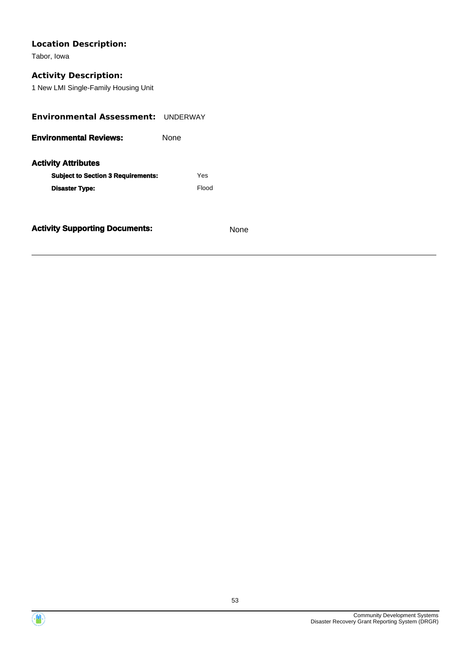Tabor, Iowa

# **Activity Description:**

1 New LMI Single-Family Housing Unit

| <b>Environmental Assessment: UNDERWAY</b>                               |      |       |  |
|-------------------------------------------------------------------------|------|-------|--|
| <b>Environmental Reviews:</b>                                           | None |       |  |
| <b>Activity Attributes</b><br><b>Subject to Section 3 Requirements:</b> |      | Yes   |  |
| <b>Disaster Type:</b>                                                   |      | Flood |  |
|                                                                         |      |       |  |



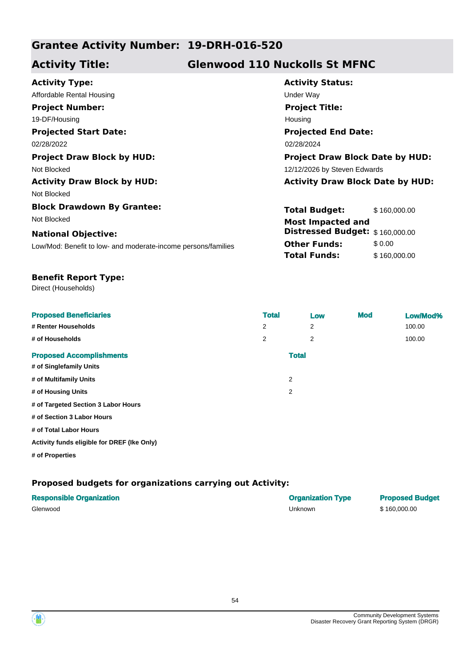# **Grantee Activity Number: 19-DRH-016-520**

# **Activity Title: Glenwood 110 Nuckolls St MFNC**

| <b>Activity Type:</b>                                         | <b>Activity Status:</b>                 |  |  |
|---------------------------------------------------------------|-----------------------------------------|--|--|
| Affordable Rental Housing                                     | Under Way                               |  |  |
| <b>Project Number:</b>                                        | <b>Project Title:</b>                   |  |  |
| 19-DF/Housing                                                 | Housing                                 |  |  |
| <b>Projected Start Date:</b>                                  | <b>Projected End Date:</b>              |  |  |
| 02/28/2022                                                    | 02/28/2024                              |  |  |
| <b>Project Draw Block by HUD:</b>                             | <b>Project Draw Block Date by HUD:</b>  |  |  |
| Not Blocked                                                   | 12/12/2026 by Steven Edwards            |  |  |
| <b>Activity Draw Block by HUD:</b>                            | <b>Activity Draw Block Date by HUD:</b> |  |  |
| Not Blocked                                                   |                                         |  |  |
| <b>Block Drawdown By Grantee:</b>                             | <b>Total Budget:</b><br>\$160,000.00    |  |  |
| Not Blocked                                                   | <b>Most Impacted and</b>                |  |  |
| <b>National Objective:</b>                                    | Distressed Budget: \$160,000.00         |  |  |
| Low/Mod: Benefit to low- and moderate-income persons/families | <b>Other Funds:</b><br>\$0.00           |  |  |
|                                                               | <b>Total Funds:</b><br>\$160,000.00     |  |  |
|                                                               |                                         |  |  |

## **Benefit Report Type:**

Direct (Households)

| <b>Proposed Beneficiaries</b>               | <b>Total</b> |              | Low            | <b>Mod</b> | Low/Mod% |
|---------------------------------------------|--------------|--------------|----------------|------------|----------|
| # Renter Households                         | 2            |              | 2              |            | 100.00   |
| # of Households                             | 2            |              | $\overline{2}$ |            | 100.00   |
| <b>Proposed Accomplishments</b>             |              | <b>Total</b> |                |            |          |
| # of Singlefamily Units                     |              |              |                |            |          |
| # of Multifamily Units                      |              | 2            |                |            |          |
| # of Housing Units                          |              | 2            |                |            |          |
| # of Targeted Section 3 Labor Hours         |              |              |                |            |          |
| # of Section 3 Labor Hours                  |              |              |                |            |          |
| # of Total Labor Hours                      |              |              |                |            |          |
| Activity funds eligible for DREF (Ike Only) |              |              |                |            |          |
| # of Properties                             |              |              |                |            |          |

| <b>Responsible Organization</b> | <b>Organization Type</b> | <b>Proposed Budget</b> |
|---------------------------------|--------------------------|------------------------|
| Glenwood                        | Unknown                  | \$160,000,00           |



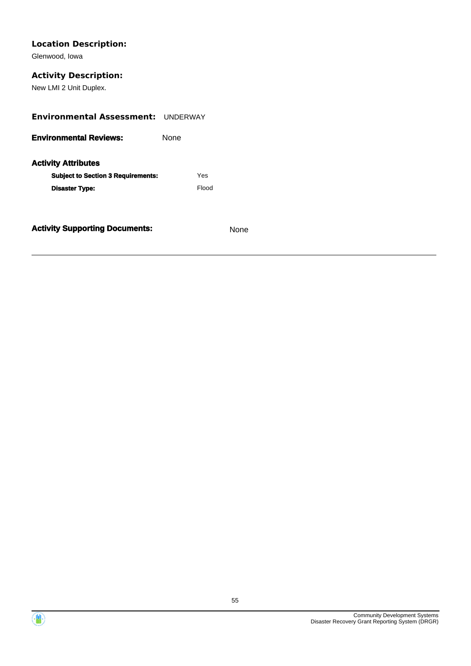Glenwood, Iowa

## **Activity Description:**

New LMI 2 Unit Duplex.

| <b>Environmental Assessment: UNDERWAY</b>                               |  |       |
|-------------------------------------------------------------------------|--|-------|
| <b>Environmental Reviews:</b><br>None                                   |  |       |
| <b>Activity Attributes</b><br><b>Subject to Section 3 Requirements:</b> |  | Yes   |
| <b>Disaster Type:</b>                                                   |  | Flood |
|                                                                         |  |       |



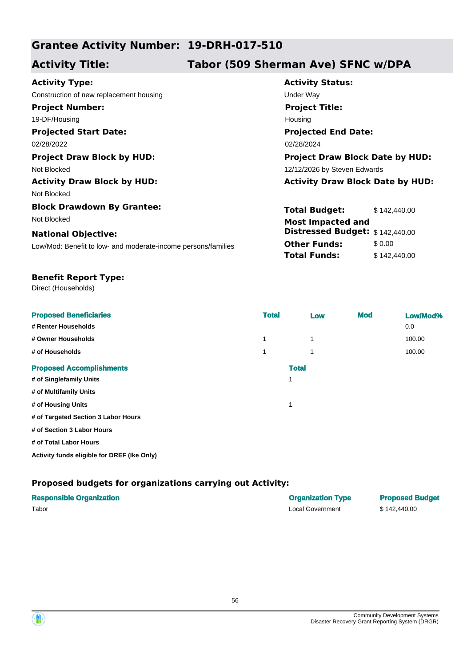# **Grantee Activity Number: 19-DRH-017-510**

# **Activity Title: Tabor (509 Sherman Ave) SFNC w/DPA**

| <b>Activity Type:</b>                                         | <b>Activity Status:</b>                 |  |  |
|---------------------------------------------------------------|-----------------------------------------|--|--|
| Construction of new replacement housing                       | Under Way                               |  |  |
| <b>Project Number:</b>                                        | <b>Project Title:</b>                   |  |  |
| 19-DF/Housing                                                 | Housing                                 |  |  |
| <b>Projected Start Date:</b>                                  | <b>Projected End Date:</b>              |  |  |
| 02/28/2022                                                    | 02/28/2024                              |  |  |
| <b>Project Draw Block by HUD:</b>                             | <b>Project Draw Block Date by HUD:</b>  |  |  |
| Not Blocked                                                   | 12/12/2026 by Steven Edwards            |  |  |
| <b>Activity Draw Block by HUD:</b>                            | <b>Activity Draw Block Date by HUD:</b> |  |  |
| Not Blocked                                                   |                                         |  |  |
| <b>Block Drawdown By Grantee:</b>                             | <b>Total Budget:</b><br>\$142,440,00    |  |  |
| Not Blocked                                                   | <b>Most Impacted and</b>                |  |  |
| <b>National Objective:</b>                                    | Distressed Budget: \$142,440.00         |  |  |
| Low/Mod: Benefit to low- and moderate-income persons/families | <b>Other Funds:</b><br>\$0.00           |  |  |
|                                                               | <b>Total Funds:</b><br>\$142,440.00     |  |  |
|                                                               |                                         |  |  |

#### **Benefit Report Type:**

Direct (Households)

| <b>Proposed Beneficiaries</b>       | <b>Total</b> | Low          | <b>Mod</b> | Low/Mod% |
|-------------------------------------|--------------|--------------|------------|----------|
| # Renter Households                 |              |              |            | 0.0      |
| # Owner Households                  | 1            | 1            |            | 100.00   |
| # of Households                     | 1            | 1            |            | 100.00   |
| <b>Proposed Accomplishments</b>     |              | <b>Total</b> |            |          |
| # of Singlefamily Units             |              | 1            |            |          |
| # of Multifamily Units              |              |              |            |          |
| # of Housing Units                  |              | и            |            |          |
| # of Targeted Section 3 Labor Hours |              |              |            |          |
| # of Section 3 Labor Hours          |              |              |            |          |
| # of Total Labor Hours              |              |              |            |          |

**Activity funds eligible for DREF (Ike Only)**

### **Proposed budgets for organizations carrying out Activity:**

| <b>Responsible Organization</b> | <b>Organization Type</b> | <b>Proposed Budget</b> |
|---------------------------------|--------------------------|------------------------|
| Tabor                           | Local Government         | \$142,440.00           |

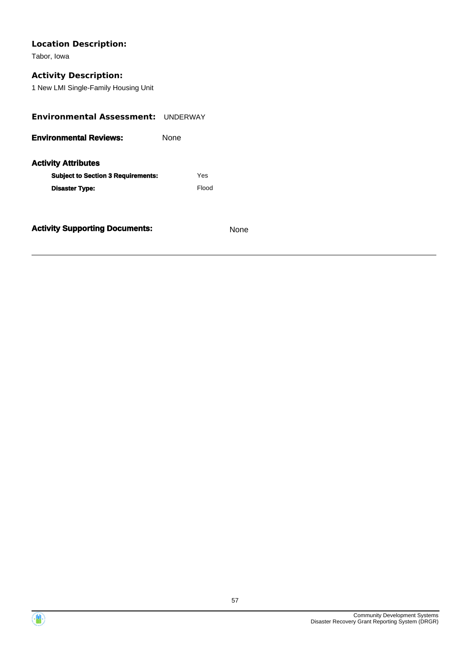Tabor, Iowa

# **Activity Description:**

1 New LMI Single-Family Housing Unit

| <b>Environmental Assessment:</b>                                        | <b>UNDERWAY</b> |       |
|-------------------------------------------------------------------------|-----------------|-------|
| <b>Environmental Reviews:</b><br>None                                   |                 |       |
| <b>Activity Attributes</b><br><b>Subject to Section 3 Requirements:</b> |                 | Yes   |
| <b>Disaster Type:</b>                                                   |                 | Flood |
|                                                                         |                 |       |



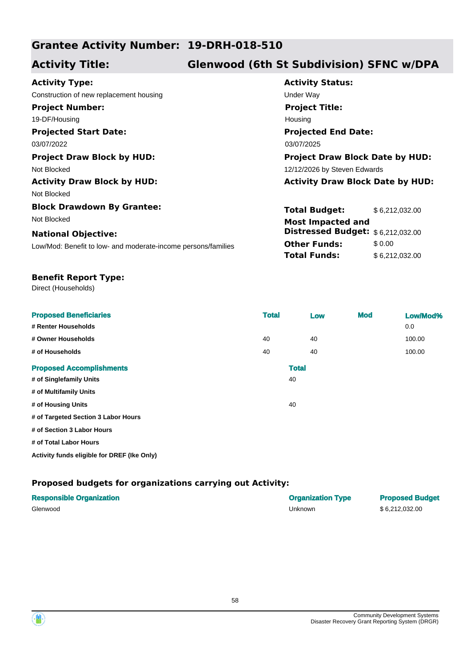# **Grantee Activity Number: 19-DRH-018-510**

# **Activity Title: Glenwood (6th St Subdivision) SFNC w/DPA**

| <b>Activity Type:</b>                                         | <b>Activity Status:</b>                 |                |  |
|---------------------------------------------------------------|-----------------------------------------|----------------|--|
| Construction of new replacement housing                       | Under Way                               |                |  |
| <b>Project Number:</b>                                        | <b>Project Title:</b>                   |                |  |
| 19-DF/Housing                                                 | Housing                                 |                |  |
| <b>Projected Start Date:</b>                                  | <b>Projected End Date:</b>              |                |  |
| 03/07/2022                                                    | 03/07/2025                              |                |  |
| <b>Project Draw Block by HUD:</b>                             | <b>Project Draw Block Date by HUD:</b>  |                |  |
| Not Blocked                                                   | 12/12/2026 by Steven Edwards            |                |  |
| <b>Activity Draw Block by HUD:</b>                            | <b>Activity Draw Block Date by HUD:</b> |                |  |
| Not Blocked                                                   |                                         |                |  |
| <b>Block Drawdown By Grantee:</b>                             | <b>Total Budget:</b>                    | \$6,212,032.00 |  |
| Not Blocked                                                   | <b>Most Impacted and</b>                |                |  |
| <b>National Objective:</b>                                    | Distressed Budget: $$6,212,032.00$      |                |  |
| Low/Mod: Benefit to low- and moderate-income persons/families | <b>Other Funds:</b>                     | \$0.00         |  |
|                                                               | <b>Total Funds:</b>                     | \$6,212,032.00 |  |

#### **Benefit Report Type:**

Direct (Households)

| <b>Proposed Beneficiaries</b><br># Renter Households | <b>Total</b> |              | Low | <b>Mod</b> | Low/Mod%<br>0.0 |
|------------------------------------------------------|--------------|--------------|-----|------------|-----------------|
| # Owner Households                                   | 40           |              | 40  |            | 100.00          |
| # of Households                                      | 40           |              | 40  |            | 100.00          |
| <b>Proposed Accomplishments</b>                      |              | <b>Total</b> |     |            |                 |
| # of Singlefamily Units                              |              | 40           |     |            |                 |
| # of Multifamily Units                               |              |              |     |            |                 |
| # of Housing Units                                   |              | 40           |     |            |                 |
| # of Targeted Section 3 Labor Hours                  |              |              |     |            |                 |
| # of Section 3 Labor Hours                           |              |              |     |            |                 |
| # of Total Labor Hours                               |              |              |     |            |                 |
| Activity funds eligible for DREF (Ike Only)          |              |              |     |            |                 |

| <b>Responsible Organization</b> | <b>Organization Type</b> | <b>Proposed Budget</b> |
|---------------------------------|--------------------------|------------------------|
| Glenwood                        | Unknown                  | \$6,212,032.00         |



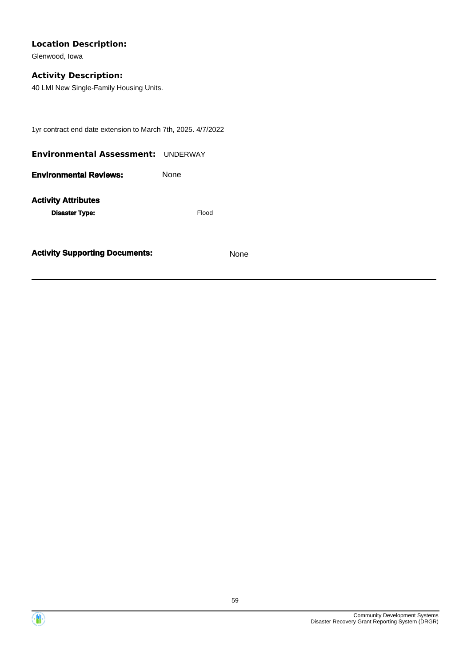Glenwood, Iowa

## **Activity Description:**

40 LMI New Single-Family Housing Units.

1yr contract end date extension to March 7th, 2025. 4/7/2022

| <b>Environmental Assessment: UNDERWAY</b>           |       |
|-----------------------------------------------------|-------|
| <b>Environmental Reviews:</b>                       | None  |
| <b>Activity Attributes</b><br><b>Disaster Type:</b> | Flood |



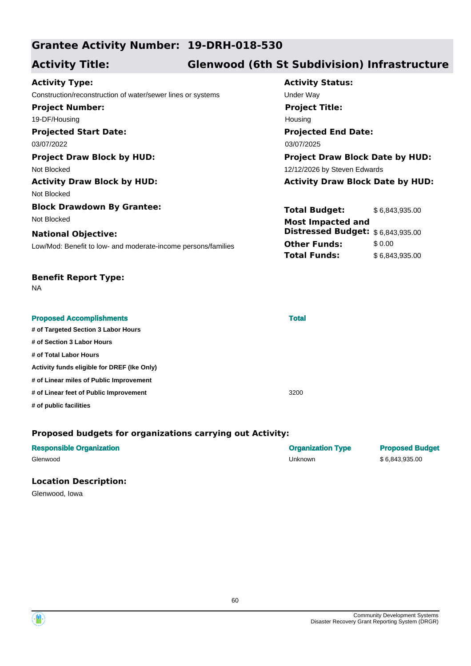# **Grantee Activity Number: 19-DRH-018-530**

# **Activity Title: Glenwood (6th St Subdivision) Infrastructure**

#### **Projected Start Date:** Low/Mod: Benefit to low- and moderate-income persons/families **National Objective: Activity Status: Projected End Date: Activity Type:** 03/07/2022 03/07/2025 Construction/reconstruction of water/sewer lines or systems Under Way **Project Number:** 19-DF/Housing **Project Title:** Housing **Total Budget:** \$ 6,843,935.00 **Other Funds:** \$0.00 **Total Funds:** \$6,843,935.00 **Project Draw Block by HUD: Project Draw Block Date by HUD:** Not Blocked **12/12/2026** by Steven Edwards **Activity Draw Block by HUD: Activity Draw Block Date by HUD:** Not Blocked **Block Drawdown By Grantee:** Not Blocked **Most Impacted and Distressed Budget:** \$ 6,843,935.00

## **Benefit Report Type:**

NA

| <b>Proposed Accomplishments</b>             | <b>Total</b> |  |
|---------------------------------------------|--------------|--|
| # of Targeted Section 3 Labor Hours         |              |  |
| # of Section 3 Labor Hours                  |              |  |
| # of Total Labor Hours                      |              |  |
| Activity funds eligible for DREF (Ike Only) |              |  |
| # of Linear miles of Public Improvement     |              |  |
| # of Linear feet of Public Improvement      | 3200         |  |
| # of public facilities                      |              |  |

## **Proposed budgets for organizations carrying out Activity:**

| <b>Responsible Organization</b> | <b>Organization Type</b> | <b>Proposed Budget</b> |
|---------------------------------|--------------------------|------------------------|
| Glenwood                        | Unknown                  | \$6.843.935.00         |

### **Location Description:**

Glenwood, Iowa

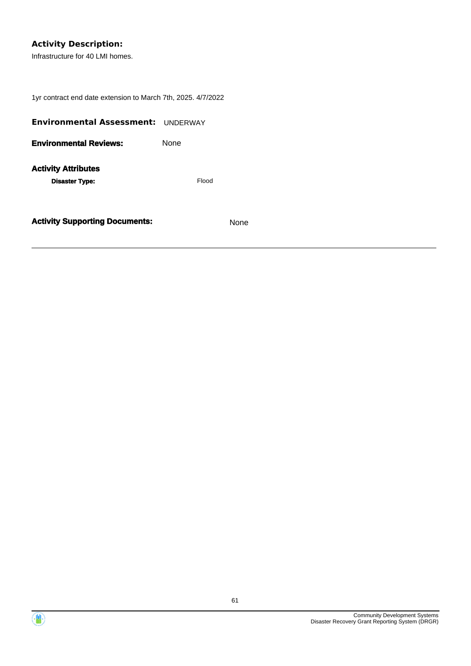## **Activity Description:**

Infrastructure for 40 LMI homes.

1yr contract end date extension to March 7th, 2025. 4/7/2022

| <b>Environmental Assessment:</b>                    | <b>UNDERWAY</b> |
|-----------------------------------------------------|-----------------|
| <b>Environmental Reviews:</b>                       | None            |
| <b>Activity Attributes</b><br><b>Disaster Type:</b> | Flood           |
| <b>Activity Supporting Documents:</b>               | None            |



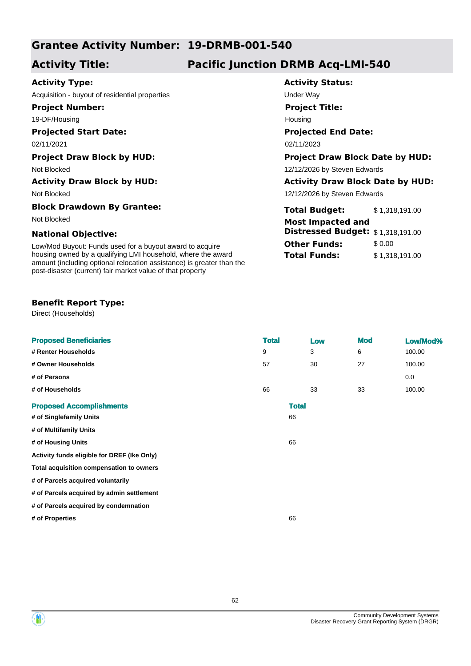# **Grantee Activity Number: 19-DRMB-001-540**

# **Activity Title: Pacific Junction DRMB Acq-LMI-540**

## **Activity Type:**

Acquisition - buyout of residential properties example and the Under Way

**Project Number:**

19-DF/Housing

### **Projected Start Date:**

02/11/2021 02/11/2023

Not Blocked

#### **Block Drawdown By Grantee:**

#### **National Objective:**

Low/Mod Buyout: Funds used for a buyout award to acquire housing owned by a qualifying LMI household, where the award amount (including optional relocation assistance) is greater than the post-disaster (current) fair market value of that property

### **Benefit Report Type:**

Direct (Households)

| <b>Proposed Beneficiaries</b>               | <b>Total</b> |              | Low | <b>Mod</b> | Low/Mod% |
|---------------------------------------------|--------------|--------------|-----|------------|----------|
| # Renter Households                         | 9            |              | 3   | 6          | 100.00   |
| # Owner Households                          | 57           |              | 30  | 27         | 100.00   |
| # of Persons                                |              |              |     |            | 0.0      |
| # of Households                             | 66           |              | 33  | 33         | 100.00   |
| <b>Proposed Accomplishments</b>             |              | <b>Total</b> |     |            |          |
| # of Singlefamily Units                     |              | 66           |     |            |          |
| # of Multifamily Units                      |              |              |     |            |          |
| # of Housing Units                          |              | 66           |     |            |          |
| Activity funds eligible for DREF (Ike Only) |              |              |     |            |          |
| Total acquisition compensation to owners    |              |              |     |            |          |
| # of Parcels acquired voluntarily           |              |              |     |            |          |
| # of Parcels acquired by admin settlement   |              |              |     |            |          |
| # of Parcels acquired by condemnation       |              |              |     |            |          |
| # of Properties                             |              | 66           |     |            |          |
|                                             |              |              |     |            |          |

# **Activity Status:**

**Project Title:**

Housing

## **Projected End Date:**

#### **Project Draw Block by HUD: Project Draw Block Date by HUD:**

Not Blocked 12/12/2026 by Steven Edwards

### **Activity Draw Block by HUD: Activity Draw Block Date by HUD:**

12/12/2026 by Steven Edwards

| biock Drawdown by Grantee:                                   | <b>Total Budget:</b>              | \$1.318.191.00 |
|--------------------------------------------------------------|-----------------------------------|----------------|
| Not Blocked                                                  | <b>Most Impacted and</b>          |                |
| <b>National Objective:</b>                                   | Distressed Budget: \$1,318,191.00 |                |
| Low/Mod Buyout: Funds used for a buyout award to acquire     | <b>Other Funds:</b>               | \$ 0.00        |
| housing owned by a qualifying LMI household, where the award | <b>Total Funds:</b>               | \$1.318.191.00 |

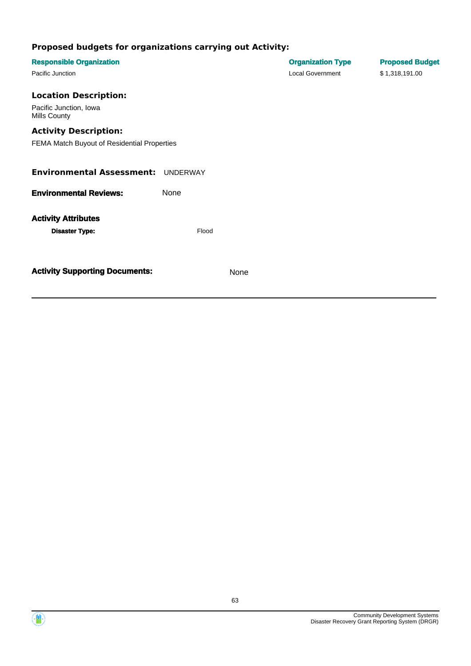| <b>Responsible Organization</b><br>Pacific Junction                                                    |       |      | <b>Organization Type</b><br><b>Local Government</b> | <b>Proposed Budget</b><br>\$1,318,191.00 |
|--------------------------------------------------------------------------------------------------------|-------|------|-----------------------------------------------------|------------------------------------------|
| <b>Location Description:</b><br>Pacific Junction, Iowa<br>Mills County<br><b>Activity Description:</b> |       |      |                                                     |                                          |
| FEMA Match Buyout of Residential Properties                                                            |       |      |                                                     |                                          |
| <b>Environmental Assessment: UNDERWAY</b>                                                              |       |      |                                                     |                                          |
| <b>Environmental Reviews:</b>                                                                          | None  |      |                                                     |                                          |
| <b>Activity Attributes</b><br><b>Disaster Type:</b>                                                    | Flood |      |                                                     |                                          |
| <b>Activity Supporting Documents:</b>                                                                  |       | None |                                                     |                                          |

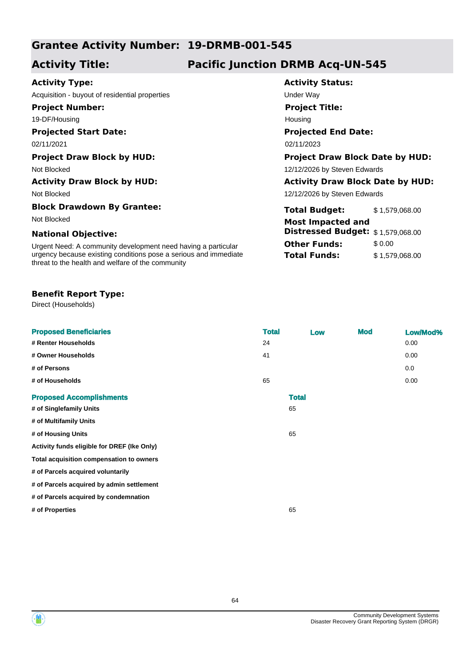# **Grantee Activity Number: 19-DRMB-001-545**

# **Activity Title: Pacific Junction DRMB Acq-UN-545**

### **Activity Type:**

Acquisition - buyout of residential properties example and the Under Way

**Project Number:**

19-DF/Housing

## **Projected Start Date:**

Not Blocked

#### **Block Drawdown By Grantee:**

#### **National Objective:**

Urgent Need: A community development need having a particular urgency because existing conditions pose a serious and immediate threat to the health and welfare of the community

#### **Benefit Report Type:**

Direct (Households)

| <b>Proposed Beneficiaries</b>               | <b>Total</b> | Low          | <b>Mod</b> | Low/Mod% |
|---------------------------------------------|--------------|--------------|------------|----------|
| # Renter Households                         | 24           |              |            | 0.00     |
| # Owner Households                          | 41           |              |            | 0.00     |
| # of Persons                                |              |              |            | 0.0      |
| # of Households                             | 65           |              |            | 0.00     |
| <b>Proposed Accomplishments</b>             |              | <b>Total</b> |            |          |
| # of Singlefamily Units                     |              | 65           |            |          |
| # of Multifamily Units                      |              |              |            |          |
| # of Housing Units                          |              | 65           |            |          |
| Activity funds eligible for DREF (Ike Only) |              |              |            |          |
| Total acquisition compensation to owners    |              |              |            |          |
| # of Parcels acquired voluntarily           |              |              |            |          |
| # of Parcels acquired by admin settlement   |              |              |            |          |
| # of Parcels acquired by condemnation       |              |              |            |          |
| # of Properties                             |              | 65           |            |          |
|                                             |              |              |            |          |

## **Activity Status:**

**Project Title:** Housing

## **Projected End Date:**

02/11/2021 02/11/2023

#### **Project Draw Block by HUD: Project Draw Block Date by HUD:**

Not Blocked 12/12/2026 by Steven Edwards

#### **Activity Draw Block by HUD: Activity Draw Block Date by HUD:**

12/12/2026 by Steven Edwards

| Block Drawdown By Grantee:                                       | <b>Total Budget:</b><br>\$1,579,068.00   |  |
|------------------------------------------------------------------|------------------------------------------|--|
| Not Blocked                                                      | <b>Most Impacted and</b>                 |  |
| <b>National Objective:</b>                                       | <b>Distressed Budget:</b> \$1,579,068.00 |  |
| Urgent Need: A community development need having a particular    | <b>Other Funds:</b><br>\$ 0.00           |  |
| urgency because existing conditions pose a serious and immediate | <b>Total Funds:</b><br>\$1.579.068.00    |  |

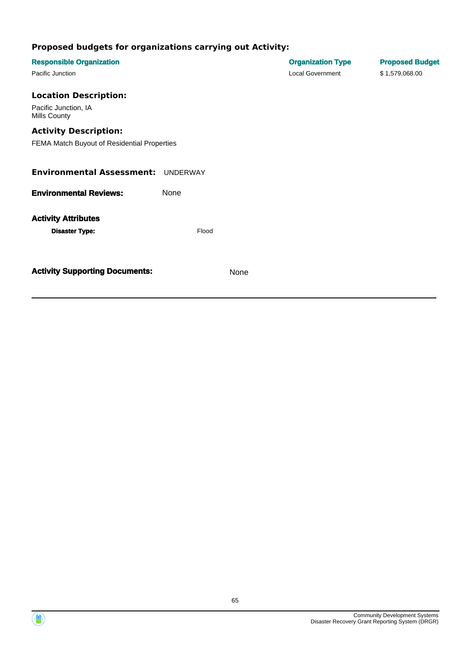| <b>Responsible Organization</b>             |       |      | <b>Organization Type</b><br><b>Local Government</b> | <b>Proposed Budget</b> |
|---------------------------------------------|-------|------|-----------------------------------------------------|------------------------|
| Pacific Junction                            |       |      |                                                     | \$1,579,068.00         |
| <b>Location Description:</b>                |       |      |                                                     |                        |
| Pacific Junction, IA<br>Mills County        |       |      |                                                     |                        |
| <b>Activity Description:</b>                |       |      |                                                     |                        |
| FEMA Match Buyout of Residential Properties |       |      |                                                     |                        |
| <b>Environmental Assessment: UNDERWAY</b>   |       |      |                                                     |                        |
| <b>Environmental Reviews:</b>               | None  |      |                                                     |                        |
| <b>Activity Attributes</b>                  |       |      |                                                     |                        |
| <b>Disaster Type:</b>                       | Flood |      |                                                     |                        |
|                                             |       |      |                                                     |                        |
| <b>Activity Supporting Documents:</b>       |       | None |                                                     |                        |



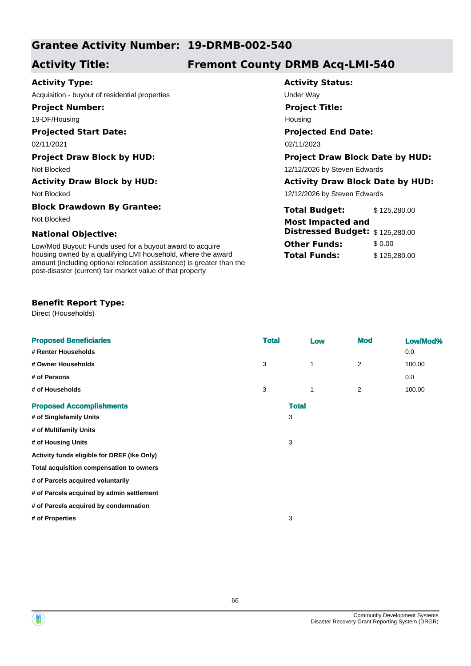# **Grantee Activity Number: 19-DRMB-002-540**

# **Activity Title: Fremont County DRMB Acq-LMI-540**

**Activity Status:**

**Project Title:**

Housing

**Projected End Date:**

**Total Budget:** \$ 125,280.00

**Distressed Budget:** \$ 125,280.00

**Other Funds:** \$ 0.00 **Total Funds:** \$ 125,280.00

12/12/2026 by Steven Edwards

### **Activity Type:**

Acquisition - buyout of residential properties Theory Contact Contact Contact Under Way

**Project Number:**

19-DF/Housing

### **Projected Start Date:**

02/11/2021 02/11/2023

#### **Project Draw Block by HUD: Project Draw Block Date by HUD:**

Not Blocked **12/12/2026** by Steven Edwards

#### **Activity Draw Block by HUD: Activity Draw Block Date by HUD:**

Not Blocked

#### **Block Drawdown By Grantee:**

Not Blocked **Most Impacted and** 

#### **National Objective:**

Low/Mod Buyout: Funds used for a buyout award to acquire housing owned by a qualifying LMI household, where the award amount (including optional relocation assistance) is greater than the post-disaster (current) fair market value of that property

### **Benefit Report Type:**

Direct (Households)

| <b>Proposed Beneficiaries</b>               | <b>Total</b> |              | Low         | <b>Mod</b>     | Low/Mod% |
|---------------------------------------------|--------------|--------------|-------------|----------------|----------|
| # Renter Households                         |              |              |             |                | 0.0      |
| # Owner Households                          | 3            |              | $\mathbf 1$ | $\overline{2}$ | 100.00   |
| # of Persons                                |              |              |             |                | 0.0      |
| # of Households                             | 3            |              | 1           | $\overline{2}$ | 100.00   |
| <b>Proposed Accomplishments</b>             |              | <b>Total</b> |             |                |          |
| # of Singlefamily Units                     |              | 3            |             |                |          |
| # of Multifamily Units                      |              |              |             |                |          |
| # of Housing Units                          |              | 3            |             |                |          |
| Activity funds eligible for DREF (Ike Only) |              |              |             |                |          |
| Total acquisition compensation to owners    |              |              |             |                |          |
| # of Parcels acquired voluntarily           |              |              |             |                |          |
| # of Parcels acquired by admin settlement   |              |              |             |                |          |
| # of Parcels acquired by condemnation       |              |              |             |                |          |
| # of Properties                             |              | 3            |             |                |          |
|                                             |              |              |             |                |          |

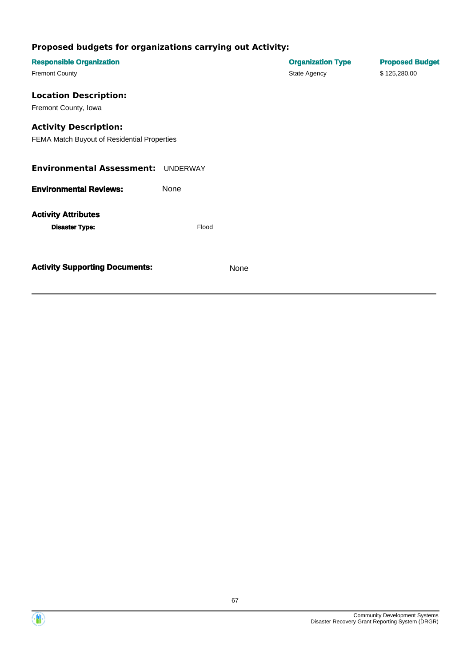| <b>Responsible Organization</b>             |       |      | <b>Organization Type</b> | <b>Proposed Budget</b> |
|---------------------------------------------|-------|------|--------------------------|------------------------|
| <b>Fremont County</b>                       |       |      | State Agency             | \$125,280.00           |
| <b>Location Description:</b>                |       |      |                          |                        |
|                                             |       |      |                          |                        |
| Fremont County, Iowa                        |       |      |                          |                        |
| <b>Activity Description:</b>                |       |      |                          |                        |
| FEMA Match Buyout of Residential Properties |       |      |                          |                        |
|                                             |       |      |                          |                        |
|                                             |       |      |                          |                        |
| <b>Environmental Assessment: UNDERWAY</b>   |       |      |                          |                        |
| <b>Environmental Reviews:</b>               | None  |      |                          |                        |
|                                             |       |      |                          |                        |
| <b>Activity Attributes</b>                  |       |      |                          |                        |
|                                             |       |      |                          |                        |
| <b>Disaster Type:</b>                       | Flood |      |                          |                        |
|                                             |       |      |                          |                        |
|                                             |       |      |                          |                        |
| <b>Activity Supporting Documents:</b>       |       | None |                          |                        |
|                                             |       |      |                          |                        |
|                                             |       |      |                          |                        |

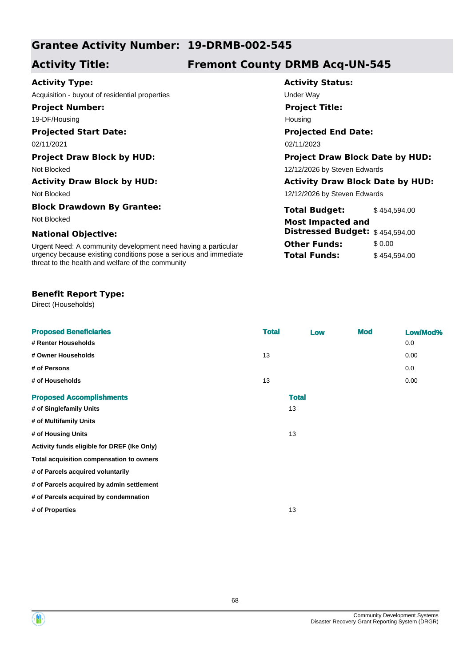# **Grantee Activity Number: 19-DRMB-002-545**

# **Activity Title: Fremont County DRMB Acq-UN-545**

**Activity Status:**

**Project Title:**

Housing

**Projected End Date:**

**Total Budget:** \$454,594.00

**Distressed Budget:** \$ 454,594.00

**Other Funds:** \$ 0.00 **Total Funds:** \$454,594.00

12/12/2026 by Steven Edwards

### **Activity Type:**

Acquisition - buyout of residential properties Theorem Controller Way

**Project Number:**

19-DF/Housing

### **Projected Start Date:**

02/11/2021 02/11/2023

#### **Project Draw Block by HUD: Project Draw Block Date by HUD:**

Not Blocked **12/12/2026** by Steven Edwards

#### **Activity Draw Block by HUD: Activity Draw Block Date by HUD:**

Not Blocked

## **Block Drawdown By Grantee:**

Not Blocked **Most Impacted and** 

#### **National Objective:**

Urgent Need: A community development need having a particular urgency because existing conditions pose a serious and immediate threat to the health and welfare of the community

#### **Benefit Report Type:**

Direct (Households)

# **Proposed Beneficiaries Total Low Mod Low/Mod% # Renter Households** 0.0 **# Owner Households** 13 0.00 **# of Persons** 0.0 **# of Households** 13 0.00 **Proposed Accomplishments Total # of Singlefamily Units** 13 **# of Multifamily Units # of Housing Units** 13 **Activity funds eligible for DREF (Ike Only) Total acquisition compensation to owners # of Parcels acquired voluntarily # of Parcels acquired by admin settlement # of Parcels acquired by condemnation # of Properties** 13

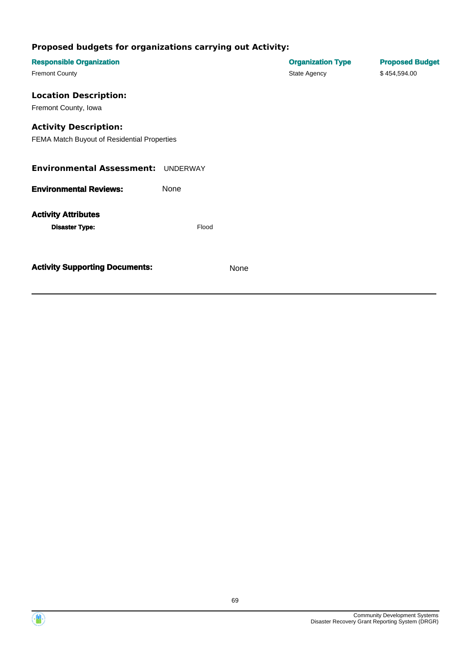| <b>Responsible Organization</b>             |       |      | <b>Organization Type</b> | <b>Proposed Budget</b> |
|---------------------------------------------|-------|------|--------------------------|------------------------|
| <b>Fremont County</b>                       |       |      | State Agency             | \$454,594.00           |
| <b>Location Description:</b>                |       |      |                          |                        |
|                                             |       |      |                          |                        |
| Fremont County, Iowa                        |       |      |                          |                        |
| <b>Activity Description:</b>                |       |      |                          |                        |
| FEMA Match Buyout of Residential Properties |       |      |                          |                        |
|                                             |       |      |                          |                        |
|                                             |       |      |                          |                        |
| <b>Environmental Assessment: UNDERWAY</b>   |       |      |                          |                        |
|                                             |       |      |                          |                        |
| <b>Environmental Reviews:</b>               | None  |      |                          |                        |
|                                             |       |      |                          |                        |
| <b>Activity Attributes</b>                  |       |      |                          |                        |
| <b>Disaster Type:</b>                       | Flood |      |                          |                        |
|                                             |       |      |                          |                        |
|                                             |       |      |                          |                        |
| <b>Activity Supporting Documents:</b>       |       | None |                          |                        |
|                                             |       |      |                          |                        |
|                                             |       |      |                          |                        |

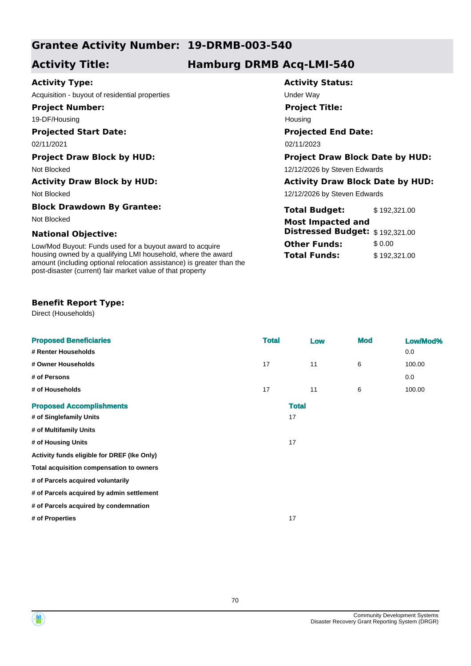# **Grantee Activity Number: 19-DRMB-003-540**

# **Activity Title: Hamburg DRMB Acq-LMI-540**

**Activity Status:**

**Project Title:**

Housing

**Projected End Date:**

**Total Budget:** \$ 192,321.00

**Distressed Budget:** \$ 192,321.00

**Other Funds:** \$ 0.00 **Total Funds:** \$192,321.00

12/12/2026 by Steven Edwards

## **Activity Type:**

Acquisition - buyout of residential properties Theory Contact Contact Contact Under Way

**Project Number:**

19-DF/Housing

### **Projected Start Date:**

02/11/2021 02/11/2023

#### **Project Draw Block by HUD: Project Draw Block Date by HUD:**

Not Blocked **12/12/2026** by Steven Edwards

#### **Activity Draw Block by HUD: Activity Draw Block Date by HUD:**

Not Blocked

#### **Block Drawdown By Grantee:**

Not Blocked **Most Impacted and** 

#### **National Objective:**

Low/Mod Buyout: Funds used for a buyout award to acquire housing owned by a qualifying LMI household, where the award amount (including optional relocation assistance) is greater than the post-disaster (current) fair market value of that property

### **Benefit Report Type:**

Direct (Households)

| <b>Proposed Beneficiaries</b>               | <b>Total</b> |              | Low | <b>Mod</b> | Low/Mod% |
|---------------------------------------------|--------------|--------------|-----|------------|----------|
| # Renter Households                         |              |              |     |            | 0.0      |
| # Owner Households                          | 17           | 11           |     | 6          | 100.00   |
| # of Persons                                |              |              |     |            | 0.0      |
| # of Households                             | 17           | 11           |     | 6          | 100.00   |
| <b>Proposed Accomplishments</b>             |              | <b>Total</b> |     |            |          |
| # of Singlefamily Units                     |              | 17           |     |            |          |
| # of Multifamily Units                      |              |              |     |            |          |
| # of Housing Units                          |              | 17           |     |            |          |
| Activity funds eligible for DREF (Ike Only) |              |              |     |            |          |
| Total acquisition compensation to owners    |              |              |     |            |          |
| # of Parcels acquired voluntarily           |              |              |     |            |          |
| # of Parcels acquired by admin settlement   |              |              |     |            |          |
| # of Parcels acquired by condemnation       |              |              |     |            |          |
| # of Properties                             |              | 17           |     |            |          |
|                                             |              |              |     |            |          |

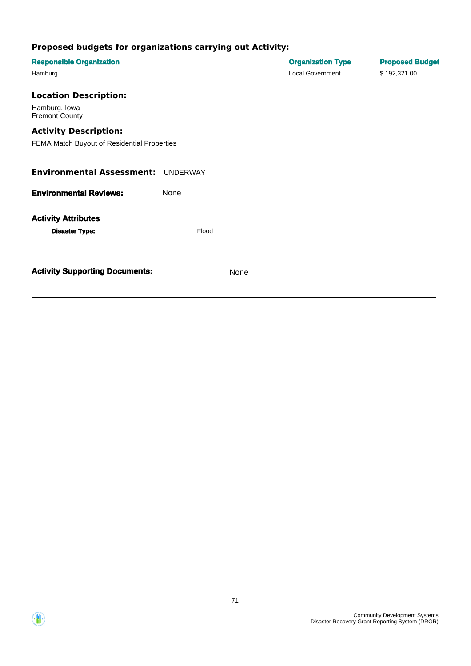| <b>Responsible Organization</b><br>Hamburg                                  |       |      | <b>Organization Type</b><br><b>Local Government</b> | <b>Proposed Budget</b><br>\$192,321.00 |
|-----------------------------------------------------------------------------|-------|------|-----------------------------------------------------|----------------------------------------|
| <b>Location Description:</b><br>Hamburg, Iowa<br><b>Fremont County</b>      |       |      |                                                     |                                        |
| <b>Activity Description:</b><br>FEMA Match Buyout of Residential Properties |       |      |                                                     |                                        |
| <b>Environmental Assessment: UNDERWAY</b>                                   |       |      |                                                     |                                        |
| <b>Environmental Reviews:</b>                                               | None  |      |                                                     |                                        |
| <b>Activity Attributes</b><br><b>Disaster Type:</b>                         | Flood |      |                                                     |                                        |
| <b>Activity Supporting Documents:</b>                                       |       | None |                                                     |                                        |



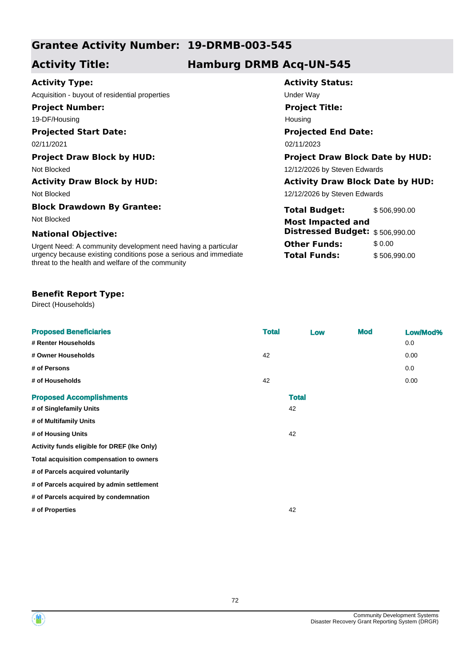# **Grantee Activity Number: 19-DRMB-003-545**

## **Activity Title: Hamburg DRMB Acq-UN-545**

**Activity Status:**

**Project Title:**

Housing

**Projected End Date:**

**Total Budget:** \$ 506,990.00

**Distressed Budget:** \$ 506,990.00

**Other Funds:** \$0.00 **Total Funds:** \$ 506,990.00

12/12/2026 by Steven Edwards

## **Activity Type:**

Acquisition - buyout of residential properties example and the Under Way

**Project Number:**

19-DF/Housing

### **Projected Start Date:**

02/11/2021 02/11/2023

#### **Project Draw Block by HUD: Project Draw Block Date by HUD:**

Not Blocked **12/12/2026** by Steven Edwards

#### **Activity Draw Block by HUD: Activity Draw Block Date by HUD:**

Not Blocked

#### **Block Drawdown By Grantee:**

Not Blocked **Most Impacted and** 

#### **National Objective:**

Urgent Need: A community development need having a particular urgency because existing conditions pose a serious and immediate threat to the health and welfare of the community

#### **Benefit Report Type:**

Direct (Households)

| <b>Proposed Beneficiaries</b>               | <b>Total</b> | Low | <b>Mod</b> | Low/Mod% |
|---------------------------------------------|--------------|-----|------------|----------|
| # Renter Households                         |              |     |            | 0.0      |
| # Owner Households                          | 42           |     |            | 0.00     |
| # of Persons                                |              |     |            | 0.0      |
| # of Households                             | 42           |     |            | 0.00     |
| <b>Proposed Accomplishments</b>             | <b>Total</b> |     |            |          |
| # of Singlefamily Units                     | 42           |     |            |          |
| # of Multifamily Units                      |              |     |            |          |
| # of Housing Units                          | 42           |     |            |          |
| Activity funds eligible for DREF (Ike Only) |              |     |            |          |
| Total acquisition compensation to owners    |              |     |            |          |
| # of Parcels acquired voluntarily           |              |     |            |          |
| # of Parcels acquired by admin settlement   |              |     |            |          |
| # of Parcels acquired by condemnation       |              |     |            |          |
| # of Properties                             | 42           |     |            |          |
|                                             |              |     |            |          |

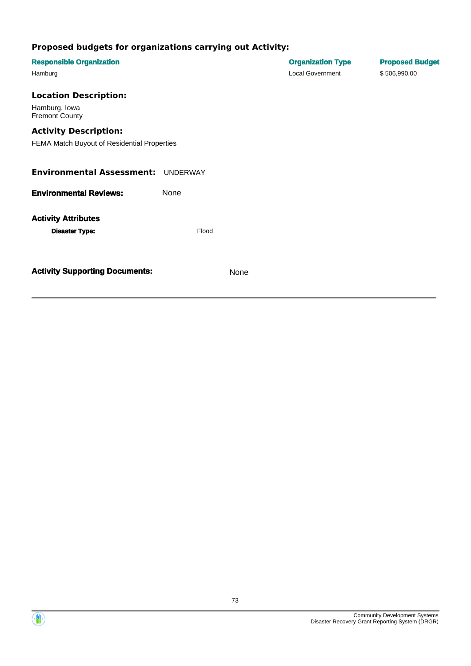| <b>Responsible Organization</b><br>Hamburg                                  |       |      | <b>Organization Type</b><br><b>Local Government</b> | <b>Proposed Budget</b><br>\$506,990.00 |
|-----------------------------------------------------------------------------|-------|------|-----------------------------------------------------|----------------------------------------|
| <b>Location Description:</b><br>Hamburg, Iowa<br><b>Fremont County</b>      |       |      |                                                     |                                        |
| <b>Activity Description:</b><br>FEMA Match Buyout of Residential Properties |       |      |                                                     |                                        |
| <b>Environmental Assessment: UNDERWAY</b>                                   |       |      |                                                     |                                        |
| <b>Environmental Reviews:</b>                                               | None  |      |                                                     |                                        |
| <b>Activity Attributes</b><br><b>Disaster Type:</b>                         | Flood |      |                                                     |                                        |
| <b>Activity Supporting Documents:</b>                                       |       | None |                                                     |                                        |

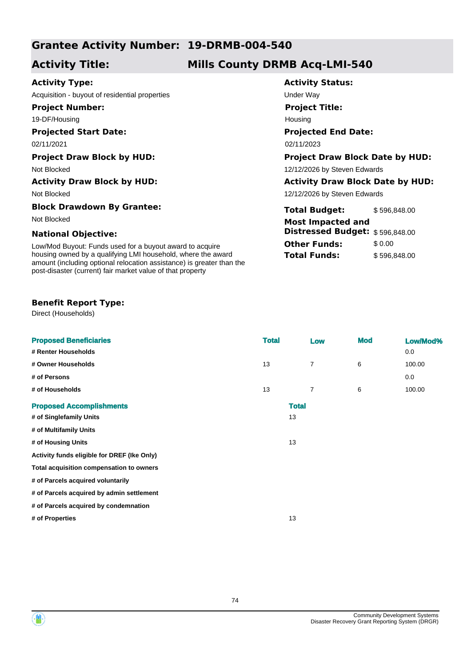## **Grantee Activity Number: 19-DRMB-004-540**

## **Activity Title: Mills County DRMB Acq-LMI-540**

**Activity Status:**

**Project Title:**

Housing

**Projected End Date:**

**Total Budget:** \$ 596,848.00

**Distressed Budget:** \$ 596,848.00

**Other Funds:** \$ 0.00 **Total Funds:** \$596,848.00

12/12/2026 by Steven Edwards

### **Activity Type:**

Acquisition - buyout of residential properties Theorem Contains the Under Way

**Project Number:**

19-DF/Housing

#### **Projected Start Date:**

02/11/2021 02/11/2023

#### **Project Draw Block by HUD: Project Draw Block Date by HUD:**

Not Blocked **12/12/2026** by Steven Edwards

#### **Activity Draw Block by HUD: Activity Draw Block Date by HUD:**

Not Blocked

#### **Block Drawdown By Grantee:**

Not Blocked **Most Impacted and** 

#### **National Objective:**

Low/Mod Buyout: Funds used for a buyout award to acquire housing owned by a qualifying LMI household, where the award amount (including optional relocation assistance) is greater than the post-disaster (current) fair market value of that property

#### **Benefit Report Type:**

Direct (Households)

| <b>Proposed Beneficiaries</b>               | <b>Total</b> | Low            | <b>Mod</b> | Low/Mod% |
|---------------------------------------------|--------------|----------------|------------|----------|
| # Renter Households                         |              |                |            | 0.0      |
| # Owner Households                          | 13           | $\overline{7}$ | 6          | 100.00   |
| # of Persons                                |              |                |            | 0.0      |
| # of Households                             | 13           | 7              | 6          | 100.00   |
| <b>Proposed Accomplishments</b>             |              | <b>Total</b>   |            |          |
| # of Singlefamily Units                     |              | 13             |            |          |
| # of Multifamily Units                      |              |                |            |          |
| # of Housing Units                          |              | 13             |            |          |
| Activity funds eligible for DREF (Ike Only) |              |                |            |          |
| Total acquisition compensation to owners    |              |                |            |          |
| # of Parcels acquired voluntarily           |              |                |            |          |
| # of Parcels acquired by admin settlement   |              |                |            |          |
| # of Parcels acquired by condemnation       |              |                |            |          |
| # of Properties                             |              | 13             |            |          |
|                                             |              |                |            |          |

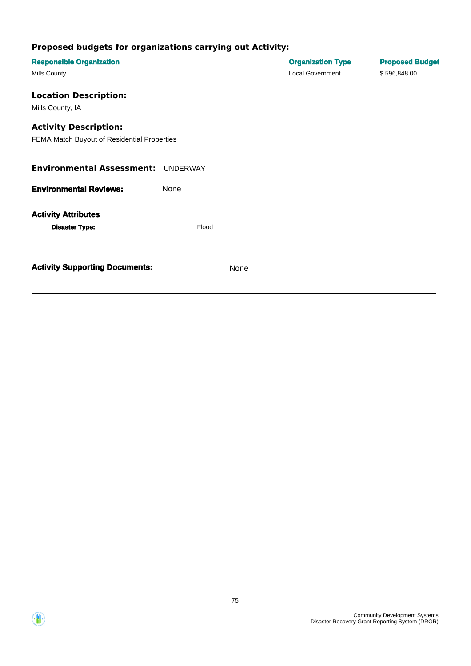| <b>Responsible Organization</b><br>Mills County                             |          |      | <b>Organization Type</b><br><b>Local Government</b> | <b>Proposed Budget</b><br>\$596,848.00 |
|-----------------------------------------------------------------------------|----------|------|-----------------------------------------------------|----------------------------------------|
| <b>Location Description:</b><br>Mills County, IA                            |          |      |                                                     |                                        |
| <b>Activity Description:</b><br>FEMA Match Buyout of Residential Properties |          |      |                                                     |                                        |
| <b>Environmental Assessment:</b>                                            | UNDERWAY |      |                                                     |                                        |
| <b>Environmental Reviews:</b>                                               | None     |      |                                                     |                                        |
| <b>Activity Attributes</b><br><b>Disaster Type:</b>                         | Flood    |      |                                                     |                                        |
| <b>Activity Supporting Documents:</b>                                       |          | None |                                                     |                                        |

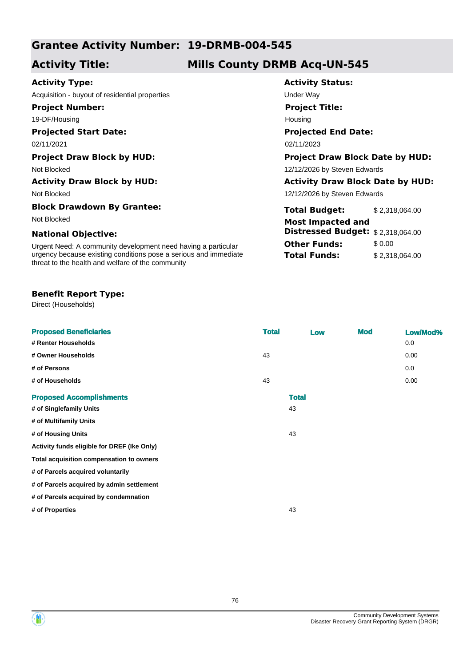## **Grantee Activity Number: 19-DRMB-004-545**

## **Activity Title: Mills County DRMB Acq-UN-545**

**Activity Status:**

**Project Title:**

Housing

**Projected End Date:**

**Total Budget:** \$ 2,318,064.00

**Distressed Budget:** \$ 2,318,064.00

**Total Funds:** \$ 2,318,064.00

**Other Funds:** \$0.00

12/12/2026 by Steven Edwards

### **Activity Type:**

Acquisition - buyout of residential properties **Way** Under Way

**Project Number:**

19-DF/Housing

#### **Projected Start Date:**

02/11/2021 02/11/2023

#### **Project Draw Block by HUD: Project Draw Block Date by HUD:**

Not Blocked **12/12/2026** by Steven Edwards

#### **Activity Draw Block by HUD: Activity Draw Block Date by HUD:**

Not Blocked

#### **Block Drawdown By Grantee:**

Not Blocked **Most Impacted and** 

#### **National Objective:**

Urgent Need: A community development need having a particular urgency because existing conditions pose a serious and immediate threat to the health and welfare of the community

#### **Benefit Report Type:**

Direct (Households)

| <b>Proposed Beneficiaries</b>               | <b>Total</b> | Low          | <b>Mod</b> | Low/Mod% |
|---------------------------------------------|--------------|--------------|------------|----------|
| # Renter Households                         |              |              |            | 0.0      |
| # Owner Households                          | 43           |              |            | 0.00     |
| # of Persons                                |              |              |            | 0.0      |
| # of Households                             | 43           |              |            | 0.00     |
| <b>Proposed Accomplishments</b>             |              | <b>Total</b> |            |          |
| # of Singlefamily Units                     |              | 43           |            |          |
| # of Multifamily Units                      |              |              |            |          |
| # of Housing Units                          |              | 43           |            |          |
| Activity funds eligible for DREF (Ike Only) |              |              |            |          |
| Total acquisition compensation to owners    |              |              |            |          |
| # of Parcels acquired voluntarily           |              |              |            |          |
| # of Parcels acquired by admin settlement   |              |              |            |          |
| # of Parcels acquired by condemnation       |              |              |            |          |
| # of Properties                             |              | 43           |            |          |
|                                             |              |              |            |          |



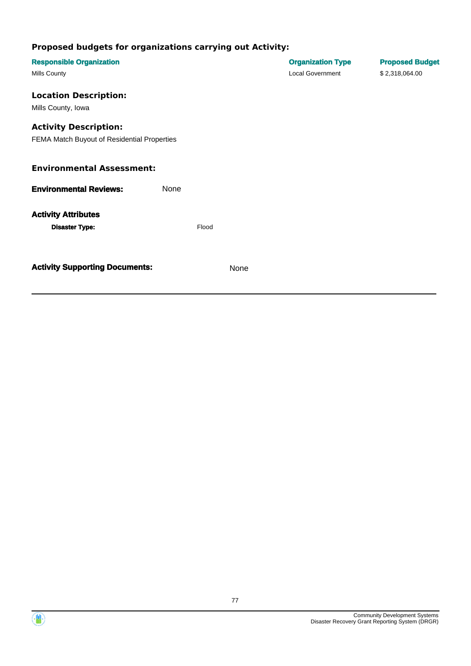| <b>Responsible Organization</b>             |      |       |      | <b>Organization Type</b> | <b>Proposed Budget</b> |
|---------------------------------------------|------|-------|------|--------------------------|------------------------|
| Mills County                                |      |       |      | <b>Local Government</b>  | \$2,318,064.00         |
| <b>Location Description:</b>                |      |       |      |                          |                        |
| Mills County, Iowa                          |      |       |      |                          |                        |
| <b>Activity Description:</b>                |      |       |      |                          |                        |
| FEMA Match Buyout of Residential Properties |      |       |      |                          |                        |
| <b>Environmental Assessment:</b>            |      |       |      |                          |                        |
| <b>Environmental Reviews:</b>               | None |       |      |                          |                        |
| <b>Activity Attributes</b>                  |      |       |      |                          |                        |
| <b>Disaster Type:</b>                       |      | Flood |      |                          |                        |
|                                             |      |       |      |                          |                        |
| <b>Activity Supporting Documents:</b>       |      |       | None |                          |                        |
|                                             |      |       |      |                          |                        |

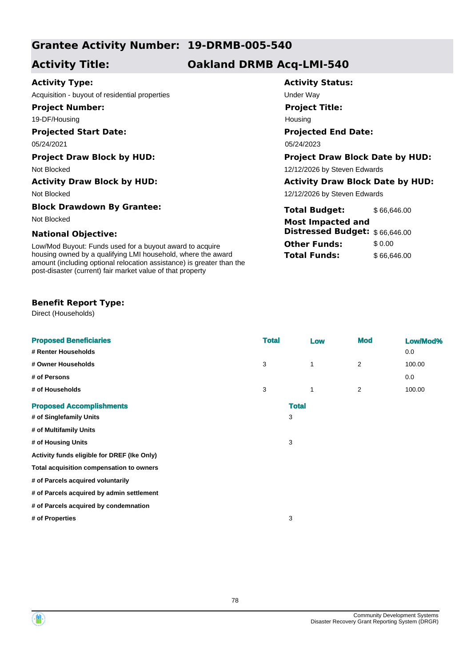## **Grantee Activity Number: 19-DRMB-005-540**

## **Activity Title: Oakland DRMB Acq-LMI-540**

**Activity Status:**

**Project Title:**

Housing

**Projected End Date:**

**Total Budget:** \$66,646.00

**Distressed Budget:** \$ 66,646.00

**Other Funds:** \$ 0.00 **Total Funds:** \$66,646.00

12/12/2026 by Steven Edwards

### **Activity Type:**

Acquisition - buyout of residential properties Theorem Contains the Under Way

**Project Number:**

19-DF/Housing

#### **Projected Start Date:**

05/24/2021 05/24/2023

#### **Project Draw Block by HUD: Project Draw Block Date by HUD:**

Not Blocked **12/12/2026** by Steven Edwards

#### **Activity Draw Block by HUD: Activity Draw Block Date by HUD:**

Not Blocked

#### **Block Drawdown By Grantee:**

Not Blocked **Most Impacted and** 

#### **National Objective:**

Low/Mod Buyout: Funds used for a buyout award to acquire housing owned by a qualifying LMI household, where the award amount (including optional relocation assistance) is greater than the post-disaster (current) fair market value of that property

#### **Benefit Report Type:**

Direct (Households)

| <b>Proposed Beneficiaries</b>               | <b>Total</b> |              | Low         | <b>Mod</b>     | Low/Mod% |
|---------------------------------------------|--------------|--------------|-------------|----------------|----------|
| # Renter Households                         |              |              |             |                | 0.0      |
| # Owner Households                          | 3            |              | $\mathbf 1$ | $\overline{2}$ | 100.00   |
| # of Persons                                |              |              |             |                | 0.0      |
| # of Households                             | 3            |              | 1           | $\overline{2}$ | 100.00   |
| <b>Proposed Accomplishments</b>             |              | <b>Total</b> |             |                |          |
| # of Singlefamily Units                     |              | 3            |             |                |          |
| # of Multifamily Units                      |              |              |             |                |          |
| # of Housing Units                          |              | 3            |             |                |          |
| Activity funds eligible for DREF (Ike Only) |              |              |             |                |          |
| Total acquisition compensation to owners    |              |              |             |                |          |
| # of Parcels acquired voluntarily           |              |              |             |                |          |
| # of Parcels acquired by admin settlement   |              |              |             |                |          |
| # of Parcels acquired by condemnation       |              |              |             |                |          |
| # of Properties                             |              | 3            |             |                |          |
|                                             |              |              |             |                |          |



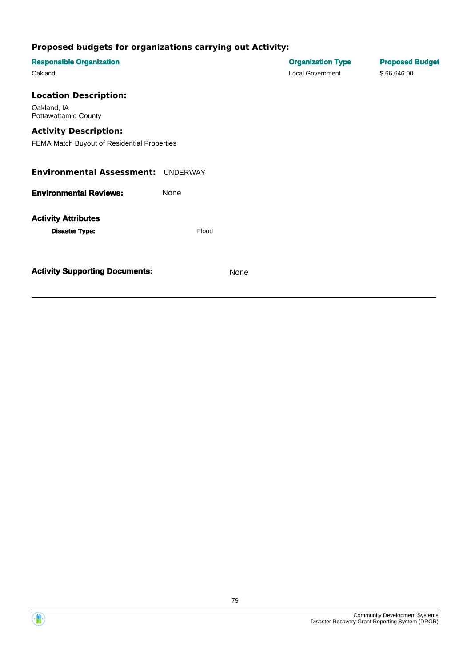| <b>Responsible Organization</b><br>Oakland                                                                                                                |                      |      | <b>Organization Type</b><br><b>Local Government</b> | <b>Proposed Budget</b><br>\$66,646.00 |
|-----------------------------------------------------------------------------------------------------------------------------------------------------------|----------------------|------|-----------------------------------------------------|---------------------------------------|
| <b>Location Description:</b><br>Oakland, IA<br><b>Pottawattamie County</b><br><b>Activity Description:</b><br>FEMA Match Buyout of Residential Properties |                      |      |                                                     |                                       |
| <b>Environmental Assessment: UNDERWAY</b>                                                                                                                 |                      |      |                                                     |                                       |
| <b>Environmental Reviews:</b><br><b>Activity Attributes</b><br><b>Disaster Type:</b>                                                                      | <b>None</b><br>Flood |      |                                                     |                                       |
| <b>Activity Supporting Documents:</b>                                                                                                                     |                      | None |                                                     |                                       |

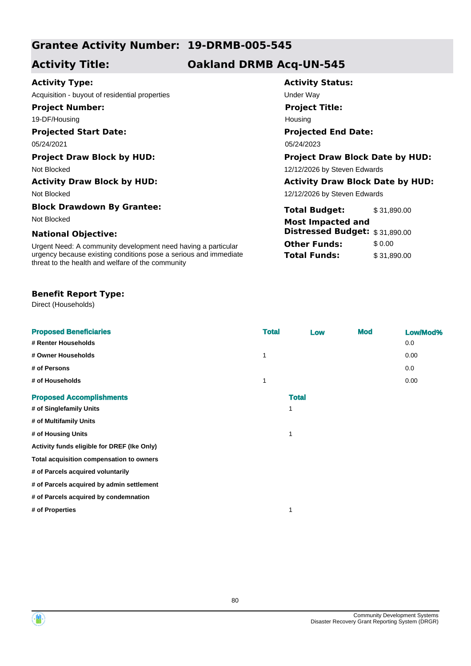## **Grantee Activity Number: 19-DRMB-005-545**

## **Activity Title: Oakland DRMB Acq-UN-545**

### **Activity Type:**

Acquisition - buyout of residential properties example and the Under Way

**Project Number:**

19-DF/Housing

### **Projected Start Date:**

Not Blocked

#### **Block Drawdown By Grantee:**

#### **National Objective:**

Urgent Need: A community development need having a particular urgency because existing conditions pose a serious and immediate threat to the health and welfare of the community

#### **Benefit Report Type:**

Direct (Households)

| <b>Proposed Beneficiaries</b>               | <b>Total</b> | Low          | <b>Mod</b> | Low/Mod% |
|---------------------------------------------|--------------|--------------|------------|----------|
| # Renter Households                         |              |              |            | 0.0      |
| # Owner Households                          | 1            |              |            | 0.00     |
| # of Persons                                |              |              |            | 0.0      |
| # of Households                             | $\mathbf{1}$ |              |            | 0.00     |
| <b>Proposed Accomplishments</b>             |              | <b>Total</b> |            |          |
| # of Singlefamily Units                     |              | 1            |            |          |
| # of Multifamily Units                      |              |              |            |          |
| # of Housing Units                          |              | 1            |            |          |
| Activity funds eligible for DREF (Ike Only) |              |              |            |          |
| Total acquisition compensation to owners    |              |              |            |          |
| # of Parcels acquired voluntarily           |              |              |            |          |
| # of Parcels acquired by admin settlement   |              |              |            |          |
| # of Parcels acquired by condemnation       |              |              |            |          |
| # of Properties                             |              | 1            |            |          |
|                                             |              |              |            |          |

## **Activity Status:**

**Project Title:** Housing

### **Projected End Date:**

05/24/2021 05/24/2023

#### **Project Draw Block by HUD: Project Draw Block Date by HUD:**

Not Blocked 12/12/2026 by Steven Edwards

#### **Activity Draw Block by HUD: Activity Draw Block Date by HUD:**

12/12/2026 by Steven Edwards

| Block Drawdown By Grantee:                                       | <b>Total Budget:</b>                  | \$31.890.00 |
|------------------------------------------------------------------|---------------------------------------|-------------|
| Not Blocked                                                      | <b>Most Impacted and</b>              |             |
| <b>National Objective:</b>                                       | <b>Distressed Budget: \$31,890.00</b> |             |
| Urgent Need: A community development need having a particular    | <b>Other Funds:</b>                   | \$ 0.00     |
| urgency because existing conditions pose a serious and immediate | <b>Total Funds:</b>                   | \$31,890,00 |

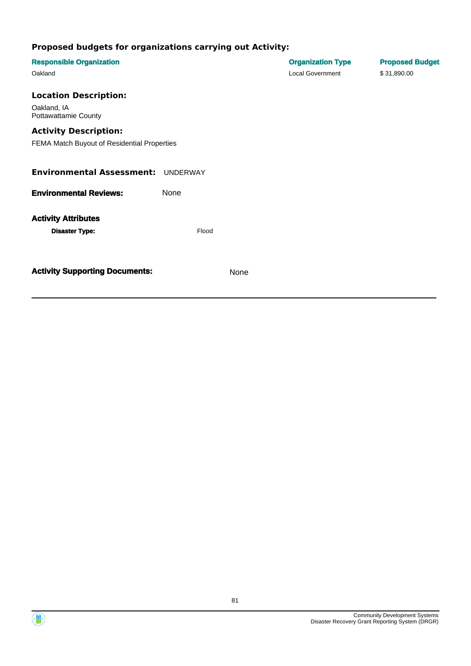| <b>Responsible Organization</b><br>Oakland                                                                 |             |      | <b>Organization Type</b><br><b>Local Government</b> | <b>Proposed Budget</b><br>\$31,890.00 |
|------------------------------------------------------------------------------------------------------------|-------------|------|-----------------------------------------------------|---------------------------------------|
| <b>Location Description:</b><br>Oakland, IA<br><b>Pottawattamie County</b><br><b>Activity Description:</b> |             |      |                                                     |                                       |
| FEMA Match Buyout of Residential Properties                                                                |             |      |                                                     |                                       |
| <b>Environmental Assessment:</b>                                                                           | UNDERWAY    |      |                                                     |                                       |
| <b>Environmental Reviews:</b>                                                                              | <b>None</b> |      |                                                     |                                       |
| <b>Activity Attributes</b><br><b>Disaster Type:</b>                                                        | Flood       |      |                                                     |                                       |
| <b>Activity Supporting Documents:</b>                                                                      |             | None |                                                     |                                       |

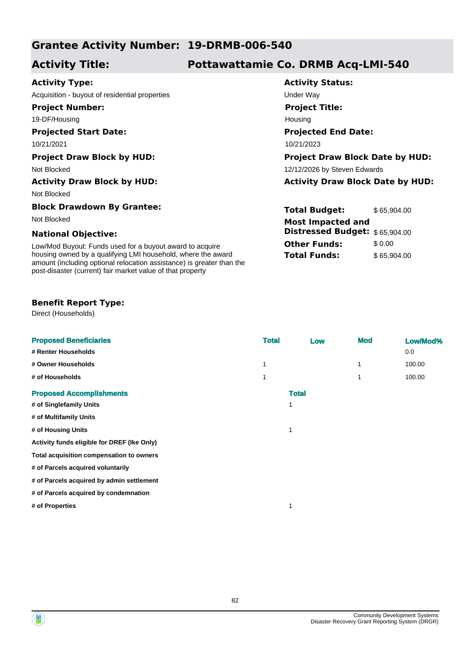## **Grantee Activity Number: 19-DRMB-006-540**

# **Activity Title: Pottawattamie Co. DRMB Acq-LMI-540**

Housing

**Activity Status:**

**Project Title:**

**Projected End Date:**

**Total Budget:** \$65,904.00

**Distressed Budget:** \$ 65,904.00

**Other Funds:** \$ 0.00 **Total Funds:** \$65,904.00

### **Activity Type:**

Acquisition - buyout of residential properties Theory Contact Contact Contact Under Way

**Project Number:**

19-DF/Housing

#### **Projected Start Date:**

10/21/2021 10/21/2023

#### **Project Draw Block by HUD: Project Draw Block Date by HUD:**

Not Blocked **12/12/2026** by Steven Edwards

#### **Activity Draw Block by HUD: Activity Draw Block Date by HUD:**

Not Blocked

#### **Block Drawdown By Grantee:**

Not Blocked **Most Impacted and** 

#### **National Objective:**

Low/Mod Buyout: Funds used for a buyout award to acquire housing owned by a qualifying LMI household, where the award amount (including optional relocation assistance) is greater than the post-disaster (current) fair market value of that property

#### **Benefit Report Type:**

Direct (Households)

| <b>Proposed Beneficiaries</b>               | <b>Total</b> | Low          | <b>Mod</b> | Low/Mod% |
|---------------------------------------------|--------------|--------------|------------|----------|
| # Renter Households                         |              |              |            | 0.0      |
| # Owner Households                          | 1            |              | 1          | 100.00   |
| # of Households                             |              |              | 1          | 100.00   |
| <b>Proposed Accomplishments</b>             |              | <b>Total</b> |            |          |
| # of Singlefamily Units                     | 1            |              |            |          |
| # of Multifamily Units                      |              |              |            |          |
| # of Housing Units                          | 1            |              |            |          |
| Activity funds eligible for DREF (Ike Only) |              |              |            |          |
| Total acquisition compensation to owners    |              |              |            |          |
| # of Parcels acquired voluntarily           |              |              |            |          |
| # of Parcels acquired by admin settlement   |              |              |            |          |
| # of Parcels acquired by condemnation       |              |              |            |          |
| # of Properties                             | 1            |              |            |          |
|                                             |              |              |            |          |

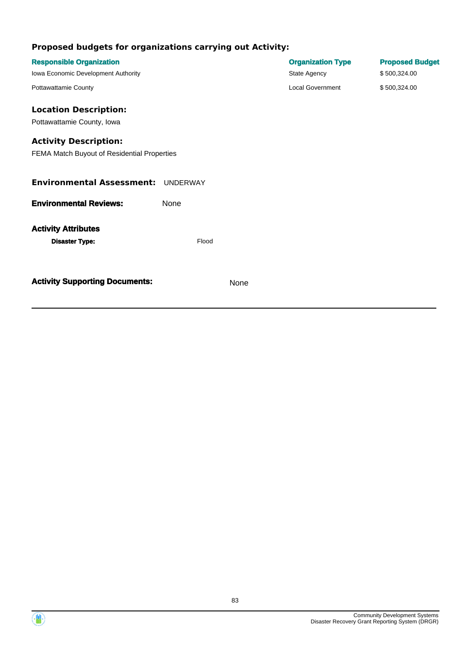| <b>Responsible Organization</b>             |                 |      | <b>Organization Type</b> | <b>Proposed Budget</b> |
|---------------------------------------------|-----------------|------|--------------------------|------------------------|
| Iowa Economic Development Authority         |                 |      | State Agency             | \$500,324.00           |
| Pottawattamie County                        |                 |      | <b>Local Government</b>  | \$500,324.00           |
| <b>Location Description:</b>                |                 |      |                          |                        |
| Pottawattamie County, Iowa                  |                 |      |                          |                        |
| <b>Activity Description:</b>                |                 |      |                          |                        |
| FEMA Match Buyout of Residential Properties |                 |      |                          |                        |
| <b>Environmental Assessment:</b>            | <b>UNDERWAY</b> |      |                          |                        |
| <b>Environmental Reviews:</b>               | None            |      |                          |                        |
| <b>Activity Attributes</b>                  |                 |      |                          |                        |
| <b>Disaster Type:</b>                       | Flood           |      |                          |                        |
| <b>Activity Supporting Documents:</b>       |                 | None |                          |                        |
|                                             |                 |      |                          |                        |

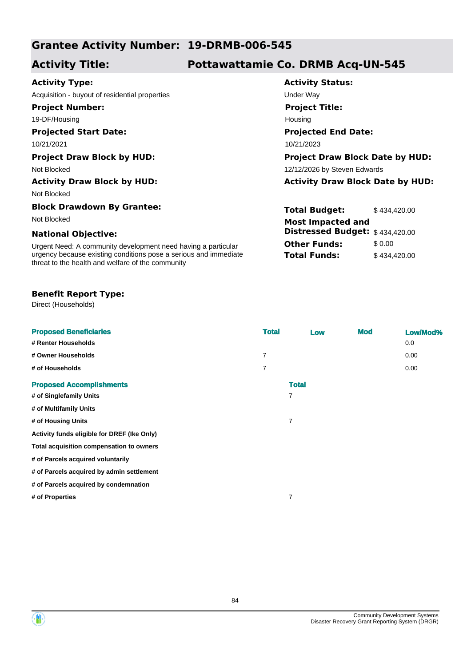## **Grantee Activity Number: 19-DRMB-006-545**

# **Activity Title: Pottawattamie Co. DRMB Acq-UN-545**

Housing

**Activity Status:**

**Project Title:**

**Projected End Date:**

**Total Budget:** \$434,420.00

**Distressed Budget:** \$ 434,420.00

**Other Funds:** \$0.00 **Total Funds:** \$434,420.00

### **Activity Type:**

Acquisition - buyout of residential properties example of the Under Way

**Project Number:**

19-DF/Housing

### **Projected Start Date:**

10/21/2021 10/21/2023

#### **Project Draw Block by HUD: Project Draw Block Date by HUD:**

Not Blocked **12/12/2026** by Steven Edwards

#### **Activity Draw Block by HUD: Activity Draw Block Date by HUD:**

Not Blocked

#### **Block Drawdown By Grantee:**

Not Blocked **Most Impacted and** 

#### **National Objective:**

Urgent Need: A community development need having a particular urgency because existing conditions pose a serious and immediate threat to the health and welfare of the community

#### **Benefit Report Type:**

Direct (Households)

| <b>Proposed Beneficiaries</b>               | <b>Total</b>   | Low | <b>Mod</b> | Low/Mod% |
|---------------------------------------------|----------------|-----|------------|----------|
| # Renter Households                         |                |     |            | 0.0      |
| # Owner Households                          | $\overline{7}$ |     |            | 0.00     |
| # of Households                             | $\overline{7}$ |     |            | 0.00     |
| <b>Proposed Accomplishments</b>             | <b>Total</b>   |     |            |          |
| # of Singlefamily Units                     | $\overline{7}$ |     |            |          |
| # of Multifamily Units                      |                |     |            |          |
| # of Housing Units                          | $\overline{7}$ |     |            |          |
| Activity funds eligible for DREF (Ike Only) |                |     |            |          |
| Total acquisition compensation to owners    |                |     |            |          |
| # of Parcels acquired voluntarily           |                |     |            |          |
| # of Parcels acquired by admin settlement   |                |     |            |          |
| # of Parcels acquired by condemnation       |                |     |            |          |
| # of Properties                             | $\overline{7}$ |     |            |          |
|                                             |                |     |            |          |

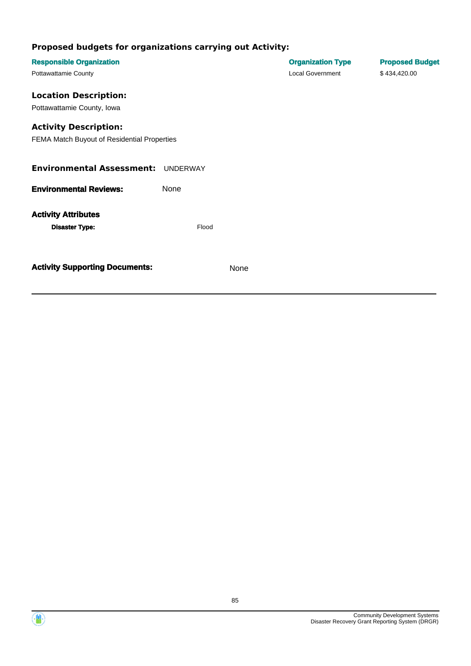| <b>Responsible Organization</b>             |       |      | <b>Organization Type</b> | <b>Proposed Budget</b> |
|---------------------------------------------|-------|------|--------------------------|------------------------|
| Pottawattamie County                        |       |      | <b>Local Government</b>  | \$434,420.00           |
| <b>Location Description:</b>                |       |      |                          |                        |
| Pottawattamie County, Iowa                  |       |      |                          |                        |
| <b>Activity Description:</b>                |       |      |                          |                        |
| FEMA Match Buyout of Residential Properties |       |      |                          |                        |
| <b>Environmental Assessment: UNDERWAY</b>   |       |      |                          |                        |
| <b>Environmental Reviews:</b>               | None  |      |                          |                        |
| <b>Activity Attributes</b>                  |       |      |                          |                        |
| <b>Disaster Type:</b>                       | Flood |      |                          |                        |
|                                             |       |      |                          |                        |
| <b>Activity Supporting Documents:</b>       |       | None |                          |                        |
|                                             |       |      |                          |                        |

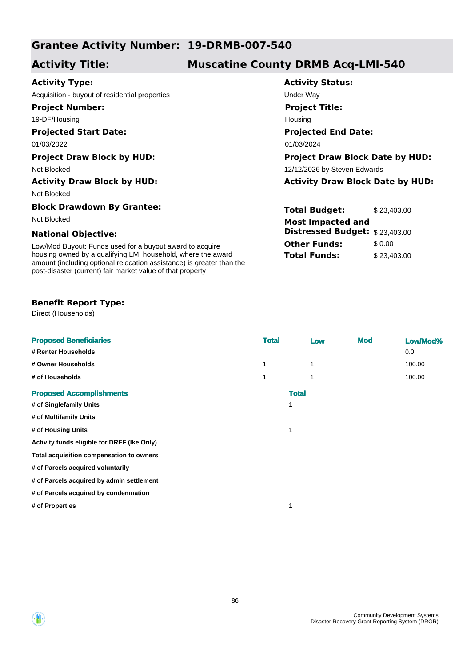## **Grantee Activity Number: 19-DRMB-007-540**

## **Activity Title: Muscatine County DRMB Acq-LMI-540**

### **Activity Type:**

Acquisition - buyout of residential properties example and the Under Way

**Project Number:**

19-DF/Housing

#### **Projected Start Date:**

01/03/2022 01/03/2024

#### **Activity Draw Block by HUD: Activity Draw Block Date by HUD:**

Not Blocked

#### **Block Drawdown By Grantee:**

#### **National Objective:**

Low/Mod Buyout: Funds used for a buyout award to acquire housing owned by a qualifying LMI household, where the award amount (including optional relocation assistance) is greater than the post-disaster (current) fair market value of that property

#### **Benefit Report Type:**

Direct (Households)

| <b>Proposed Beneficiaries</b>               | <b>Total</b> |              | Low | <b>Mod</b> | Low/Mod% |
|---------------------------------------------|--------------|--------------|-----|------------|----------|
| # Renter Households                         |              |              |     |            | 0.0      |
| # Owner Households                          | 1            |              | 1   |            | 100.00   |
| # of Households                             | 1            |              | 1   |            | 100.00   |
| <b>Proposed Accomplishments</b>             |              | <b>Total</b> |     |            |          |
| # of Singlefamily Units                     |              |              |     |            |          |
| # of Multifamily Units                      |              |              |     |            |          |
| # of Housing Units                          |              |              |     |            |          |
| Activity funds eligible for DREF (Ike Only) |              |              |     |            |          |
| Total acquisition compensation to owners    |              |              |     |            |          |
| # of Parcels acquired voluntarily           |              |              |     |            |          |
| # of Parcels acquired by admin settlement   |              |              |     |            |          |
| # of Parcels acquired by condemnation       |              |              |     |            |          |
| # of Properties                             |              |              |     |            |          |
|                                             |              |              |     |            |          |
|                                             |              |              |     |            |          |

**Activity Status: Projected End Date: Project Title:** Housing

#### **Project Draw Block by HUD: Project Draw Block Date by HUD:** Not Blocked **12/12/2026** by Steven Edwards

**Total Budget:** \$23,403.00 **Other Funds:** \$ 0.00 **Total Funds:** \$23,403.00 Not Blocked **Most Impacted and Distressed Budget:** \$ 23,403.00

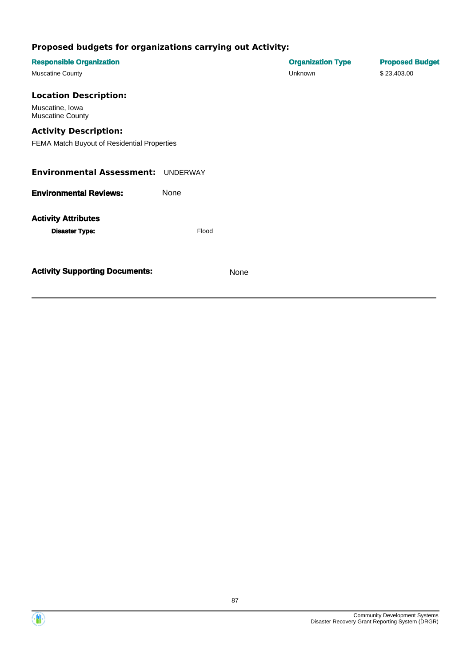| <b>Responsible Organization</b>             |                 |      | <b>Organization Type</b> | <b>Proposed Budget</b> |
|---------------------------------------------|-----------------|------|--------------------------|------------------------|
| <b>Muscatine County</b>                     |                 |      | Unknown                  | \$23,403.00            |
| <b>Location Description:</b>                |                 |      |                          |                        |
| Muscatine, Iowa<br><b>Muscatine County</b>  |                 |      |                          |                        |
| <b>Activity Description:</b>                |                 |      |                          |                        |
| FEMA Match Buyout of Residential Properties |                 |      |                          |                        |
|                                             |                 |      |                          |                        |
| <b>Environmental Assessment:</b>            | <b>UNDERWAY</b> |      |                          |                        |
| <b>Environmental Reviews:</b>               | None            |      |                          |                        |
| <b>Activity Attributes</b>                  |                 |      |                          |                        |
| <b>Disaster Type:</b>                       | Flood           |      |                          |                        |
|                                             |                 |      |                          |                        |
|                                             |                 |      |                          |                        |
| <b>Activity Supporting Documents:</b>       |                 | None |                          |                        |
|                                             |                 |      |                          |                        |

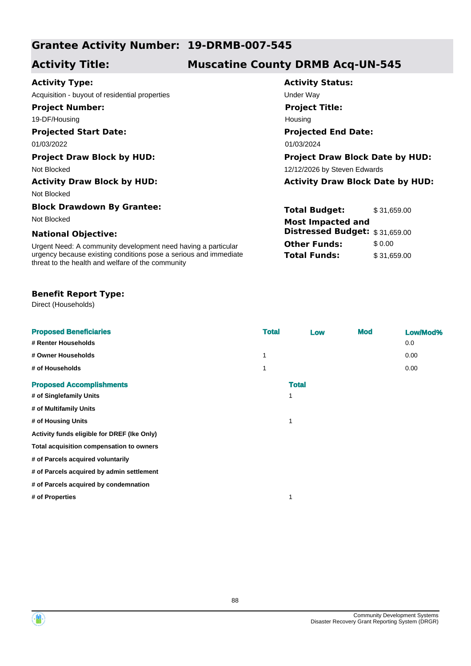## **Grantee Activity Number: 19-DRMB-007-545**

# **Activity Title: Muscatine County DRMB Acq-UN-545**

**Activity Status:**

**Project Title:**

Housing

**Projected End Date:**

**Total Budget:** \$31,659.00

**Distressed Budget:** \$ 31,659.00

**Other Funds:** \$0.00 **Total Funds:** \$31,659.00

### **Activity Type:**

Acquisition - buyout of residential properties example of the Under Way

**Project Number:**

19-DF/Housing

## **Projected Start Date:**

01/03/2022 01/03/2024

#### **Project Draw Block by HUD: Project Draw Block Date by HUD:**

Not Blocked **12/12/2026** by Steven Edwards

#### **Activity Draw Block by HUD: Activity Draw Block Date by HUD:**

Not Blocked

#### **Block Drawdown By Grantee:**

Not Blocked **Most Impacted and** 

#### **National Objective:**

Urgent Need: A community development need having a particular urgency because existing conditions pose a serious and immediate threat to the health and welfare of the community

#### **Benefit Report Type:**

Direct (Households)

| <b>Proposed Beneficiaries</b>               | <b>Total</b> | Low          | <b>Mod</b> | Low/Mod% |
|---------------------------------------------|--------------|--------------|------------|----------|
| # Renter Households                         |              |              |            | 0.0      |
| # Owner Households                          | 1            |              |            | 0.00     |
| # of Households                             |              |              |            | 0.00     |
| <b>Proposed Accomplishments</b>             |              | <b>Total</b> |            |          |
| # of Singlefamily Units                     |              | 1            |            |          |
| # of Multifamily Units                      |              |              |            |          |
| # of Housing Units                          |              | 1            |            |          |
| Activity funds eligible for DREF (Ike Only) |              |              |            |          |
| Total acquisition compensation to owners    |              |              |            |          |
| # of Parcels acquired voluntarily           |              |              |            |          |
| # of Parcels acquired by admin settlement   |              |              |            |          |
| # of Parcels acquired by condemnation       |              |              |            |          |
| # of Properties                             |              | 1            |            |          |
|                                             |              |              |            |          |

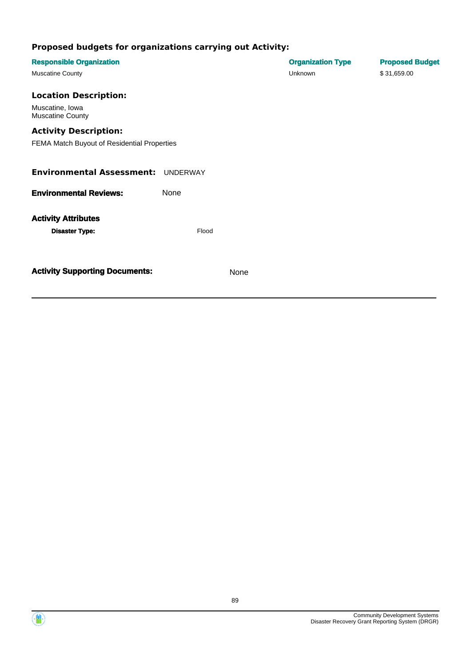| <b>Responsible Organization</b>             |                 |      | <b>Organization Type</b> | <b>Proposed Budget</b> |
|---------------------------------------------|-----------------|------|--------------------------|------------------------|
| <b>Muscatine County</b>                     |                 |      | Unknown                  | \$31,659.00            |
| <b>Location Description:</b>                |                 |      |                          |                        |
| Muscatine, Iowa<br><b>Muscatine County</b>  |                 |      |                          |                        |
| <b>Activity Description:</b>                |                 |      |                          |                        |
| FEMA Match Buyout of Residential Properties |                 |      |                          |                        |
|                                             |                 |      |                          |                        |
| <b>Environmental Assessment:</b>            | <b>UNDERWAY</b> |      |                          |                        |
| <b>Environmental Reviews:</b>               | None            |      |                          |                        |
| <b>Activity Attributes</b>                  |                 |      |                          |                        |
| <b>Disaster Type:</b>                       | Flood           |      |                          |                        |
|                                             |                 |      |                          |                        |
|                                             |                 |      |                          |                        |
| <b>Activity Supporting Documents:</b>       |                 | None |                          |                        |
|                                             |                 |      |                          |                        |

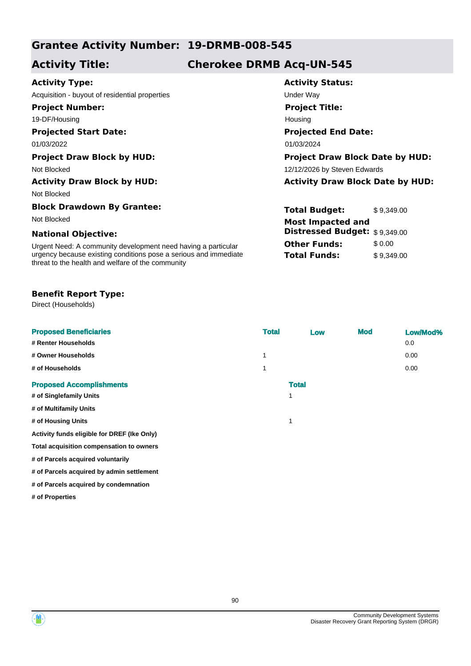## **Grantee Activity Number: 19-DRMB-008-545**

## **Activity Title: Cherokee DRMB Acq-UN-545**

### **Activity Type:**

Acquisition - buyout of residential properties example and the Under Way

**Project Number:**

19-DF/Housing

## **Projected Start Date:**

Not Blocked

#### **Block Drawdown By Grantee:**

#### **National Objective:**

Urgent Need: A community development need having a particular urgency because existing conditions pose a serious and immediate threat to the health and welfare of the community

#### **Benefit Report Type:**

Direct (Households)

| <b>Proposed Beneficiaries</b>               | <b>Total</b> | Low          | <b>Mod</b> | Low/Mod% |
|---------------------------------------------|--------------|--------------|------------|----------|
| # Renter Households                         |              |              |            | 0.0      |
| # Owner Households                          | 1            |              |            | 0.00     |
| # of Households                             |              |              |            | 0.00     |
| <b>Proposed Accomplishments</b>             |              | <b>Total</b> |            |          |
| # of Singlefamily Units                     |              | 1            |            |          |
| # of Multifamily Units                      |              |              |            |          |
| # of Housing Units                          |              | 1            |            |          |
| Activity funds eligible for DREF (Ike Only) |              |              |            |          |
| Total acquisition compensation to owners    |              |              |            |          |
| # of Parcels acquired voluntarily           |              |              |            |          |
| # of Parcels acquired by admin settlement   |              |              |            |          |
| # of Parcels acquired by condemnation       |              |              |            |          |

**# of Properties**

# **Activity Status: Projected End Date: Project Title:** Housing

01/03/2022 01/03/2024

#### **Project Draw Block by HUD: Project Draw Block Date by HUD:** Not Blocked **12/12/2026** by Steven Edwards

**Activity Draw Block by HUD: Activity Draw Block Date by HUD:**

**Total Budget:** \$9,349.00 **Other Funds:** \$0.00 **Total Funds:** \$9,349.00 Not Blocked **Most Impacted and Distressed Budget:** \$ 9,349.00

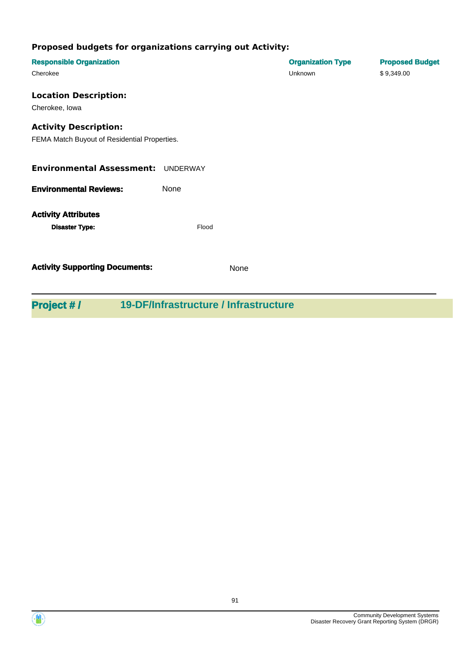| <b>Responsible Organization</b>              |       |      | <b>Organization Type</b> | <b>Proposed Budget</b> |
|----------------------------------------------|-------|------|--------------------------|------------------------|
| Cherokee                                     |       |      | Unknown                  | \$9,349.00             |
| <b>Location Description:</b>                 |       |      |                          |                        |
| Cherokee, lowa                               |       |      |                          |                        |
| <b>Activity Description:</b>                 |       |      |                          |                        |
| FEMA Match Buyout of Residential Properties. |       |      |                          |                        |
| Environmental Assessment: UNDERWAY           |       |      |                          |                        |
|                                              |       |      |                          |                        |
| <b>Environmental Reviews:</b>                | None  |      |                          |                        |
| <b>Activity Attributes</b>                   |       |      |                          |                        |
| <b>Disaster Type:</b>                        | Flood |      |                          |                        |
|                                              |       |      |                          |                        |
| <b>Activity Supporting Documents:</b>        |       | None |                          |                        |
|                                              |       |      |                          |                        |

**Project # / 19-DF/Infrastructure / Infrastructure**

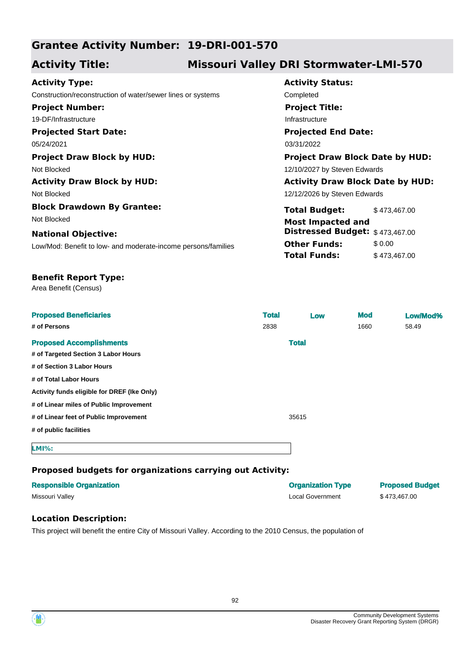## **Grantee Activity Number: 19-DRI-001-570**

## **Activity Title: Missouri Valley DRI Stormwater-LMI-570**

#### **Projected Start Date:** Low/Mod: Benefit to low- and moderate-income persons/families **National Objective: Activity Status: Projected End Date: Activity Type:** 05/24/2021 03/31/2022 Construction/reconstruction of water/sewer lines or systems Completed **Project Number:** 19-DF/Infrastructure **Project Title:** Infrastructure **Total Budget:** \$473,467.00 **Other Funds:** \$0.00 **Total Funds:** \$473,467.00 **Project Draw Block by HUD: Project Draw Block Date by HUD:** Not Blocked **12/10/2027** by Steven Edwards 12/12/2026 by Steven Edwards **Activity Draw Block by HUD: Activity Draw Block Date by HUD:** Not Blocked **Block Drawdown By Grantee:** Not Blocked **Most Impacted and Distressed Budget:** \$ 473,467.00

#### **Benefit Report Type:**

Area Benefit (Census)

| <b>Proposed Beneficiaries</b><br># of Persons | <b>Total</b><br>2838 | Low          | <b>Mod</b><br>1660 | Low/Mod%<br>58.49 |
|-----------------------------------------------|----------------------|--------------|--------------------|-------------------|
| <b>Proposed Accomplishments</b>               |                      | <b>Total</b> |                    |                   |
| # of Targeted Section 3 Labor Hours           |                      |              |                    |                   |
| # of Section 3 Labor Hours                    |                      |              |                    |                   |
| # of Total Labor Hours                        |                      |              |                    |                   |
| Activity funds eligible for DREF (Ike Only)   |                      |              |                    |                   |
| # of Linear miles of Public Improvement       |                      |              |                    |                   |
| # of Linear feet of Public Improvement        |                      | 35615        |                    |                   |
| # of public facilities                        |                      |              |                    |                   |
| $LMI\%$ :                                     |                      |              |                    |                   |

#### **Proposed budgets for organizations carrying out Activity:**

| <b>Responsible Organization</b> | <b>Organization Type</b> | <b>Proposed Budget</b> |
|---------------------------------|--------------------------|------------------------|
| Missouri Valley                 | Local Government         | \$473.467.00           |

#### **Location Description:**

This project will benefit the entire City of Missouri Valley. According to the 2010 Census, the population of

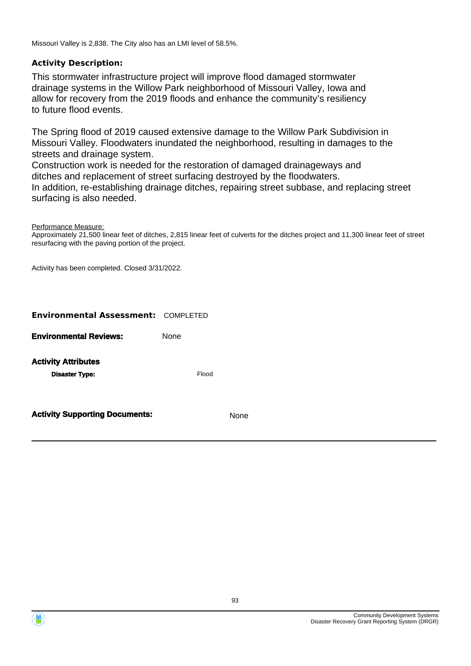Missouri Valley is 2,838. The City also has an LMI level of 58.5%.

### **Activity Description:**

This stormwater infrastructure project will improve flood damaged stormwater drainage systems in the Willow Park neighborhood of Missouri Valley, Iowa and allow for recovery from the 2019 floods and enhance the community's resiliency to future flood events.

The Spring flood of 2019 caused extensive damage to the Willow Park Subdivision in Missouri Valley. Floodwaters inundated the neighborhood, resulting in damages to the streets and drainage system.

Construction work is needed for the restoration of damaged drainageways and ditches and replacement of street surfacing destroyed by the floodwaters. In addition, re-establishing drainage ditches, repairing street subbase, and replacing street surfacing is also needed.

Performance Measure:

Approximately 21,500 linear feet of ditches, 2,815 linear feet of culverts for the ditches project and 11,300 linear feet of street resurfacing with the paving portion of the project.

Activity has been completed. Closed 3/31/2022.

| <b>Activity Supporting Documents:</b>      |       | ne |
|--------------------------------------------|-------|----|
| <b>Disaster Type:</b>                      | Flood |    |
| <b>Activity Attributes</b>                 |       |    |
| <b>Environmental Reviews:</b>              | None  |    |
| <b>Environmental Assessment: COMPLETED</b> |       |    |

Community Development Systems Disaster Recovery Grant Reporting System (DRGR)



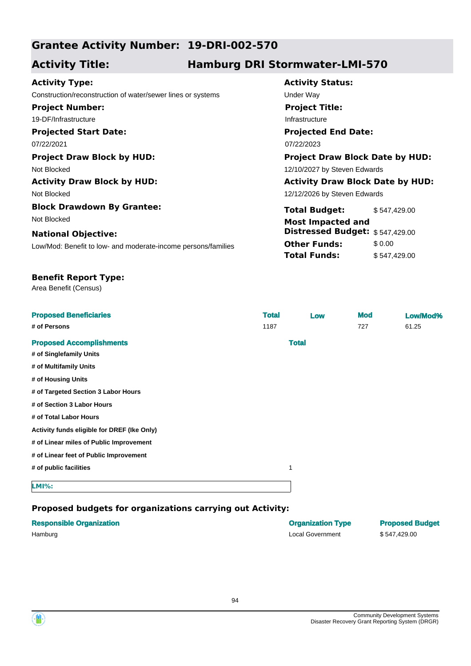## **Grantee Activity Number: 19-DRI-002-570**

## **Activity Title: Hamburg DRI Stormwater-LMI-570**

### **Activity Type:**

**Projected Start Date:** Construction/reconstruction of water/sewer lines or systems Under Way **Project Number:** 19-DF/Infrastructure

Not Blocked 12/10/2027 by Steven Edwards

Not Blocked

**Block Drawdown By Grantee:** Not Blocked

#### **National Objective:**

Low/Mod: Benefit to low- and moderate-income persons/families

# **Activity Status:**

**Project Title:**

Infrastructure

## **Projected End Date:**

07/22/2021 07/22/2023

# **Project Draw Block by HUD: Project Draw Block Date by HUD:**

### **Activity Draw Block by HUD: Activity Draw Block Date by HUD:**

12/12/2026 by Steven Edwards

| <b>Total Budget:</b>            | \$547,429.00 |
|---------------------------------|--------------|
| <b>Most Impacted and</b>        |              |
| Distressed Budget: \$547,429.00 |              |
| <b>Other Funds:</b>             | \$0.00       |
| <b>Total Funds:</b>             | \$547,429.00 |

## **Benefit Report Type:**

Area Benefit (Census)

| <b>Proposed Beneficiaries</b>               | <b>Total</b> | Low          | <b>Mod</b> | Low/Mod% |
|---------------------------------------------|--------------|--------------|------------|----------|
| # of Persons                                | 1187         |              | 727        | 61.25    |
| <b>Proposed Accomplishments</b>             |              | <b>Total</b> |            |          |
| # of Singlefamily Units                     |              |              |            |          |
| # of Multifamily Units                      |              |              |            |          |
| # of Housing Units                          |              |              |            |          |
| # of Targeted Section 3 Labor Hours         |              |              |            |          |
| # of Section 3 Labor Hours                  |              |              |            |          |
| # of Total Labor Hours                      |              |              |            |          |
| Activity funds eligible for DREF (Ike Only) |              |              |            |          |
| # of Linear miles of Public Improvement     |              |              |            |          |
| # of Linear feet of Public Improvement      |              |              |            |          |
| # of public facilities                      |              | $\mathbf 1$  |            |          |
| <b>LMI%:</b>                                |              |              |            |          |

| <b>Responsible Organization</b> | <b>Organization Type</b> | <b>Proposed Budget</b> |
|---------------------------------|--------------------------|------------------------|
| Hamburg                         | Local Government         | \$547,429.00           |

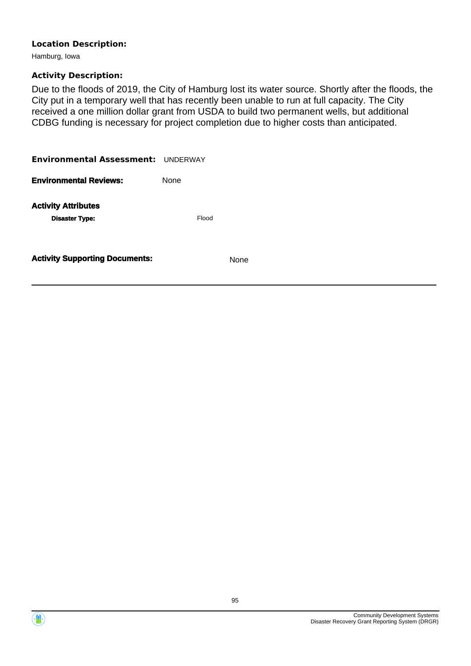### **Location Description:**

Hamburg, Iowa

## **Activity Description:**

Due to the floods of 2019, the City of Hamburg lost its water source. Shortly after the floods, the City put in a temporary well that has recently been unable to run at full capacity. The City received a one million dollar grant from USDA to build two permanent wells, but additional CDBG funding is necessary for project completion due to higher costs than anticipated.

| Environmental Assessment: UNDERWAY                  |             |
|-----------------------------------------------------|-------------|
| <b>Environmental Reviews:</b>                       | <b>None</b> |
| <b>Activity Attributes</b><br><b>Disaster Type:</b> | Flood       |
| <b>Activity Supporting Documents:</b>               | <b>None</b> |



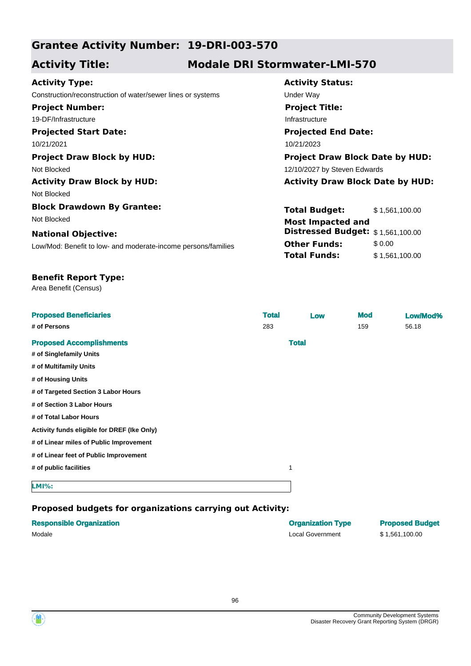## **Grantee Activity Number: 19-DRI-003-570**

## **Activity Title: Modale DRI Stormwater-LMI-570**

|  | <b>Activity Type:</b> |
|--|-----------------------|
|--|-----------------------|

Construction/reconstruction of water/sewer lines or systems Under Way **Project Number:** 19-DF/Infrastructure

**Projected Start Date:** 10/21/2021 10/21/2023

Not Blocked 12/10/2027 by Steven Edwards

Not Blocked

**Block Drawdown By Grantee:** Not Blocked

#### **National Objective:**

Low/Mod: Benefit to low- and moderate-income persons/families

# **Activity Status: Projected End Date: Project Title:** Infrastructure

**Project Draw Block by HUD: Project Draw Block Date by HUD:**

### **Activity Draw Block by HUD: Activity Draw Block Date by HUD:**

| <b>Total Budget:</b>                                          | \$1,561,100.00 |
|---------------------------------------------------------------|----------------|
| <b>Most Impacted and</b><br>Distressed Budget: \$1,561,100.00 |                |
| <b>Other Funds:</b>                                           | \$0.00         |
| <b>Total Funds:</b>                                           | \$1,561,100.00 |

#### **Benefit Report Type:**

Area Benefit (Census)

| <b>Proposed Beneficiaries</b>               | <b>Total</b> | Low          | <b>Mod</b> | Low/Mod% |
|---------------------------------------------|--------------|--------------|------------|----------|
| # of Persons                                | 283          |              | 159        | 56.18    |
| <b>Proposed Accomplishments</b>             |              | <b>Total</b> |            |          |
| # of Singlefamily Units                     |              |              |            |          |
| # of Multifamily Units                      |              |              |            |          |
| # of Housing Units                          |              |              |            |          |
| # of Targeted Section 3 Labor Hours         |              |              |            |          |
| # of Section 3 Labor Hours                  |              |              |            |          |
| # of Total Labor Hours                      |              |              |            |          |
| Activity funds eligible for DREF (Ike Only) |              |              |            |          |
| # of Linear miles of Public Improvement     |              |              |            |          |
| # of Linear feet of Public Improvement      |              |              |            |          |
| # of public facilities                      |              | 1            |            |          |
| <b>LMI%:</b>                                |              |              |            |          |

| <b>Responsible Organization</b> | <b>Organization Type</b> | <b>Proposed Budget</b> |
|---------------------------------|--------------------------|------------------------|
| Modale                          | Local Government         | \$1,561,100.00         |



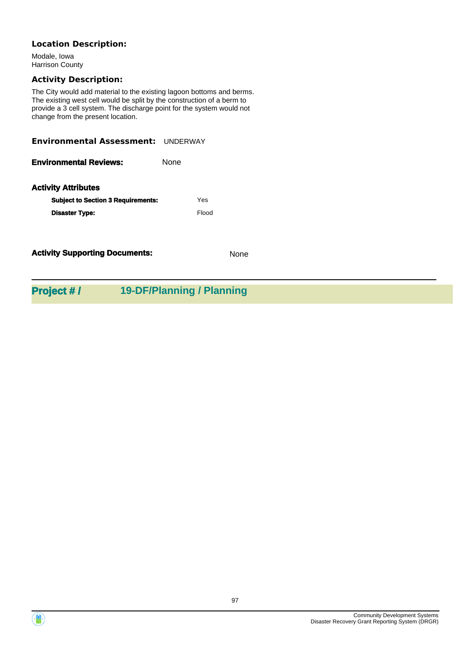### **Location Description:**

Modale, Iowa Harrison County

### **Activity Description:**

The City would add material to the existing lagoon bottoms and berms. The existing west cell would be split by the construction of a berm to provide a 3 cell system. The discharge point for the system would not change from the present location.

| <b>Environmental Assessment: UNDERWAY</b> |                           |
|-------------------------------------------|---------------------------|
| <b>Environmental Reviews:</b>             | None                      |
| <b>Activity Attributes</b>                |                           |
| <b>Subject to Section 3 Requirements:</b> | Yes                       |
| <b>Disaster Type:</b>                     | Flood                     |
| <b>Activity Supporting Documents:</b>     | <b>None</b>               |
| <b>Project #/</b>                         | 19-DF/Planning / Planning |

Community Development Systems Disaster Recovery Grant Reporting System (DRGR)

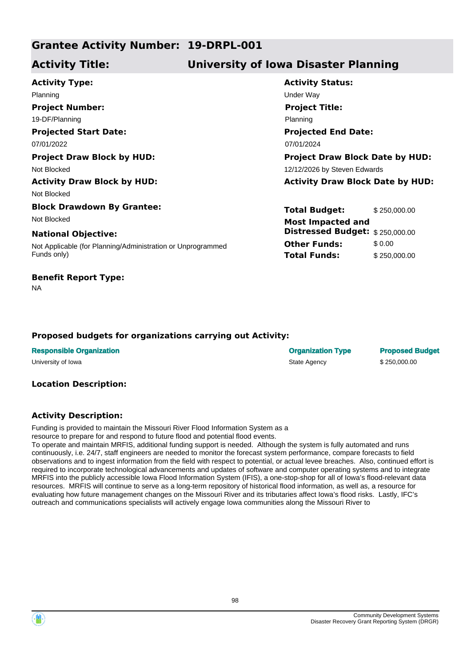## **Grantee Activity Number: 19-DRPL-001**

## **Activity Title: University of Iowa Disaster Planning**

**Activity Type:** Planning Under Way **Project Number:**

19-DF/Planning

**Projected Start Date:** 07/01/2022 07/01/2024

**Activity Draw Block by HUD: Activity Draw Block Date by HUD:**

Not Blocked

**Block Drawdown By Grantee:** Not Blocked **Most Impacted and** 

#### **National Objective:**

Not Applicable (for Planning/Administration or Unprogrammed Funds only)

### **Benefit Report Type:**

NA

# **Activity Status: Projected End Date: Project Title:** Planning

**Project Draw Block by HUD: Project Draw Block Date by HUD:** Not Blocked **12/12/2026** by Steven Edwards

> **Total Budget:** \$250,000.00 **Other Funds:** \$ 0.00 **Total Funds:** \$250,000.00 **Distressed Budget:** \$ 250,000.00

#### **Proposed budgets for organizations carrying out Activity:**

| <b>Responsible Organization</b> | <b>Organization Type</b> | <b>Proposed Budget</b> |
|---------------------------------|--------------------------|------------------------|
| University of Iowa              | State Agency             | \$250,000,00           |

#### **Location Description:**

### **Activity Description:**

Funding is provided to maintain the Missouri River Flood Information System as a resource to prepare for and respond to future flood and potential flood events.

To operate and maintain MRFIS, additional funding support is needed. Although the system is fully automated and runs continuously, i.e. 24/7, staff engineers are needed to monitor the forecast system performance, compare forecasts to field observations and to ingest information from the field with respect to potential, or actual levee breaches. Also, continued effort is required to incorporate technological advancements and updates of software and computer operating systems and to integrate MRFIS into the publicly accessible Iowa Flood Information System (IFIS), a one-stop-shop for all of Iowa's flood-relevant data resources. MRFIS will continue to serve as a long-term repository of historical flood information, as well as, a resource for evaluating how future management changes on the Missouri River and its tributaries affect Iowa's flood risks. Lastly, IFC's outreach and communications specialists will actively engage Iowa communities along the Missouri River to

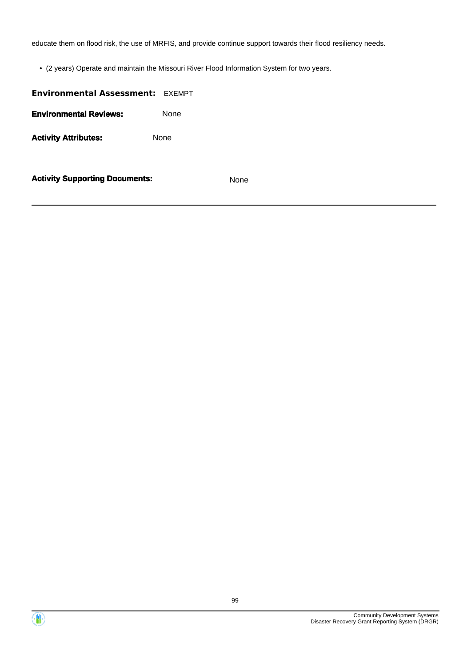educate them on flood risk, the use of MRFIS, and provide continue support towards their flood resiliency needs.

• (2 years) Operate and maintain the Missouri River Flood Information System for two years.

# **Environmental Assessment:** EXEMPT **Environmental Reviews:** None Activity **Attributes:** None

**Activity Supporting Documents:** None

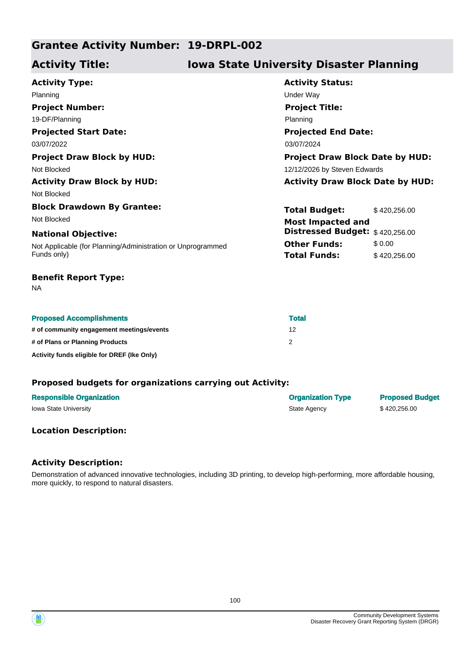## **Grantee Activity Number: 19-DRPL-002**

## **Activity Title: Iowa State University Disaster Planning**

| <b>Activity Type:</b>                                       | <b>Activity Status:</b>                 |              |
|-------------------------------------------------------------|-----------------------------------------|--------------|
| Planning                                                    | Under Way                               |              |
| <b>Project Number:</b>                                      | <b>Project Title:</b>                   |              |
| 19-DF/Planning                                              | Planning                                |              |
| <b>Projected Start Date:</b>                                | <b>Projected End Date:</b>              |              |
| 03/07/2022                                                  | 03/07/2024                              |              |
| <b>Project Draw Block by HUD:</b>                           | <b>Project Draw Block Date by HUD:</b>  |              |
| Not Blocked                                                 | 12/12/2026 by Steven Edwards            |              |
| <b>Activity Draw Block by HUD:</b>                          | <b>Activity Draw Block Date by HUD:</b> |              |
| Not Blocked                                                 |                                         |              |
| <b>Block Drawdown By Grantee:</b>                           | <b>Total Budget:</b>                    | \$420,256.00 |
| Not Blocked                                                 | <b>Most Impacted and</b>                |              |
| <b>National Objective:</b>                                  | Distressed Budget: \$420,256.00         |              |
| Not Applicable (for Planning/Administration or Unprogrammed | <b>Other Funds:</b>                     | \$0.00       |
| Funds only)                                                 | <b>Total Funds:</b>                     | \$420,256.00 |
| <b>Benefit Report Type:</b>                                 |                                         |              |

NA

|  |  | <b>Proposed Accomplishments</b> |  |
|--|--|---------------------------------|--|
|--|--|---------------------------------|--|

| <b>Proposed Accomplishments</b>             | <b>Total</b> |
|---------------------------------------------|--------------|
| # of community engagement meetings/events   | 12           |
| # of Plans or Planning Products             |              |
| Activity funds eligible for DREF (Ike Only) |              |

#### **Proposed budgets for organizations carrying out Activity:**

| <b>Responsible Organization</b> | <b>Organization Type</b> | <b>Proposed Budget</b> |
|---------------------------------|--------------------------|------------------------|
| <b>Iowa State University</b>    | State Agency             | \$420,256,00           |

#### **Location Description:**

### **Activity Description:**

Demonstration of advanced innovative technologies, including 3D printing, to develop high-performing, more affordable housing, more quickly, to respond to natural disasters.

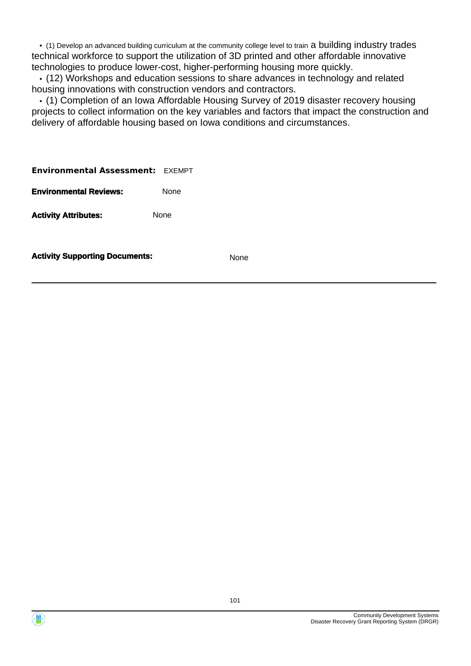• (1) Develop an advanced building curriculum at the community college level to train a building industry trades technical workforce to support the utilization of 3D printed and other affordable innovative technologies to produce lower-cost, higher-performing housing more quickly.

 • (12) Workshops and education sessions to share advances in technology and related housing innovations with construction vendors and contractors.

 • (1) Completion of an Iowa Affordable Housing Survey of 2019 disaster recovery housing projects to collect information on the key variables and factors that impact the construction and delivery of affordable housing based on Iowa conditions and circumstances.

**Environmental Assessment:** EXEMPT

**Environmental Reviews:** None

Activity **Attributes:** None

**Activity Supporting Documents:** None

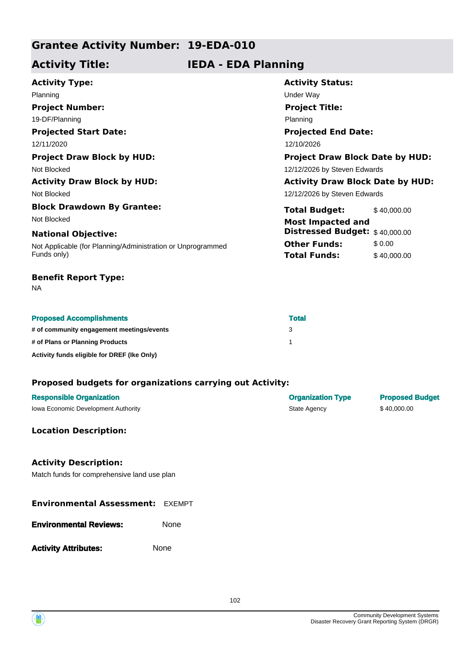## **Grantee Activity Number: 19-EDA-010**

## **Activity Title: IEDA - EDA Planning**

| <b>Activity Type:</b>                                       | <b>Activity Status:</b>                 |             |
|-------------------------------------------------------------|-----------------------------------------|-------------|
| Planning                                                    | Under Way                               |             |
| <b>Project Number:</b>                                      | <b>Project Title:</b>                   |             |
| 19-DF/Planning                                              | Planning                                |             |
| <b>Projected Start Date:</b>                                | <b>Projected End Date:</b>              |             |
| 12/11/2020                                                  | 12/10/2026                              |             |
| <b>Project Draw Block by HUD:</b>                           | <b>Project Draw Block Date by HUD:</b>  |             |
| Not Blocked                                                 | 12/12/2026 by Steven Edwards            |             |
| <b>Activity Draw Block by HUD:</b>                          | <b>Activity Draw Block Date by HUD:</b> |             |
| Not Blocked                                                 | 12/12/2026 by Steven Edwards            |             |
| <b>Block Drawdown By Grantee:</b>                           | <b>Total Budget:</b>                    | \$40,000.00 |
| Not Blocked                                                 | <b>Most Impacted and</b>                |             |
| <b>National Objective:</b>                                  | <b>Distressed Budget:</b> \$40,000.00   |             |
| Not Applicable (for Planning/Administration or Unprogrammed | <b>Other Funds:</b>                     | \$0.00      |
| Funds only)                                                 | <b>Total Funds:</b>                     | \$40,000.00 |

#### **Benefit Report Type:**

NA

| <b>Total</b> |
|--------------|
|              |

| Total |  |
|-------|--|
| 3     |  |

**# of Plans or Planning Products** 1

**Activity funds eligible for DREF (Ike Only)**

**# of community engagement meetings/events** 3

#### **Proposed budgets for organizations carrying out Activity:**

| <b>Responsible Organization</b>     | <b>Organization Type</b> | <b>Proposed Budget</b> |
|-------------------------------------|--------------------------|------------------------|
| lowa Economic Development Authority | State Agency             | \$40,000.00            |

#### **Location Description:**

### **Activity Description:**

Match funds for comprehensive land use plan

#### **Environmental Assessment:** EXEMPT

| <b>Environmental Reviews:</b> | None |
|-------------------------------|------|
|-------------------------------|------|